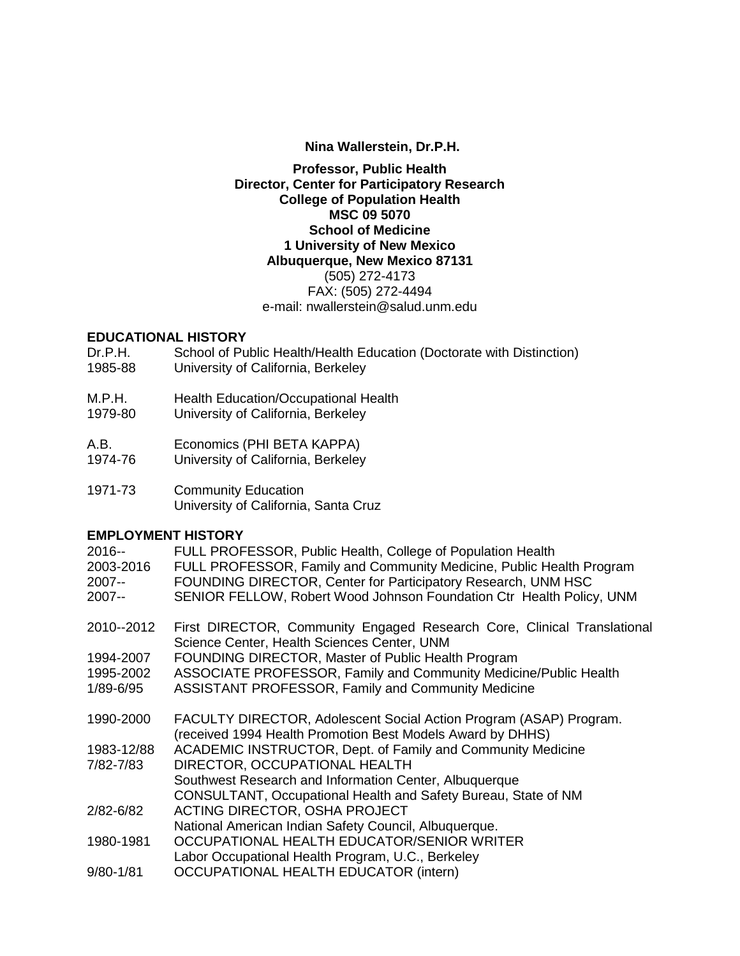### **Nina Wallerstein, Dr.P.H.**

### **Professor, Public Health Director, Center for Participatory Research College of Population Health MSC 09 5070 School of Medicine 1 University of New Mexico Albuquerque, New Mexico 87131** (505) 272-4173 FAX: (505) 272-4494 e-mail: nwallerstein@salud.unm.edu

### **EDUCATIONAL HISTORY**

- Dr.P.H. School of Public Health/Health Education (Doctorate with Distinction) 1985-88 University of California, Berkeley
- 
- M.P.H. Health Education/Occupational Health<br>1979-80 University of California. Berkeley
- University of California, Berkeley
- A.B. Economics (PHI BETA KAPPA)
- 1974-76 University of California, Berkeley
- 1971-73 Community Education University of California, Santa Cruz

### **EMPLOYMENT HISTORY**

| $2016 -$<br>2003-2016<br>$2007 -$<br>2007-- | FULL PROFESSOR, Public Health, College of Population Health<br>FULL PROFESSOR, Family and Community Medicine, Public Health Program<br>FOUNDING DIRECTOR, Center for Participatory Research, UNM HSC<br>SENIOR FELLOW, Robert Wood Johnson Foundation Ctr Health Policy, UNM |
|---------------------------------------------|------------------------------------------------------------------------------------------------------------------------------------------------------------------------------------------------------------------------------------------------------------------------------|
| 2010--2012                                  | First DIRECTOR, Community Engaged Research Core, Clinical Translational<br>Science Center, Health Sciences Center, UNM                                                                                                                                                       |
| 1994-2007                                   | FOUNDING DIRECTOR, Master of Public Health Program                                                                                                                                                                                                                           |
| 1995-2002                                   | ASSOCIATE PROFESSOR, Family and Community Medicine/Public Health                                                                                                                                                                                                             |
| 1/89-6/95                                   | <b>ASSISTANT PROFESSOR, Family and Community Medicine</b>                                                                                                                                                                                                                    |
| 1990-2000                                   | FACULTY DIRECTOR, Adolescent Social Action Program (ASAP) Program.<br>(received 1994 Health Promotion Best Models Award by DHHS)                                                                                                                                             |
| 1983-12/88                                  | ACADEMIC INSTRUCTOR, Dept. of Family and Community Medicine                                                                                                                                                                                                                  |
| 7/82-7/83                                   | DIRECTOR, OCCUPATIONAL HEALTH                                                                                                                                                                                                                                                |
|                                             | Southwest Research and Information Center, Albuquerque                                                                                                                                                                                                                       |
|                                             | CONSULTANT, Occupational Health and Safety Bureau, State of NM                                                                                                                                                                                                               |
| 2/82-6/82                                   | <b>ACTING DIRECTOR, OSHA PROJECT</b>                                                                                                                                                                                                                                         |
|                                             | National American Indian Safety Council, Albuquerque.                                                                                                                                                                                                                        |
| 1980-1981                                   | OCCUPATIONAL HEALTH EDUCATOR/SENIOR WRITER                                                                                                                                                                                                                                   |
|                                             | Labor Occupational Health Program, U.C., Berkeley                                                                                                                                                                                                                            |
| $9/80 - 1/81$                               | OCCUPATIONAL HEALTH EDUCATOR (intern)                                                                                                                                                                                                                                        |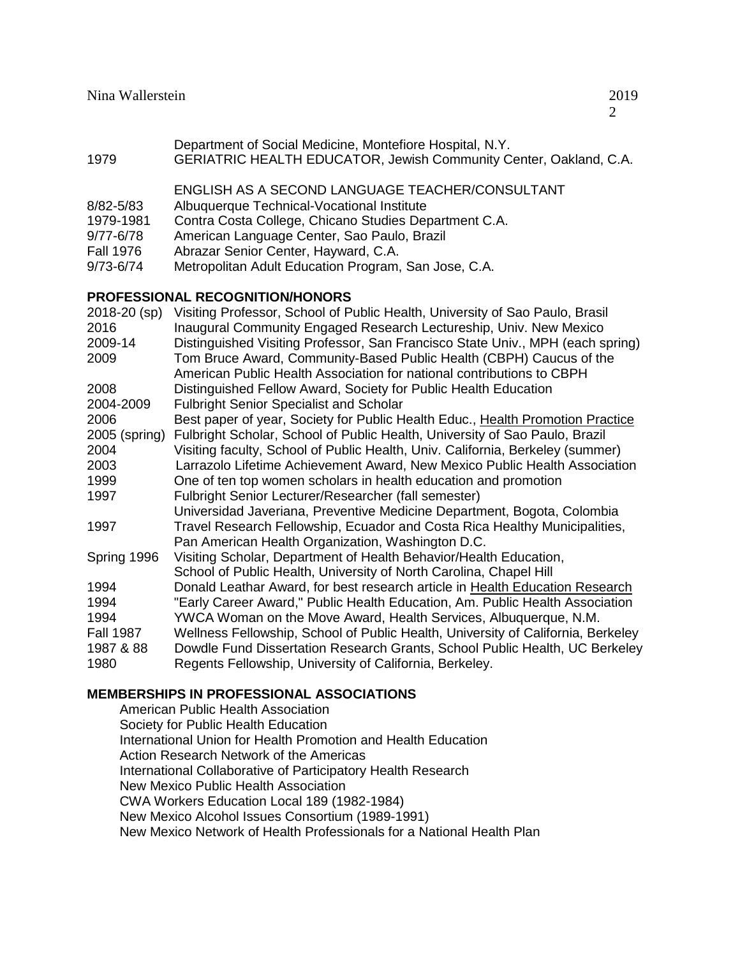| Department of Social Medicine, Montefiore Hospital, N.Y. |  |
|----------------------------------------------------------|--|
|----------------------------------------------------------|--|

1979 GERIATRIC HEALTH EDUCATOR, Jewish Community Center, Oakland, C.A.

ENGLISH AS A SECOND LANGUAGE TEACHER/CONSULTANT

- 8/82-5/83 Albuquerque Technical-Vocational Institute
- 1979-1981 Contra Costa College, Chicano Studies Department C.A.
- 9/77-6/78 American Language Center, Sao Paulo, Brazil
- Fall 1976 Abrazar Senior Center, Hayward, C.A.
- 9/73-6/74 Metropolitan Adult Education Program, San Jose, C.A.

# **PROFESSIONAL RECOGNITION/HONORS**

| 2018-20 (sp)     | Visiting Professor, School of Public Health, University of Sao Paulo, Brasil     |
|------------------|----------------------------------------------------------------------------------|
| 2016             | Inaugural Community Engaged Research Lectureship, Univ. New Mexico               |
| 2009-14          | Distinguished Visiting Professor, San Francisco State Univ., MPH (each spring)   |
| 2009             | Tom Bruce Award, Community-Based Public Health (CBPH) Caucus of the              |
|                  | American Public Health Association for national contributions to CBPH            |
| 2008             | Distinguished Fellow Award, Society for Public Health Education                  |
| 2004-2009        | <b>Fulbright Senior Specialist and Scholar</b>                                   |
| 2006             | Best paper of year, Society for Public Health Educ., Health Promotion Practice   |
| 2005 (spring)    | Fulbright Scholar, School of Public Health, University of Sao Paulo, Brazil      |
| 2004             | Visiting faculty, School of Public Health, Univ. California, Berkeley (summer)   |
| 2003             | Larrazolo Lifetime Achievement Award, New Mexico Public Health Association       |
| 1999             | One of ten top women scholars in health education and promotion                  |
| 1997             | Fulbright Senior Lecturer/Researcher (fall semester)                             |
|                  | Universidad Javeriana, Preventive Medicine Department, Bogota, Colombia          |
| 1997             | Travel Research Fellowship, Ecuador and Costa Rica Healthy Municipalities,       |
|                  | Pan American Health Organization, Washington D.C.                                |
| Spring 1996      | Visiting Scholar, Department of Health Behavior/Health Education,                |
|                  | School of Public Health, University of North Carolina, Chapel Hill               |
| 1994             | Donald Leathar Award, for best research article in Health Education Research     |
| 1994             | "Early Career Award," Public Health Education, Am. Public Health Association     |
| 1994             | YWCA Woman on the Move Award, Health Services, Albuquerque, N.M.                 |
| <b>Fall 1987</b> | Wellness Fellowship, School of Public Health, University of California, Berkeley |
| 1987 & 88        | Dowdle Fund Dissertation Research Grants, School Public Health, UC Berkeley      |
| 1980             | Regents Fellowship, University of California, Berkeley.                          |
|                  |                                                                                  |

# **MEMBERSHIPS IN PROFESSIONAL ASSOCIATIONS**

American Public Health Association Society for Public Health Education International Union for Health Promotion and Health Education Action Research Network of the Americas International Collaborative of Participatory Health Research New Mexico Public Health Association CWA Workers Education Local 189 (1982-1984) New Mexico Alcohol Issues Consortium (1989-1991) New Mexico Network of Health Professionals for a National Health Plan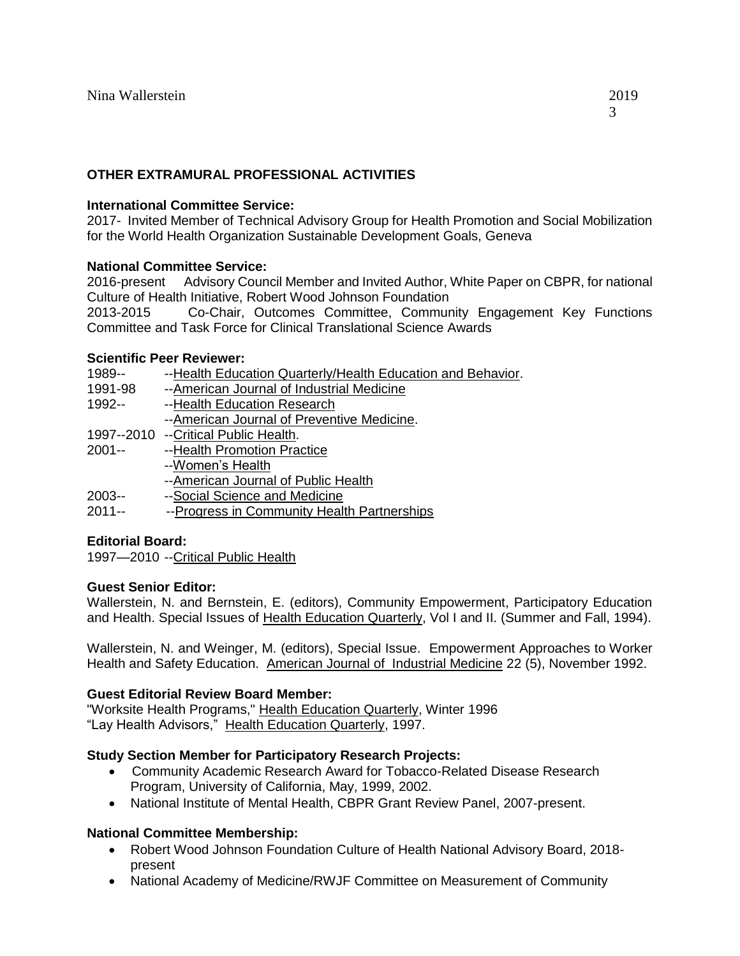# **OTHER EXTRAMURAL PROFESSIONAL ACTIVITIES**

### **International Committee Service:**

2017- Invited Member of Technical Advisory Group for Health Promotion and Social Mobilization for the World Health Organization Sustainable Development Goals, Geneva

# **National Committee Service:**

2016-present Advisory Council Member and Invited Author, White Paper on CBPR, for national Culture of Health Initiative, Robert Wood Johnson Foundation 2013-2015 Co-Chair, Outcomes Committee, Community Engagement Key Functions

Committee and Task Force for Clinical Translational Science Awards

# **Scientific Peer Reviewer:**

| 1989--   | --Health Education Quarterly/Health Education and Behavior. |
|----------|-------------------------------------------------------------|
| 1991-98  | --American Journal of Industrial Medicine                   |
| $1992 -$ | --Health Education Research                                 |
|          | --American Journal of Preventive Medicine.                  |
|          | 1997--2010 --Critical Public Health.                        |
| $2001 -$ | --Health Promotion Practice                                 |
|          | --Women's Health                                            |
|          | --American Journal of Public Health                         |
| 2003--   | --Social Science and Medicine                               |
| $2011 -$ | --Progress in Community Health Partnerships                 |

# **Editorial Board:**

1997—2010 --Critical Public Health

# **Guest Senior Editor:**

Wallerstein, N. and Bernstein, E. (editors), Community Empowerment, Participatory Education and Health. Special Issues of Health Education Quarterly, Vol I and II. (Summer and Fall, 1994).

Wallerstein, N. and Weinger, M. (editors), Special Issue. Empowerment Approaches to Worker Health and Safety Education. American Journal of Industrial Medicine 22 (5), November 1992.

# **Guest Editorial Review Board Member:**

"Worksite Health Programs," Health Education Quarterly, Winter 1996 "Lay Health Advisors," Health Education Quarterly, 1997.

# **Study Section Member for Participatory Research Projects:**

- Community Academic Research Award for Tobacco-Related Disease Research Program, University of California, May, 1999, 2002.
- National Institute of Mental Health, CBPR Grant Review Panel, 2007-present.

# **National Committee Membership:**

- Robert Wood Johnson Foundation Culture of Health National Advisory Board, 2018 present
- National Academy of Medicine/RWJF Committee on Measurement of Community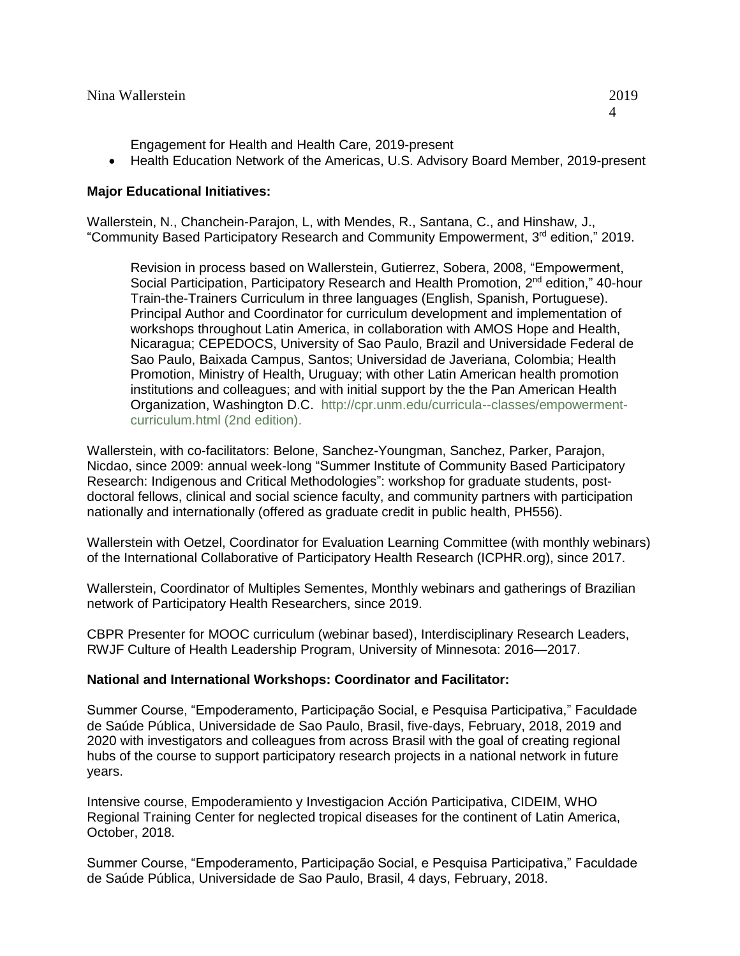- Engagement for Health and Health Care, 2019-present
- Health Education Network of the Americas, U.S. Advisory Board Member, 2019-present

### **Major Educational Initiatives:**

Wallerstein, N., Chanchein-Parajon, L, with Mendes, R., Santana, C., and Hinshaw, J., "Community Based Participatory Research and Community Empowerment, 3rd edition," 2019.

Revision in process based on Wallerstein, Gutierrez, Sobera, 2008, "Empowerment, Social Participation, Participatory Research and Health Promotion, 2<sup>nd</sup> edition," 40-hour Train-the-Trainers Curriculum in three languages (English, Spanish, Portuguese). Principal Author and Coordinator for curriculum development and implementation of workshops throughout Latin America, in collaboration with AMOS Hope and Health, Nicaragua; CEPEDOCS, University of Sao Paulo, Brazil and Universidade Federal de Sao Paulo, Baixada Campus, Santos; Universidad de Javeriana, Colombia; Health Promotion, Ministry of Health, Uruguay; with other Latin American health promotion institutions and colleagues; and with initial support by the the Pan American Health Organization, Washington D.C. [http://cpr.unm.edu/curricula--classes/empowerment](http://cpr.unm.edu/curricula--classes/empowerment-curriculum.html)[curriculum.html](http://cpr.unm.edu/curricula--classes/empowerment-curriculum.html) (2nd edition).

Wallerstein, with co-facilitators: Belone, Sanchez-Youngman, Sanchez, Parker, Parajon, Nicdao, since 2009: annual week-long "Summer Institute of Community Based Participatory Research: Indigenous and Critical Methodologies": workshop for graduate students, postdoctoral fellows, clinical and social science faculty, and community partners with participation nationally and internationally (offered as graduate credit in public health, PH556).

Wallerstein with Oetzel, Coordinator for Evaluation Learning Committee (with monthly webinars) of the International Collaborative of Participatory Health Research (ICPHR.org), since 2017.

Wallerstein, Coordinator of Multiples Sementes, Monthly webinars and gatherings of Brazilian network of Participatory Health Researchers, since 2019.

CBPR Presenter for MOOC curriculum (webinar based), Interdisciplinary Research Leaders, RWJF Culture of Health Leadership Program, University of Minnesota: 2016—2017.

# **National and International Workshops: Coordinator and Facilitator:**

Summer Course, "Empoderamento, Participação Social, e Pesquisa Participativa," Faculdade de Saúde Pública, Universidade de Sao Paulo, Brasil, five-days, February, 2018, 2019 and 2020 with investigators and colleagues from across Brasil with the goal of creating regional hubs of the course to support participatory research projects in a national network in future years.

Intensive course, Empoderamiento y Investigacion Acción Participativa, CIDEIM, WHO Regional Training Center for neglected tropical diseases for the continent of Latin America, October, 2018.

Summer Course, "Empoderamento, Participação Social, e Pesquisa Participativa," Faculdade de Saúde Pública, Universidade de Sao Paulo, Brasil, 4 days, February, 2018.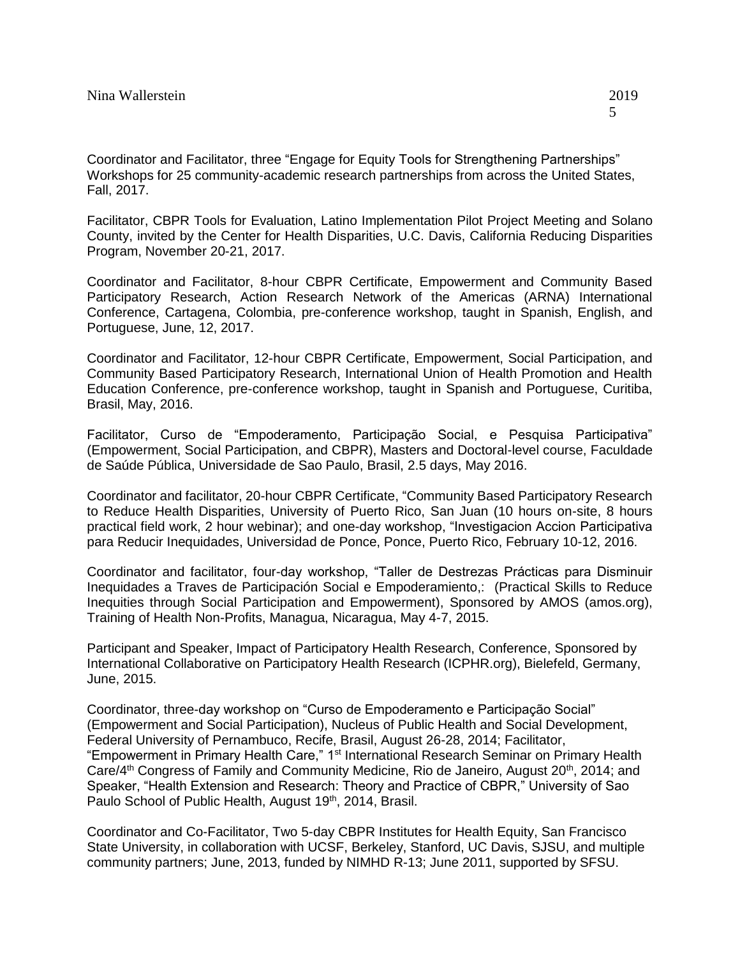Coordinator and Facilitator, three "Engage for Equity Tools for Strengthening Partnerships" Workshops for 25 community-academic research partnerships from across the United States, Fall, 2017.

Facilitator, CBPR Tools for Evaluation, Latino Implementation Pilot Project Meeting and Solano County, invited by the Center for Health Disparities, U.C. Davis, California Reducing Disparities Program, November 20-21, 2017.

Coordinator and Facilitator, 8-hour CBPR Certificate, Empowerment and Community Based Participatory Research, Action Research Network of the Americas (ARNA) International Conference, Cartagena, Colombia, pre-conference workshop, taught in Spanish, English, and Portuguese, June, 12, 2017.

Coordinator and Facilitator, 12-hour CBPR Certificate, Empowerment, Social Participation, and Community Based Participatory Research, International Union of Health Promotion and Health Education Conference, pre-conference workshop, taught in Spanish and Portuguese, Curitiba, Brasil, May, 2016.

Facilitator, Curso de "Empoderamento, Participação Social, e Pesquisa Participativa" (Empowerment, Social Participation, and CBPR), Masters and Doctoral-level course, Faculdade de Saúde Pública, Universidade de Sao Paulo, Brasil, 2.5 days, May 2016.

Coordinator and facilitator, 20-hour CBPR Certificate, "Community Based Participatory Research to Reduce Health Disparities, University of Puerto Rico, San Juan (10 hours on-site, 8 hours practical field work, 2 hour webinar); and one-day workshop, "Investigacion Accion Participativa para Reducir Inequidades, Universidad de Ponce, Ponce, Puerto Rico, February 10-12, 2016.

Coordinator and facilitator, four-day workshop, "Taller de Destrezas Prácticas para Disminuir Inequidades a Traves de Participación Social e Empoderamiento,: (Practical Skills to Reduce Inequities through Social Participation and Empowerment), Sponsored by AMOS (amos.org), Training of Health Non-Profits, Managua, Nicaragua, May 4-7, 2015.

Participant and Speaker, Impact of Participatory Health Research, Conference, Sponsored by International Collaborative on Participatory Health Research (ICPHR.org), Bielefeld, Germany, June, 2015.

Coordinator, three-day workshop on "Curso de Empoderamento e Participação Social" (Empowerment and Social Participation), Nucleus of Public Health and Social Development, Federal University of Pernambuco, Recife, Brasil, August 26-28, 2014; Facilitator, "Empowerment in Primary Health Care," 1<sup>st</sup> International Research Seminar on Primary Health Care/4<sup>th</sup> Congress of Family and Community Medicine, Rio de Janeiro, August 20<sup>th</sup>, 2014; and Speaker, "Health Extension and Research: Theory and Practice of CBPR," University of Sao Paulo School of Public Health, August 19<sup>th</sup>, 2014, Brasil.

Coordinator and Co-Facilitator, Two 5-day CBPR Institutes for Health Equity, San Francisco State University, in collaboration with UCSF, Berkeley, Stanford, UC Davis, SJSU, and multiple community partners; June, 2013, funded by NIMHD R-13; June 2011, supported by SFSU.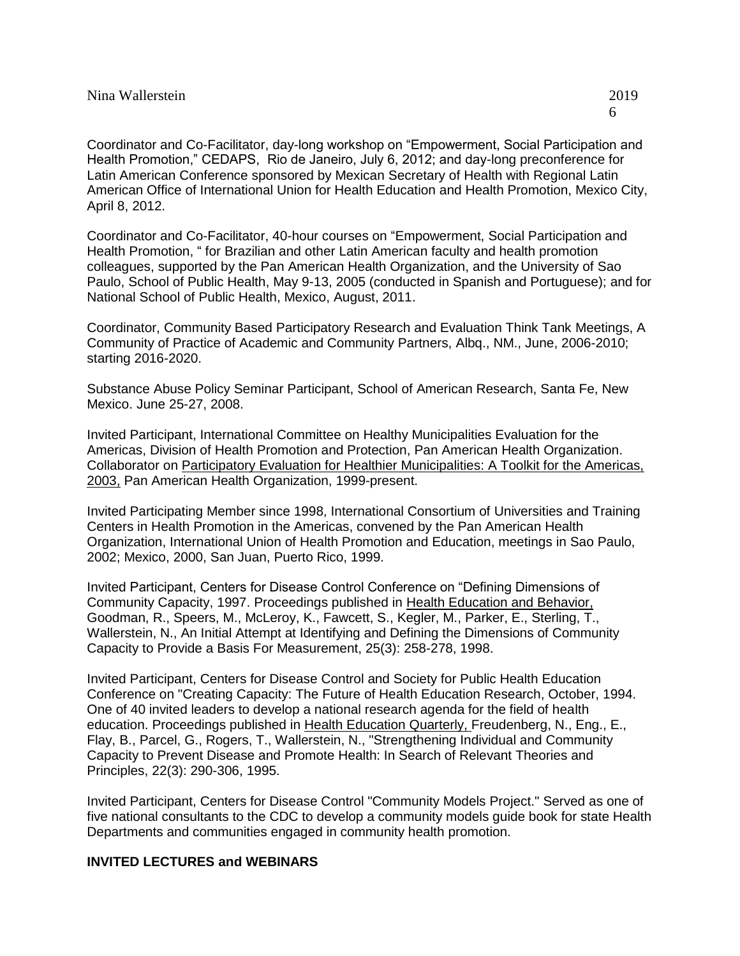Coordinator and Co-Facilitator, day-long workshop on "Empowerment, Social Participation and Health Promotion," CEDAPS, Rio de Janeiro, July 6, 2012; and day-long preconference for Latin American Conference sponsored by Mexican Secretary of Health with Regional Latin American Office of International Union for Health Education and Health Promotion, Mexico City, April 8, 2012.

Coordinator and Co-Facilitator, 40-hour courses on "Empowerment, Social Participation and Health Promotion, " for Brazilian and other Latin American faculty and health promotion colleagues, supported by the Pan American Health Organization, and the University of Sao Paulo, School of Public Health, May 9-13, 2005 (conducted in Spanish and Portuguese); and for National School of Public Health, Mexico, August, 2011.

Coordinator, Community Based Participatory Research and Evaluation Think Tank Meetings, A Community of Practice of Academic and Community Partners, Albq., NM., June, 2006-2010; starting 2016-2020.

Substance Abuse Policy Seminar Participant, School of American Research, Santa Fe, New Mexico. June 25-27, 2008.

Invited Participant, International Committee on Healthy Municipalities Evaluation for the Americas, Division of Health Promotion and Protection, Pan American Health Organization. Collaborator on Participatory Evaluation for Healthier Municipalities: A Toolkit for the Americas, 2003, Pan American Health Organization, 1999-present.

Invited Participating Member since 1998, International Consortium of Universities and Training Centers in Health Promotion in the Americas, convened by the Pan American Health Organization, International Union of Health Promotion and Education, meetings in Sao Paulo, 2002; Mexico, 2000, San Juan, Puerto Rico, 1999.

Invited Participant, Centers for Disease Control Conference on "Defining Dimensions of Community Capacity, 1997. Proceedings published in Health Education and Behavior, Goodman, R., Speers, M., McLeroy, K., Fawcett, S., Kegler, M., Parker, E., Sterling, T., Wallerstein, N., An Initial Attempt at Identifying and Defining the Dimensions of Community Capacity to Provide a Basis For Measurement, 25(3): 258-278, 1998.

Invited Participant, Centers for Disease Control and Society for Public Health Education Conference on "Creating Capacity: The Future of Health Education Research, October, 1994. One of 40 invited leaders to develop a national research agenda for the field of health education. Proceedings published in Health Education Quarterly, Freudenberg, N., Eng., E., Flay, B., Parcel, G., Rogers, T., Wallerstein, N., "Strengthening Individual and Community Capacity to Prevent Disease and Promote Health: In Search of Relevant Theories and Principles, 22(3): 290-306, 1995.

Invited Participant, Centers for Disease Control "Community Models Project." Served as one of five national consultants to the CDC to develop a community models guide book for state Health Departments and communities engaged in community health promotion.

### **INVITED LECTURES and WEBINARS**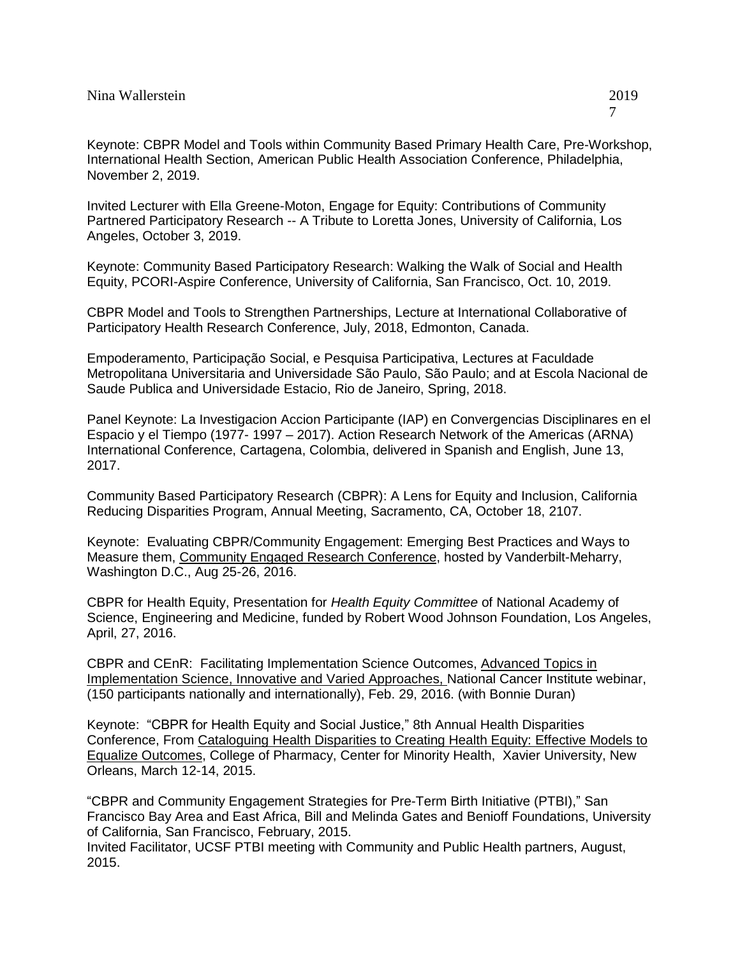Invited Lecturer with Ella Greene-Moton, Engage for Equity: Contributions of Community Partnered Participatory Research -- A Tribute to Loretta Jones, University of California, Los Angeles, October 3, 2019.

Keynote: Community Based Participatory Research: Walking the Walk of Social and Health Equity, PCORI-Aspire Conference, University of California, San Francisco, Oct. 10, 2019.

CBPR Model and Tools to Strengthen Partnerships, Lecture at International Collaborative of Participatory Health Research Conference, July, 2018, Edmonton, Canada.

Empoderamento, Participação Social, e Pesquisa Participativa, Lectures at Faculdade Metropolitana Universitaria and Universidade São Paulo, São Paulo; and at Escola Nacional de Saude Publica and Universidade Estacio, Rio de Janeiro, Spring, 2018.

Panel Keynote: La Investigacion Accion Participante (IAP) en Convergencias Disciplinares en el Espacio y el Tiempo (1977- 1997 – 2017). Action Research Network of the Americas (ARNA) International Conference, Cartagena, Colombia, delivered in Spanish and English, June 13, 2017.

Community Based Participatory Research (CBPR): A Lens for Equity and Inclusion, California Reducing Disparities Program, Annual Meeting, Sacramento, CA, October 18, 2107.

Keynote: Evaluating CBPR/Community Engagement: Emerging Best Practices and Ways to Measure them, Community Engaged Research Conference, hosted by Vanderbilt-Meharry, Washington D.C., Aug 25-26, 2016.

CBPR for Health Equity, Presentation for *Health Equity Committee* of National Academy of Science, Engineering and Medicine, funded by Robert Wood Johnson Foundation, Los Angeles, April, 27, 2016.

CBPR and CEnR: Facilitating Implementation Science Outcomes, Advanced Topics in Implementation Science, Innovative and Varied Approaches, National Cancer Institute webinar, (150 participants nationally and internationally), Feb. 29, 2016. (with Bonnie Duran)

Keynote: "CBPR for Health Equity and Social Justice," 8th Annual Health Disparities Conference, From Cataloguing Health Disparities to Creating Health Equity: Effective Models to Equalize Outcomes, College of Pharmacy, Center for Minority Health, Xavier University, New Orleans, March 12-14, 2015.

"CBPR and Community Engagement Strategies for Pre-Term Birth Initiative (PTBI)," San Francisco Bay Area and East Africa, Bill and Melinda Gates and Benioff Foundations, University of California, San Francisco, February, 2015.

Invited Facilitator, UCSF PTBI meeting with Community and Public Health partners, August, 2015.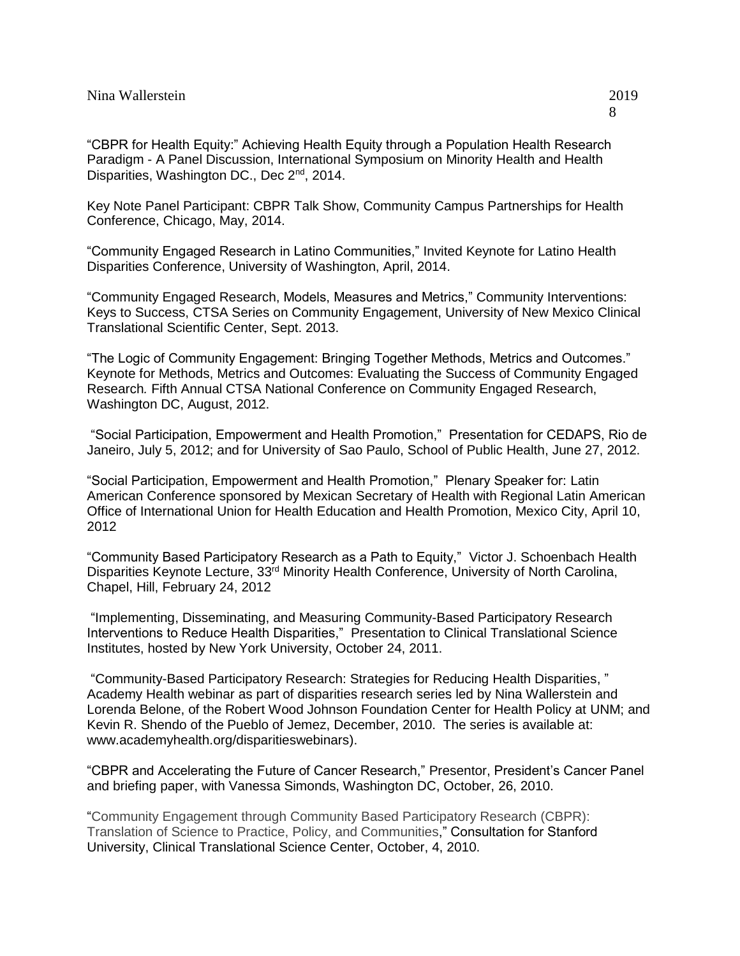"CBPR for Health Equity:" Achieving Health Equity through a Population Health Research Paradigm - A Panel Discussion, International Symposium on Minority Health and Health Disparities, Washington DC., Dec 2<sup>nd</sup>, 2014.

Key Note Panel Participant: CBPR Talk Show, Community Campus Partnerships for Health Conference, Chicago, May, 2014.

"Community Engaged Research in Latino Communities," Invited Keynote for Latino Health Disparities Conference, University of Washington, April, 2014.

"Community Engaged Research, Models, Measures and Metrics," Community Interventions: Keys to Success, CTSA Series on Community Engagement, University of New Mexico Clinical Translational Scientific Center, Sept. 2013.

"The Logic of Community Engagement: Bringing Together Methods, Metrics and Outcomes." Keynote for Methods, Metrics and Outcomes: Evaluating the Success of Community Engaged Research*.* Fifth Annual CTSA National Conference on Community Engaged Research, Washington DC, August, 2012.

"Social Participation, Empowerment and Health Promotion," Presentation for CEDAPS, Rio de Janeiro, July 5, 2012; and for University of Sao Paulo, School of Public Health, June 27, 2012.

"Social Participation, Empowerment and Health Promotion," Plenary Speaker for: Latin American Conference sponsored by Mexican Secretary of Health with Regional Latin American Office of International Union for Health Education and Health Promotion, Mexico City, April 10, 2012

"Community Based Participatory Research as a Path to Equity," Victor J. Schoenbach Health Disparities Keynote Lecture, 33<sup>rd</sup> Minority Health Conference, University of North Carolina, Chapel, Hill, February 24, 2012

"Implementing, Disseminating, and Measuring Community-Based Participatory Research Interventions to Reduce Health Disparities," Presentation to Clinical Translational Science Institutes, hosted by New York University, October 24, 2011.

["Community-Based Participatory Research: Strategies for Reducing Health Disparities,](http://www.academyhealth.org/Training/ResourceDetail.cfm?itemnumber=6338) " Academy Health webinar as part of disparities research series led by Nina Wallerstein and Lorenda Belone, of the Robert Wood Johnson Foundation Center for Health Policy at UNM; and Kevin R. Shendo of the Pueblo of Jemez, December, 2010. The series is available at: [www.academyhealth.org/disparitieswebinars\)](http://www.academyhealth.org/disparitieswebinars).

"CBPR and Accelerating the Future of Cancer Research," Presentor, President's Cancer Panel and briefing paper, with Vanessa Simonds, Washington DC, October, 26, 2010.

"Community Engagement through Community Based Participatory Research (CBPR): Translation of Science to Practice, Policy, and Communities," Consultation for Stanford University, Clinical Translational Science Center, October, 4, 2010.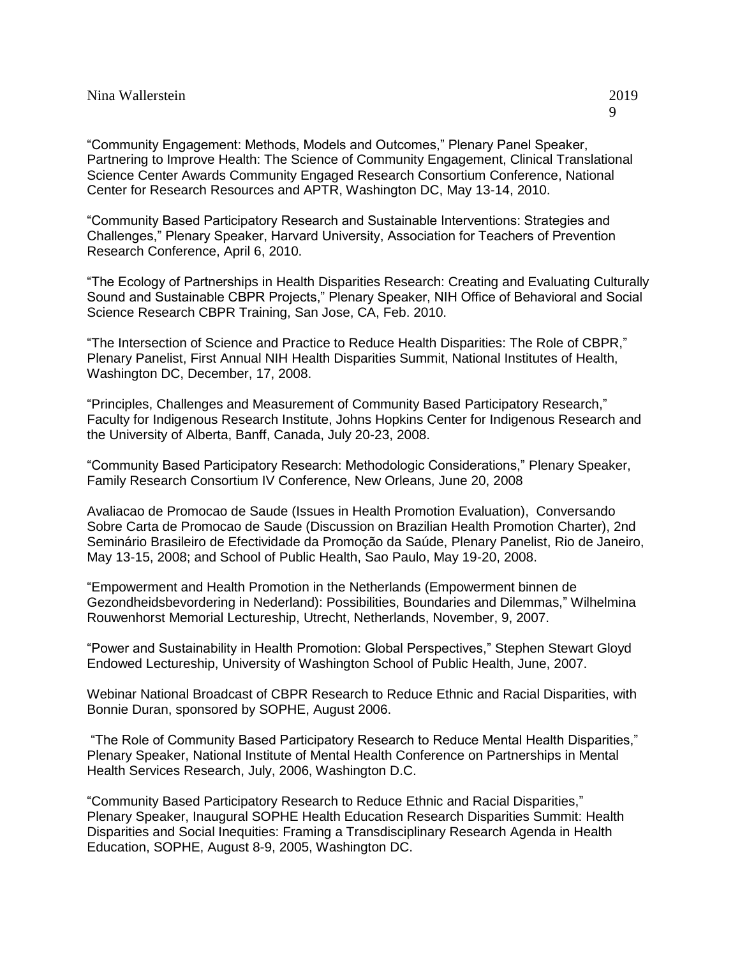"Community Engagement: Methods, Models and Outcomes," Plenary Panel Speaker, Partnering to Improve Health: The Science of Community Engagement, Clinical Translational Science Center Awards Community Engaged Research Consortium Conference, National Center for Research Resources and APTR, Washington DC, May 13-14, 2010.

"Community Based Participatory Research and Sustainable Interventions: Strategies and Challenges," Plenary Speaker, Harvard University, Association for Teachers of Prevention Research Conference, April 6, 2010.

"The Ecology of Partnerships in Health Disparities Research: Creating and Evaluating Culturally Sound and Sustainable CBPR Projects," Plenary Speaker, NIH Office of Behavioral and Social Science Research CBPR Training, San Jose, CA, Feb. 2010.

"The Intersection of Science and Practice to Reduce Health Disparities: The Role of CBPR," Plenary Panelist, First Annual NIH Health Disparities Summit, National Institutes of Health, Washington DC, December, 17, 2008.

"Principles, Challenges and Measurement of Community Based Participatory Research," Faculty for Indigenous Research Institute, Johns Hopkins Center for Indigenous Research and the University of Alberta, Banff, Canada, July 20-23, 2008.

"Community Based Participatory Research: Methodologic Considerations," Plenary Speaker, Family Research Consortium IV Conference, New Orleans, June 20, 2008

Avaliacao de Promocao de Saude (Issues in Health Promotion Evaluation), Conversando Sobre Carta de Promocao de Saude (Discussion on Brazilian Health Promotion Charter), 2nd Seminário Brasileiro de Efectividade da Promoção da Saúde, Plenary Panelist, Rio de Janeiro, May 13-15, 2008; and School of Public Health, Sao Paulo, May 19-20, 2008.

"Empowerment and Health Promotion in the Netherlands (Empowerment binnen de Gezondheidsbevordering in Nederland): Possibilities, Boundaries and Dilemmas," Wilhelmina Rouwenhorst Memorial Lectureship, Utrecht, Netherlands, November, 9, 2007.

"Power and Sustainability in Health Promotion: Global Perspectives," Stephen Stewart Gloyd Endowed Lectureship, University of Washington School of Public Health, June, 2007.

Webinar National Broadcast of CBPR Research to Reduce Ethnic and Racial Disparities, with Bonnie Duran, sponsored by SOPHE, August 2006.

"The Role of Community Based Participatory Research to Reduce Mental Health Disparities," Plenary Speaker, National Institute of Mental Health Conference on Partnerships in Mental Health Services Research, July, 2006, Washington D.C.

"Community Based Participatory Research to Reduce Ethnic and Racial Disparities," Plenary Speaker, Inaugural SOPHE Health Education Research Disparities Summit: Health Disparities and Social Inequities: Framing a Transdisciplinary Research Agenda in Health Education, SOPHE, August 8-9, 2005, Washington DC.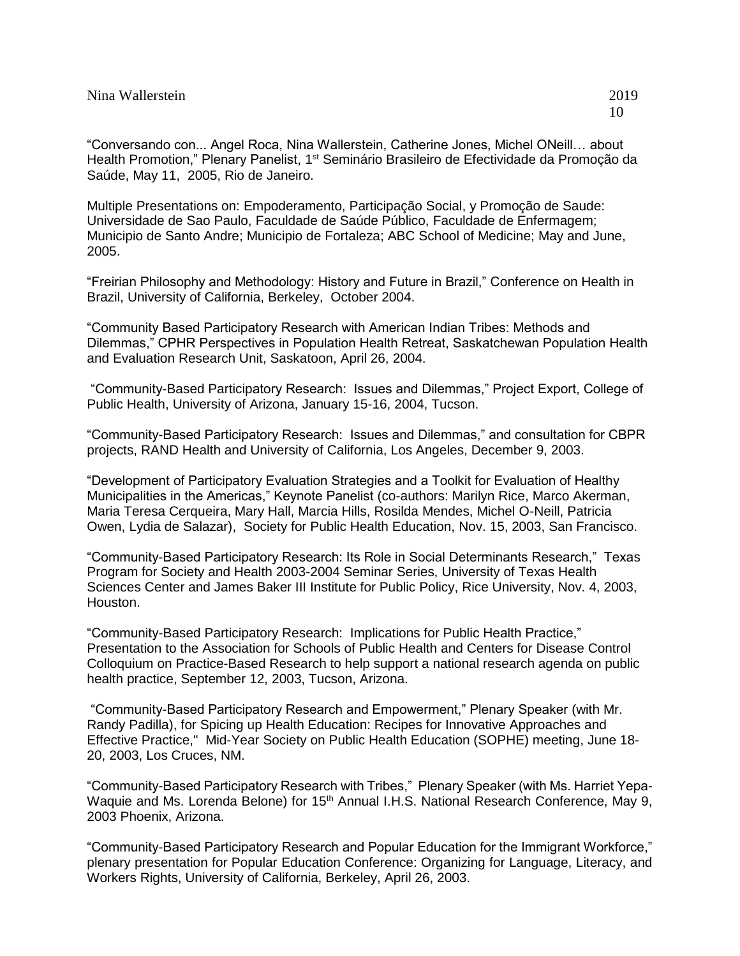"Conversando con... Angel Roca, Nina Wallerstein, Catherine Jones, Michel ONeill… about Health Promotion," Plenary Panelist, 1<sup>st</sup> Seminário Brasileiro de Efectividade da Promoção da Saúde, May 11, 2005, Rio de Janeiro.

Multiple Presentations on: Empoderamento, Participação Social, y Promoção de Saude: Universidade de Sao Paulo, Faculdade de Saúde Público, Faculdade de Enfermagem; Municipio de Santo Andre; Municipio de Fortaleza; ABC School of Medicine; May and June, 2005.

"Freirian Philosophy and Methodology: History and Future in Brazil," Conference on Health in Brazil, University of California, Berkeley, October 2004.

"Community Based Participatory Research with American Indian Tribes: Methods and Dilemmas," CPHR Perspectives in Population Health Retreat, Saskatchewan Population Health and Evaluation Research Unit, Saskatoon, April 26, 2004.

"Community-Based Participatory Research: Issues and Dilemmas," Project Export, College of Public Health, University of Arizona, January 15-16, 2004, Tucson.

"Community-Based Participatory Research: Issues and Dilemmas," and consultation for CBPR projects, RAND Health and University of California, Los Angeles, December 9, 2003.

"Development of Participatory Evaluation Strategies and a Toolkit for Evaluation of Healthy Municipalities in the Americas," Keynote Panelist (co-authors: Marilyn Rice, Marco Akerman, Maria Teresa Cerqueira, Mary Hall, Marcia Hills, Rosilda Mendes, Michel O-Neill, Patricia Owen, Lydia de Salazar), Society for Public Health Education, Nov. 15, 2003, San Francisco.

"Community-Based Participatory Research: Its Role in Social Determinants Research," Texas Program for Society and Health 2003-2004 Seminar Series, University of Texas Health Sciences Center and James Baker III Institute for Public Policy, Rice University, Nov. 4, 2003, Houston.

"Community-Based Participatory Research: Implications for Public Health Practice," Presentation to the Association for Schools of Public Health and Centers for Disease Control Colloquium on Practice-Based Research to help support a national research agenda on public health practice, September 12, 2003, Tucson, Arizona.

"Community-Based Participatory Research and Empowerment," Plenary Speaker (with Mr. Randy Padilla), for Spicing up Health Education: Recipes for Innovative Approaches and Effective Practice," Mid-Year Society on Public Health Education (SOPHE) meeting, June 18- 20, 2003, Los Cruces, NM.

"Community-Based Participatory Research with Tribes," Plenary Speaker (with Ms. Harriet Yepa-Waquie and Ms. Lorenda Belone) for 15<sup>th</sup> Annual I.H.S. National Research Conference, May 9, 2003 Phoenix, Arizona.

"Community-Based Participatory Research and Popular Education for the Immigrant Workforce," plenary presentation for Popular Education Conference: Organizing for Language, Literacy, and Workers Rights, University of California, Berkeley, April 26, 2003.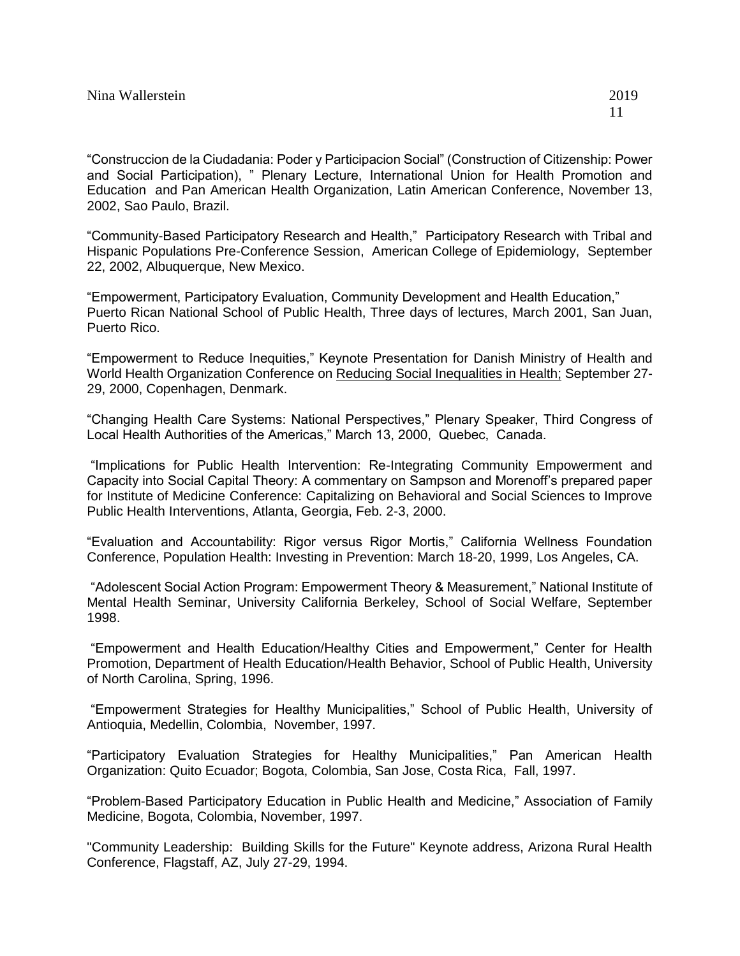"Construccion de la Ciudadania: Poder y Participacion Social" (Construction of Citizenship: Power and Social Participation), " Plenary Lecture, International Union for Health Promotion and Education and Pan American Health Organization, Latin American Conference, November 13, 2002, Sao Paulo, Brazil.

"Community-Based Participatory Research and Health," Participatory Research with Tribal and Hispanic Populations Pre-Conference Session, American College of Epidemiology, September 22, 2002, Albuquerque, New Mexico.

"Empowerment, Participatory Evaluation, Community Development and Health Education," Puerto Rican National School of Public Health, Three days of lectures, March 2001, San Juan, Puerto Rico.

"Empowerment to Reduce Inequities," Keynote Presentation for Danish Ministry of Health and World Health Organization Conference on Reducing Social Inequalities in Health; September 27- 29, 2000, Copenhagen, Denmark.

"Changing Health Care Systems: National Perspectives," Plenary Speaker, Third Congress of Local Health Authorities of the Americas," March 13, 2000, Quebec, Canada.

"Implications for Public Health Intervention: Re-Integrating Community Empowerment and Capacity into Social Capital Theory: A commentary on Sampson and Morenoff's prepared paper for Institute of Medicine Conference: Capitalizing on Behavioral and Social Sciences to Improve Public Health Interventions, Atlanta, Georgia, Feb. 2-3, 2000.

"Evaluation and Accountability: Rigor versus Rigor Mortis," California Wellness Foundation Conference, Population Health: Investing in Prevention: March 18-20, 1999, Los Angeles, CA.

"Adolescent Social Action Program: Empowerment Theory & Measurement," National Institute of Mental Health Seminar, University California Berkeley, School of Social Welfare, September 1998.

"Empowerment and Health Education/Healthy Cities and Empowerment," Center for Health Promotion, Department of Health Education/Health Behavior, School of Public Health, University of North Carolina, Spring, 1996.

"Empowerment Strategies for Healthy Municipalities," School of Public Health, University of Antioquia, Medellin, Colombia, November, 1997.

"Participatory Evaluation Strategies for Healthy Municipalities," Pan American Health Organization: Quito Ecuador; Bogota, Colombia, San Jose, Costa Rica, Fall, 1997.

"Problem-Based Participatory Education in Public Health and Medicine," Association of Family Medicine, Bogota, Colombia, November, 1997.

"Community Leadership: Building Skills for the Future" Keynote address, Arizona Rural Health Conference, Flagstaff, AZ, July 27-29, 1994.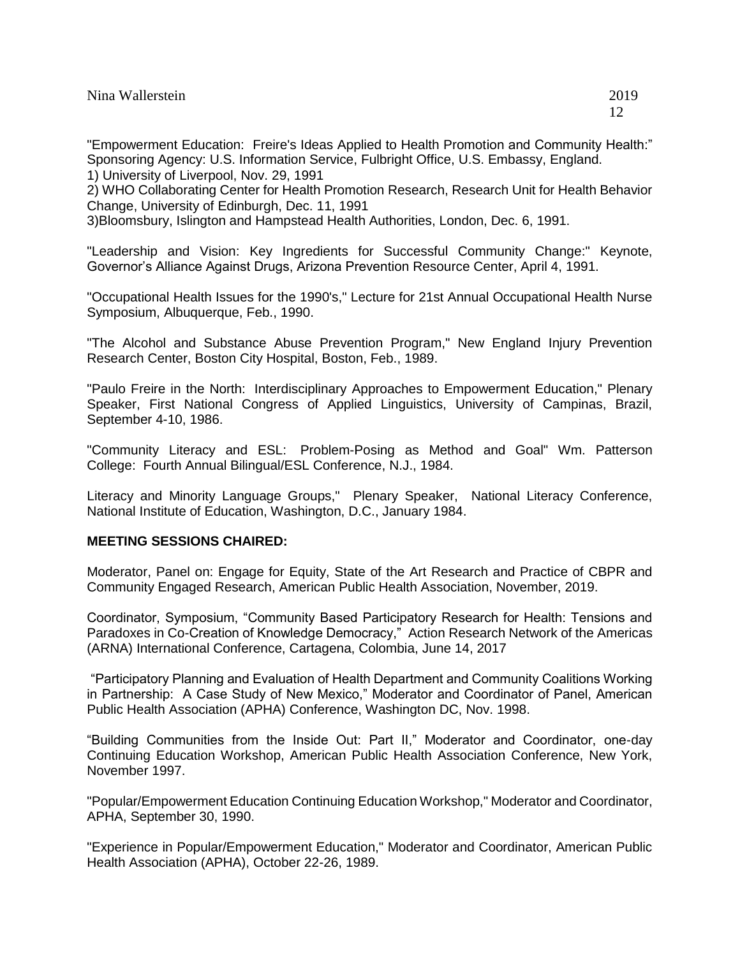| Nina Wallerstein | 2019 |
|------------------|------|
|                  |      |

"Empowerment Education: Freire's Ideas Applied to Health Promotion and Community Health:" Sponsoring Agency: U.S. Information Service, Fulbright Office, U.S. Embassy, England. 1) University of Liverpool, Nov. 29, 1991

2) WHO Collaborating Center for Health Promotion Research, Research Unit for Health Behavior Change, University of Edinburgh, Dec. 11, 1991

3)Bloomsbury, Islington and Hampstead Health Authorities, London, Dec. 6, 1991.

"Leadership and Vision: Key Ingredients for Successful Community Change:" Keynote, Governor's Alliance Against Drugs, Arizona Prevention Resource Center, April 4, 1991.

"Occupational Health Issues for the 1990's," Lecture for 21st Annual Occupational Health Nurse Symposium, Albuquerque, Feb., 1990.

"The Alcohol and Substance Abuse Prevention Program," New England Injury Prevention Research Center, Boston City Hospital, Boston, Feb., 1989.

"Paulo Freire in the North: Interdisciplinary Approaches to Empowerment Education," Plenary Speaker, First National Congress of Applied Linguistics, University of Campinas, Brazil, September 4-10, 1986.

"Community Literacy and ESL: Problem-Posing as Method and Goal" Wm. Patterson College: Fourth Annual Bilingual/ESL Conference, N.J., 1984.

Literacy and Minority Language Groups," Plenary Speaker, National Literacy Conference, National Institute of Education, Washington, D.C., January 1984.

# **MEETING SESSIONS CHAIRED:**

Moderator, Panel on: Engage for Equity, State of the Art Research and Practice of CBPR and Community Engaged Research, American Public Health Association, November, 2019.

Coordinator, Symposium, "Community Based Participatory Research for Health: Tensions and Paradoxes in Co-Creation of Knowledge Democracy," Action Research Network of the Americas (ARNA) International Conference, Cartagena, Colombia, June 14, 2017

"Participatory Planning and Evaluation of Health Department and Community Coalitions Working in Partnership: A Case Study of New Mexico," Moderator and Coordinator of Panel, American Public Health Association (APHA) Conference, Washington DC, Nov. 1998.

"Building Communities from the Inside Out: Part II," Moderator and Coordinator, one-day Continuing Education Workshop, American Public Health Association Conference, New York, November 1997.

"Popular/Empowerment Education Continuing Education Workshop," Moderator and Coordinator, APHA, September 30, 1990.

"Experience in Popular/Empowerment Education," Moderator and Coordinator, American Public Health Association (APHA), October 22-26, 1989.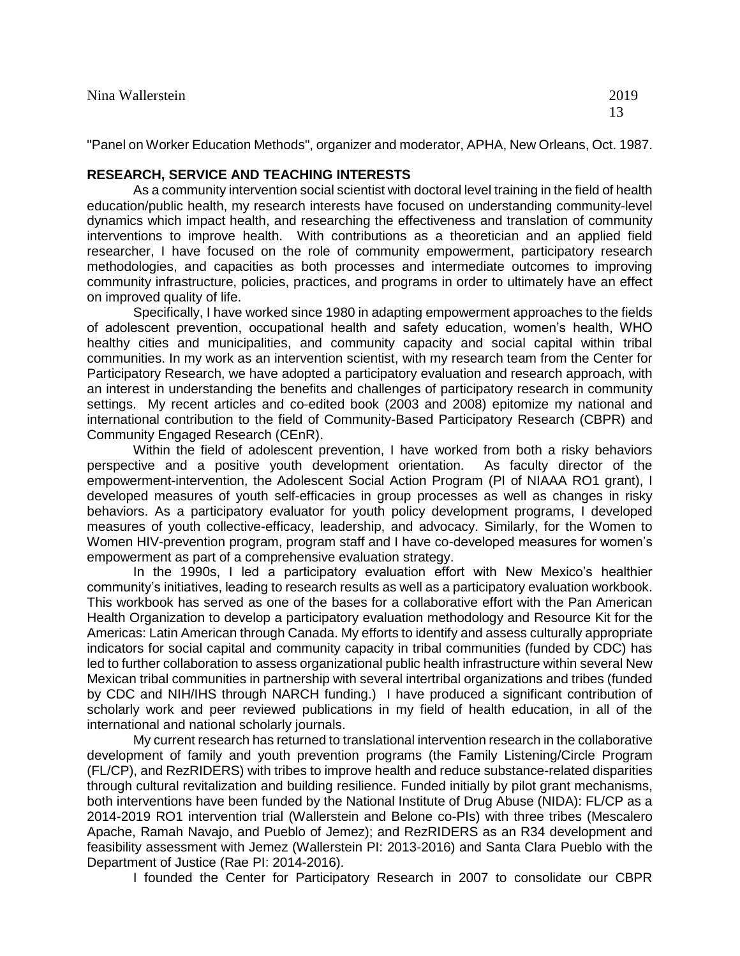"Panel on Worker Education Methods", organizer and moderator, APHA, New Orleans, Oct. 1987.

#### **RESEARCH, SERVICE AND TEACHING INTERESTS**

As a community intervention social scientist with doctoral level training in the field of health education/public health, my research interests have focused on understanding community-level dynamics which impact health, and researching the effectiveness and translation of community interventions to improve health. With contributions as a theoretician and an applied field researcher, I have focused on the role of community empowerment, participatory research methodologies, and capacities as both processes and intermediate outcomes to improving community infrastructure, policies, practices, and programs in order to ultimately have an effect on improved quality of life.

Specifically, I have worked since 1980 in adapting empowerment approaches to the fields of adolescent prevention, occupational health and safety education, women's health, WHO healthy cities and municipalities, and community capacity and social capital within tribal communities. In my work as an intervention scientist, with my research team from the Center for Participatory Research, we have adopted a participatory evaluation and research approach, with an interest in understanding the benefits and challenges of participatory research in community settings. My recent articles and co-edited book (2003 and 2008) epitomize my national and international contribution to the field of Community-Based Participatory Research (CBPR) and Community Engaged Research (CEnR).

Within the field of adolescent prevention, I have worked from both a risky behaviors perspective and a positive youth development orientation. As faculty director of the empowerment-intervention, the Adolescent Social Action Program (PI of NIAAA RO1 grant), I developed measures of youth self-efficacies in group processes as well as changes in risky behaviors. As a participatory evaluator for youth policy development programs, I developed measures of youth collective-efficacy, leadership, and advocacy. Similarly, for the Women to Women HIV-prevention program, program staff and I have co-developed measures for women's empowerment as part of a comprehensive evaluation strategy.

In the 1990s, I led a participatory evaluation effort with New Mexico's healthier community's initiatives, leading to research results as well as a participatory evaluation workbook. This workbook has served as one of the bases for a collaborative effort with the Pan American Health Organization to develop a participatory evaluation methodology and Resource Kit for the Americas: Latin American through Canada. My efforts to identify and assess culturally appropriate indicators for social capital and community capacity in tribal communities (funded by CDC) has led to further collaboration to assess organizational public health infrastructure within several New Mexican tribal communities in partnership with several intertribal organizations and tribes (funded by CDC and NIH/IHS through NARCH funding.) I have produced a significant contribution of scholarly work and peer reviewed publications in my field of health education, in all of the international and national scholarly journals.

My current research has returned to translational intervention research in the collaborative development of family and youth prevention programs (the Family Listening/Circle Program (FL/CP), and RezRIDERS) with tribes to improve health and reduce substance-related disparities through cultural revitalization and building resilience. Funded initially by pilot grant mechanisms, both interventions have been funded by the National Institute of Drug Abuse (NIDA): FL/CP as a 2014-2019 RO1 intervention trial (Wallerstein and Belone co-PIs) with three tribes (Mescalero Apache, Ramah Navajo, and Pueblo of Jemez); and RezRIDERS as an R34 development and feasibility assessment with Jemez (Wallerstein PI: 2013-2016) and Santa Clara Pueblo with the Department of Justice (Rae PI: 2014-2016).

I founded the Center for Participatory Research in 2007 to consolidate our CBPR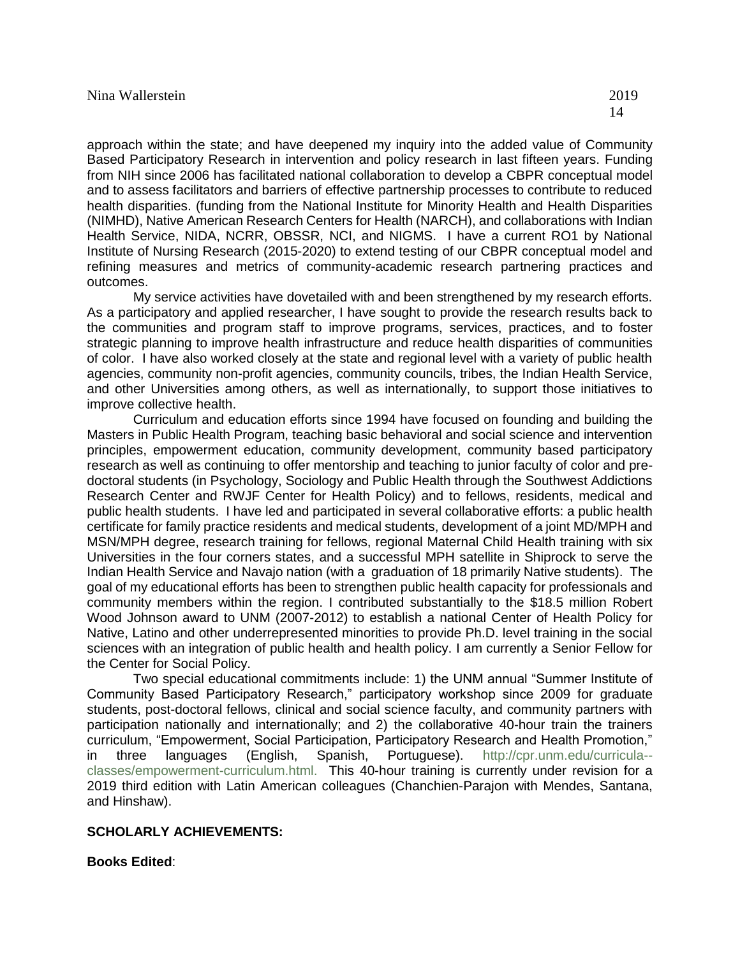approach within the state; and have deepened my inquiry into the added value of Community Based Participatory Research in intervention and policy research in last fifteen years. Funding from NIH since 2006 has facilitated national collaboration to develop a CBPR conceptual model and to assess facilitators and barriers of effective partnership processes to contribute to reduced health disparities. (funding from the National Institute for Minority Health and Health Disparities (NIMHD), Native American Research Centers for Health (NARCH), and collaborations with Indian Health Service, NIDA, NCRR, OBSSR, NCI, and NIGMS. I have a current RO1 by National Institute of Nursing Research (2015-2020) to extend testing of our CBPR conceptual model and refining measures and metrics of community-academic research partnering practices and outcomes.

My service activities have dovetailed with and been strengthened by my research efforts. As a participatory and applied researcher, I have sought to provide the research results back to the communities and program staff to improve programs, services, practices, and to foster strategic planning to improve health infrastructure and reduce health disparities of communities of color. I have also worked closely at the state and regional level with a variety of public health agencies, community non-profit agencies, community councils, tribes, the Indian Health Service, and other Universities among others, as well as internationally, to support those initiatives to improve collective health.

Curriculum and education efforts since 1994 have focused on founding and building the Masters in Public Health Program, teaching basic behavioral and social science and intervention principles, empowerment education, community development, community based participatory research as well as continuing to offer mentorship and teaching to junior faculty of color and predoctoral students (in Psychology, Sociology and Public Health through the Southwest Addictions Research Center and RWJF Center for Health Policy) and to fellows, residents, medical and public health students. I have led and participated in several collaborative efforts: a public health certificate for family practice residents and medical students, development of a joint MD/MPH and MSN/MPH degree, research training for fellows, regional Maternal Child Health training with six Universities in the four corners states, and a successful MPH satellite in Shiprock to serve the Indian Health Service and Navajo nation (with a graduation of 18 primarily Native students). The goal of my educational efforts has been to strengthen public health capacity for professionals and community members within the region. I contributed substantially to the \$18.5 million Robert Wood Johnson award to UNM (2007-2012) to establish a national Center of Health Policy for Native, Latino and other underrepresented minorities to provide Ph.D. level training in the social sciences with an integration of public health and health policy. I am currently a Senior Fellow for the Center for Social Policy.

Two special educational commitments include: 1) the UNM annual "Summer Institute of Community Based Participatory Research," participatory workshop since 2009 for graduate students, post-doctoral fellows, clinical and social science faculty, and community partners with participation nationally and internationally; and 2) the collaborative 40-hour train the trainers curriculum, "Empowerment, Social Participation, Participatory Research and Health Promotion," in three languages (English, Spanish, Portuguese). [http://cpr.unm.edu/curricula-](http://cpr.unm.edu/curricula--classes/empowerment-curriculum.html) [classes/empowerment-curriculum.html.](http://cpr.unm.edu/curricula--classes/empowerment-curriculum.html) This 40-hour training is currently under revision for a 2019 third edition with Latin American colleagues (Chanchien-Parajon with Mendes, Santana, and Hinshaw).

### **SCHOLARLY ACHIEVEMENTS:**

**Books Edited**: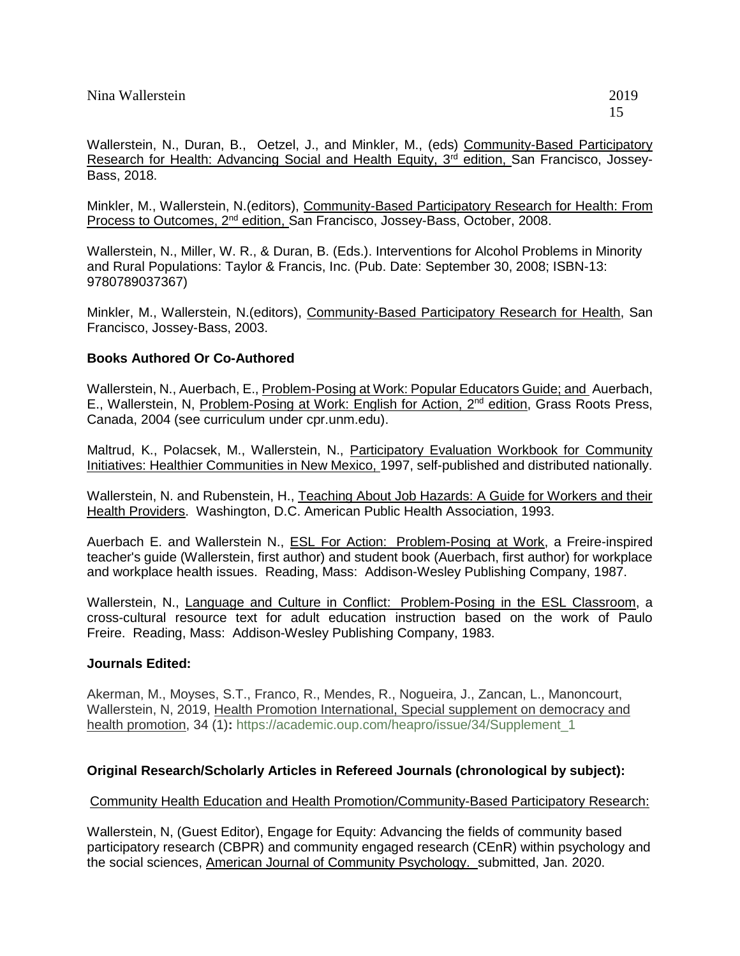Wallerstein, N., Duran, B., Oetzel, J., and Minkler, M., (eds) Community-Based Participatory Research for Health: Advancing Social and Health Equity, 3<sup>rd</sup> edition, San Francisco, Jossey-Bass, 2018.

Minkler, M., Wallerstein, N.(editors), Community-Based Participatory Research for Health: From Process to Outcomes, 2nd edition, San Francisco, Jossey-Bass, October, 2008.

Wallerstein, N., Miller, W. R., & Duran, B. (Eds.). Interventions for Alcohol Problems in Minority and Rural Populations: Taylor & Francis, Inc. (Pub. Date: September 30, 2008; ISBN-13: 9780789037367)

Minkler, M., Wallerstein, N.(editors), Community-Based Participatory Research for Health, San Francisco, Jossey-Bass, 2003.

# **Books Authored Or Co-Authored**

Wallerstein, N., Auerbach, E., Problem-Posing at Work: Popular Educators Guide; and Auerbach, E., Wallerstein, N, Problem-Posing at Work: English for Action, 2<sup>nd</sup> edition, Grass Roots Press, Canada, 2004 (see curriculum under cpr.unm.edu).

Maltrud, K., Polacsek, M., Wallerstein, N., Participatory Evaluation Workbook for Community Initiatives: Healthier Communities in New Mexico, 1997, self-published and distributed nationally.

Wallerstein, N. and Rubenstein, H., Teaching About Job Hazards: A Guide for Workers and their Health Providers. Washington, D.C. American Public Health Association, 1993.

Auerbach E. and Wallerstein N., ESL For Action: Problem-Posing at Work, a Freire-inspired teacher's guide (Wallerstein, first author) and student book (Auerbach, first author) for workplace and workplace health issues. Reading, Mass: Addison-Wesley Publishing Company, 1987.

Wallerstein, N., Language and Culture in Conflict: Problem-Posing in the ESL Classroom, a cross-cultural resource text for adult education instruction based on the work of Paulo Freire. Reading, Mass: Addison-Wesley Publishing Company, 1983.

# **Journals Edited:**

Akerman, M., Moyses, S.T., Franco, R., Mendes, R., Nogueira, J., Zancan, L., Manoncourt, Wallerstein, N, 2019, Health Promotion International, Special supplement on democracy and health promotion, 34 (1)**:** [https://academic.oup.com/heapro/issue/34/Supplement\\_1](https://academic.oup.com/heapro/issue/34/Supplement_1)

# **Original Research/Scholarly Articles in Refereed Journals (chronological by subject):**

Community Health Education and Health Promotion/Community-Based Participatory Research:

Wallerstein, N, (Guest Editor), Engage for Equity: Advancing the fields of community based participatory research (CBPR) and community engaged research (CEnR) within psychology and the social sciences, American Journal of Community Psychology. submitted, Jan. 2020.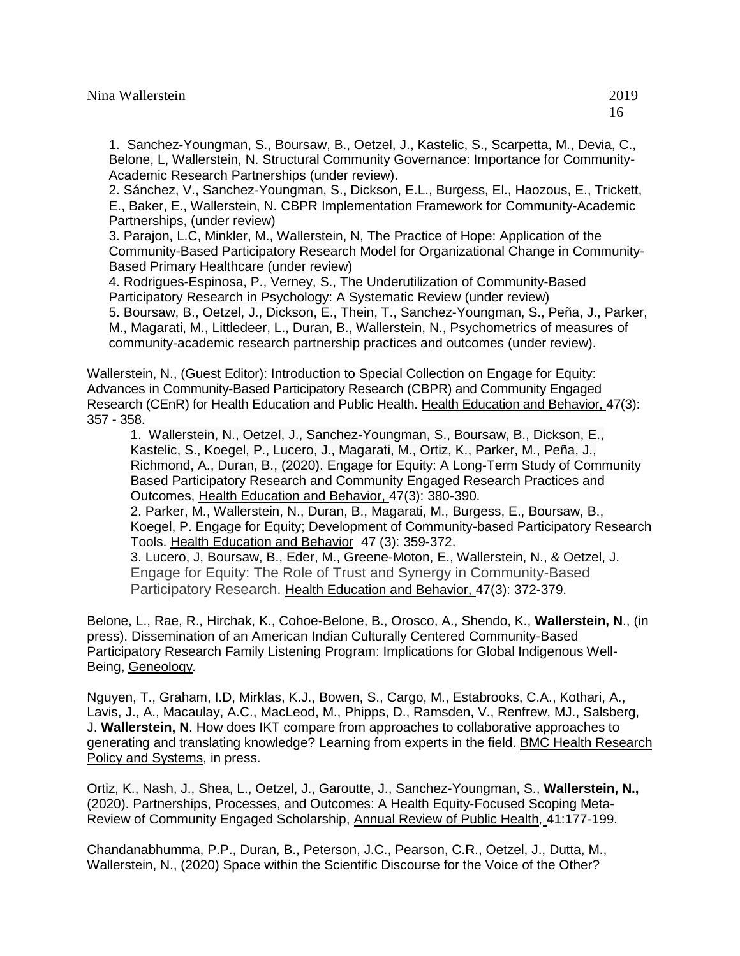2. Sánchez, V., Sanchez-Youngman, S., Dickson, E.L., Burgess, El., Haozous, E., Trickett, E., Baker, E., Wallerstein, N. CBPR Implementation Framework for Community-Academic Partnerships, (under review)

3. Parajon, L.C, Minkler, M., Wallerstein, N, The Practice of Hope: Application of the Community-Based Participatory Research Model for Organizational Change in Community-Based Primary Healthcare (under review)

4. Rodrigues-Espinosa, P., Verney, S., The Underutilization of Community-Based Participatory Research in Psychology: A Systematic Review (under review) 5. Boursaw, B., Oetzel, J., Dickson, E., Thein, T., Sanchez-Youngman, S., Peña, J., Parker, M., Magarati, M., Littledeer, L., Duran, B., Wallerstein, N., Psychometrics of measures of community-academic research partnership practices and outcomes (under review).

Wallerstein, N., (Guest Editor): Introduction to Special Collection on Engage for Equity: Advances in Community-Based Participatory Research (CBPR) and Community Engaged Research (CEnR) for Health Education and Public Health. Health Education and Behavior, 47(3): 357 - 358.

1. Wallerstein, N., Oetzel, J., Sanchez-Youngman, S., Boursaw, B., Dickson, E., Kastelic, S., Koegel, P., Lucero, J., Magarati, M., Ortiz, K., Parker, M., Peña, J., Richmond, A., Duran, B., (2020). Engage for Equity: A Long-Term Study of Community Based Participatory Research and Community Engaged Research Practices and Outcomes, Health Education and Behavior, 47(3): 380-390. 2. Parker, M., Wallerstein, N., Duran, B., Magarati, M., Burgess, E., Boursaw, B., Koegel, P. Engage for Equity; Development of Community-based Participatory Research Tools. Health Education and Behavior 47 (3): 359-372.

3. Lucero, J, Boursaw, B., Eder, M., Greene-Moton, E., Wallerstein, N., & Oetzel, J. Engage for Equity: The Role of Trust and Synergy in Community-Based Participatory Research. Health Education and Behavior, 47(3): 372-379.

Belone, L., Rae, R., Hirchak, K., Cohoe-Belone, B., Orosco, A., Shendo, K., **Wallerstein, N**., (in press). Dissemination of an American Indian Culturally Centered Community-Based Participatory Research Family Listening Program: Implications for Global Indigenous Well-Being, Geneology*.*

Nguyen, T., Graham, I.D, Mirklas, K.J., Bowen, S., Cargo, M., Estabrooks, C.A., Kothari, A., Lavis, J., A., Macaulay, A.C., MacLeod, M., Phipps, D., Ramsden, V., Renfrew, MJ., Salsberg, J. **Wallerstein, N**. How does IKT compare from approaches to collaborative approaches to generating and translating knowledge? Learning from experts in the field. BMC Health Research Policy and Systems, in press.

Ortiz, K., Nash, J., Shea, L., Oetzel, J., Garoutte, J., Sanchez-Youngman, S., **Wallerstein, N.,**  (2020). Partnerships, Processes, and Outcomes: A Health Equity-Focused Scoping Meta-Review of Community Engaged Scholarship, Annual Review of Public Health*,* 41:177-199.

Chandanabhumma, P.P., Duran, B., Peterson, J.C., Pearson, C.R., Oetzel, J., Dutta, M., Wallerstein, N., (2020) Space within the Scientific Discourse for the Voice of the Other?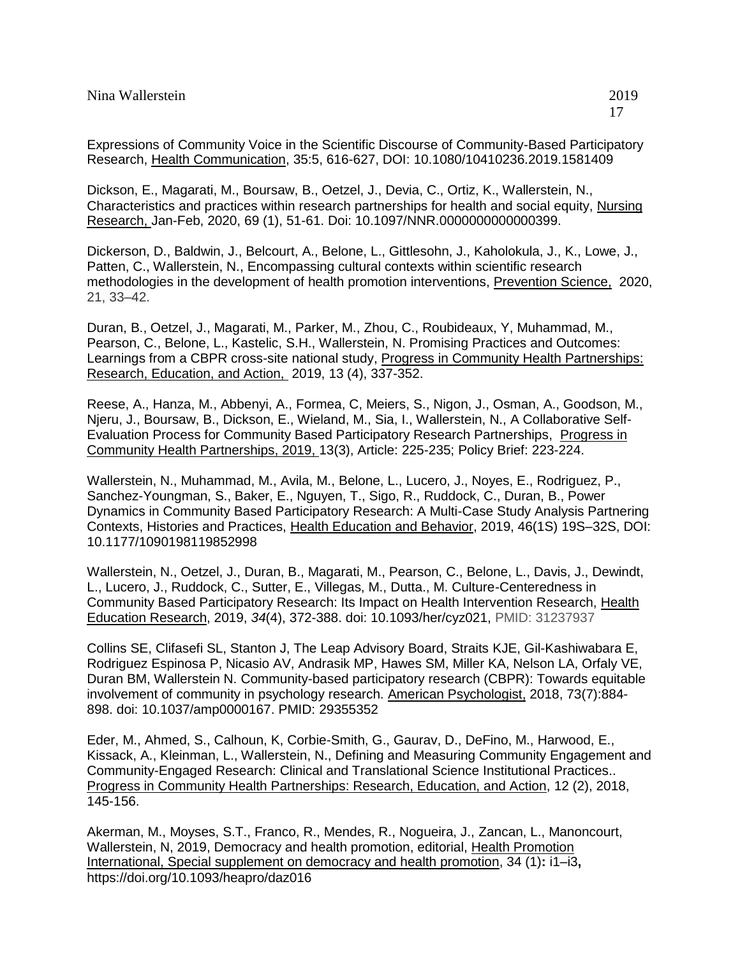Expressions of Community Voice in the Scientific Discourse of Community-Based Participatory Research, Health Communication, 35:5, 616-627, DOI: 10.1080/10410236.2019.1581409

Dickson, E., Magarati, M., Boursaw, B., Oetzel, J., Devia, C., Ortiz, K., Wallerstein, N., Characteristics and practices within research partnerships for health and social equity, Nursing Research, Jan-Feb, 2020, 69 (1), 51-61. Doi: 10.1097/NNR.0000000000000399.

Dickerson, D., Baldwin, J., Belcourt, A., Belone, L., Gittlesohn, J., Kaholokula, J., K., Lowe, J., Patten, C., Wallerstein, N., Encompassing cultural contexts within scientific research methodologies in the development of health promotion interventions, Prevention Science, 2020, 21, 33–42.

Duran, B., Oetzel, J., Magarati, M., Parker, M., Zhou, C., Roubideaux, Y, Muhammad, M., Pearson, C., Belone, L., Kastelic, S.H., Wallerstein, N. Promising Practices and Outcomes: Learnings from a CBPR cross-site national study, Progress in Community Health Partnerships: Research, Education, and Action, 2019, 13 (4), 337-352.

Reese, A., Hanza, M., Abbenyi, A., Formea, C, Meiers, S., Nigon, J., Osman, A., Goodson, M., Njeru, J., Boursaw, B., Dickson, E., Wieland, M., Sia, I., Wallerstein, N., A Collaborative Self-Evaluation Process for Community Based Participatory Research Partnerships, Progress in Community Health Partnerships, 2019, 13(3), Article: 225-235; Policy Brief: 223-224.

Wallerstein, N., Muhammad, M., Avila, M., Belone, L., Lucero, J., Noyes, E., Rodriguez, P., Sanchez-Youngman, S., Baker, E., Nguyen, T., Sigo, R., Ruddock, C., Duran, B., Power Dynamics in Community Based Participatory Research: A Multi-Case Study Analysis Partnering Contexts, Histories and Practices, Health Education and Behavior, 2019, 46(1S) 19S–32S, DOI: 10.1177/1090198119852998

Wallerstein, N., Oetzel, J., Duran, B., Magarati, M., Pearson, C., Belone, L., Davis, J., Dewindt, L., Lucero, J., Ruddock, C., Sutter, E., Villegas, M., Dutta., M. Culture-Centeredness in Community Based Participatory Research: Its Impact on Health Intervention Research, Health Education Research, 2019, *34*(4), 372-388. doi: 10.1093/her/cyz021, PMID: 31237937

Collins SE, Clifasefi SL, Stanton J, The Leap Advisory Board, Straits KJE, Gil-Kashiwabara E, Rodriguez Espinosa P, Nicasio AV, Andrasik MP, Hawes SM, Miller KA, Nelson LA, Orfaly VE, Duran BM, Wallerstein N. [Community-based participatory research \(CBPR\): Towards equitable](https://www.ncbi.nlm.nih.gov/pubmed/29355352)  [involvement of community in psychology research.](https://www.ncbi.nlm.nih.gov/pubmed/29355352) American Psychologist, 2018, 73(7):884- 898. doi: 10.1037/amp0000167. PMID: 29355352

Eder, M., Ahmed, S., Calhoun, K, Corbie-Smith, G., Gaurav, D., DeFino, M., Harwood, E., Kissack, A., Kleinman, L., Wallerstein, N., Defining and Measuring Community Engagement and Community-Engaged Research: Clinical and Translational Science Institutional Practices.. Progress in Community Health Partnerships: Research, Education, and Action, 12 (2), 2018, 145-156.

Akerman, M., Moyses, S.T., Franco, R., Mendes, R., Nogueira, J., Zancan, L., Manoncourt, Wallerstein, N, 2019, Democracy and health promotion, editorial, Health Promotion International, Special supplement on democracy and health promotion, 34 (1)**:** i1–i3**,**  <https://doi.org/10.1093/heapro/daz016>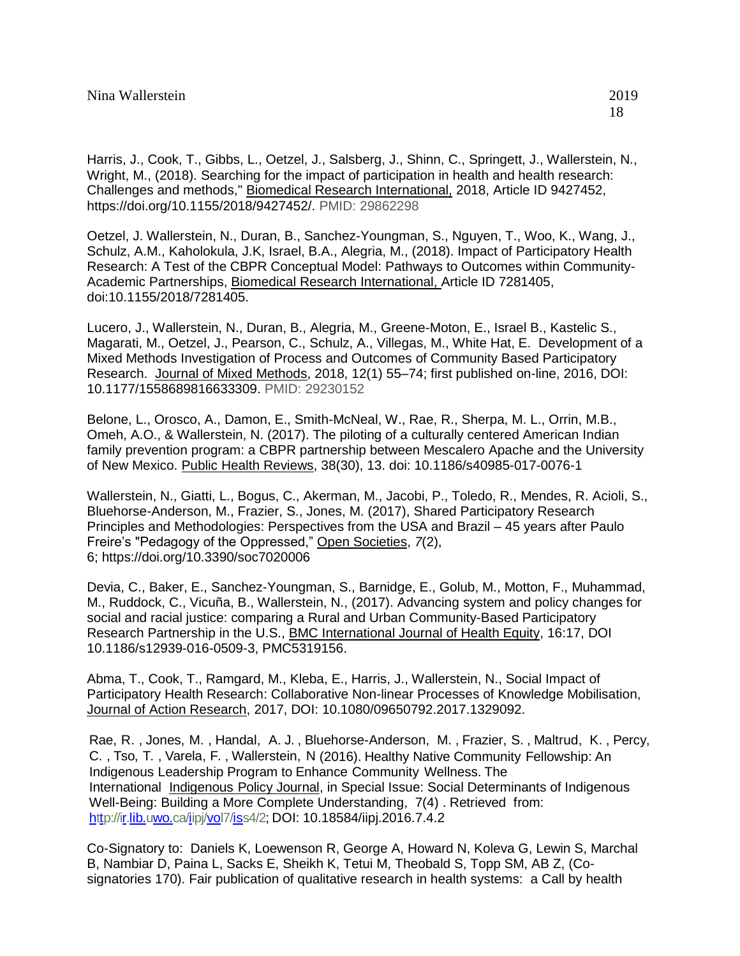Harris, J., Cook, T., Gibbs, L., Oetzel, J., Salsberg, J., Shinn, C., Springett, J., Wallerstein, N., Wright, M., (2018). Searching for the impact of participation in health and health research: Challenges and methods," Biomedical Research International, 2018, Article ID 9427452, [https://doi.org/10.1155/2018/9427452/.](https://doi.org/10.1155/2018/9427452/) PMID: 29862298

Oetzel, J. Wallerstein, N., Duran, B., Sanchez-Youngman, S., Nguyen, T., Woo, K., Wang, J., Schulz, A.M., Kaholokula, J.K, Israel, B.A., Alegria, M., (2018). Impact of Participatory Health Research: A Test of the CBPR Conceptual Model: Pathways to Outcomes within Community-Academic Partnerships, Biomedical Research International, Article ID 7281405, doi:10.1155/2018/7281405.

Lucero, J., Wallerstein, N., Duran, B., Alegria, M., Greene-Moton, E., Israel B., Kastelic S., Magarati, M., Oetzel, J., Pearson, C., Schulz, A., Villegas, M., White Hat, E. Development of a Mixed Methods Investigation of Process and Outcomes of Community Based Participatory Research. Journal of Mixed Methods, 2018, 12(1) 55–74; first published on-line, 2016, DOI: 10.1177/1558689816633309. PMID: 29230152

Belone, L., Orosco, A., Damon, E., Smith-McNeal, W., Rae, R., Sherpa, M. L., Orrin, M.B., Omeh, A.O., & Wallerstein, N. (2017). The piloting of a culturally centered American Indian family prevention program: a CBPR partnership between Mescalero Apache and the University of New Mexico. Public Health Reviews, 38(30), 13. doi: 10.1186/s40985-017-0076-1

Wallerstein, N., Giatti, L., Bogus, C., Akerman, M., Jacobi, P., Toledo, R., Mendes, R. Acioli, S., Bluehorse-Anderson, M., Frazier, S., Jones, M. (2017), Shared Participatory Research Principles and Methodologies: Perspectives from the USA and Brazil – 45 years after Paulo Freire's "Pedagogy of the Oppressed," Open Societies, *7*(2), 6; <https://doi.org/10.3390/soc7020006>

Devia, C., Baker, E., Sanchez-Youngman, S., Barnidge, E., Golub, M., Motton, F., Muhammad, M., Ruddock, C., Vicuña, B., Wallerstein, N., (2017). Advancing system and policy changes for social and racial justice: comparing a Rural and Urban Community-Based Participatory Research Partnership in the U.S., BMC International Journal of Health Equity, 16:17, DOI 10.1186/s12939-016-0509-3, PMC5319156.

Abma, T., Cook, T., Ramgard, M., Kleba, E., Harris, J., Wallerstein, N., Social Impact of Participatory Health Research: Collaborative Non-linear Processes of Knowledge Mobilisation, Journal of Action Research, 2017, DOI: 10.1080/09650792.2017.1329092.

Rae, R. , Jones, M. , Handal, A. J. , Bluehorse-Anderson, M. , Frazier, S. , Maltrud, K. , Percy, C. , Tso, T. , Varela, F. , Wallerstein, N (2016). Healthy Native Community Fellowship: An Indigenous Leadership Program to Enhance Community Wellness. The International Indigenous Policy Journal, in Special Issue: Social Determinants of Indigenous Well-Being: Building a More Complete Understanding, 7(4) . Retrieved from: [http://ir.lib.uwo.ca/iipj/vol7/iss4/2;](http://ir.lib.uwo.ca/iipj/vol7/iss4/2) DOI: 10.18584/iipj.2016.7.4.2

Co-Signatory to: Daniels K, Loewenson R, George A, Howard N, Koleva G, Lewin S, Marchal B, Nambiar D, Paina L, Sacks E, Sheikh K, Tetui M, Theobald S, Topp SM, AB Z, (Cosignatories 170). Fair publication of qualitative research in health systems: a Call by health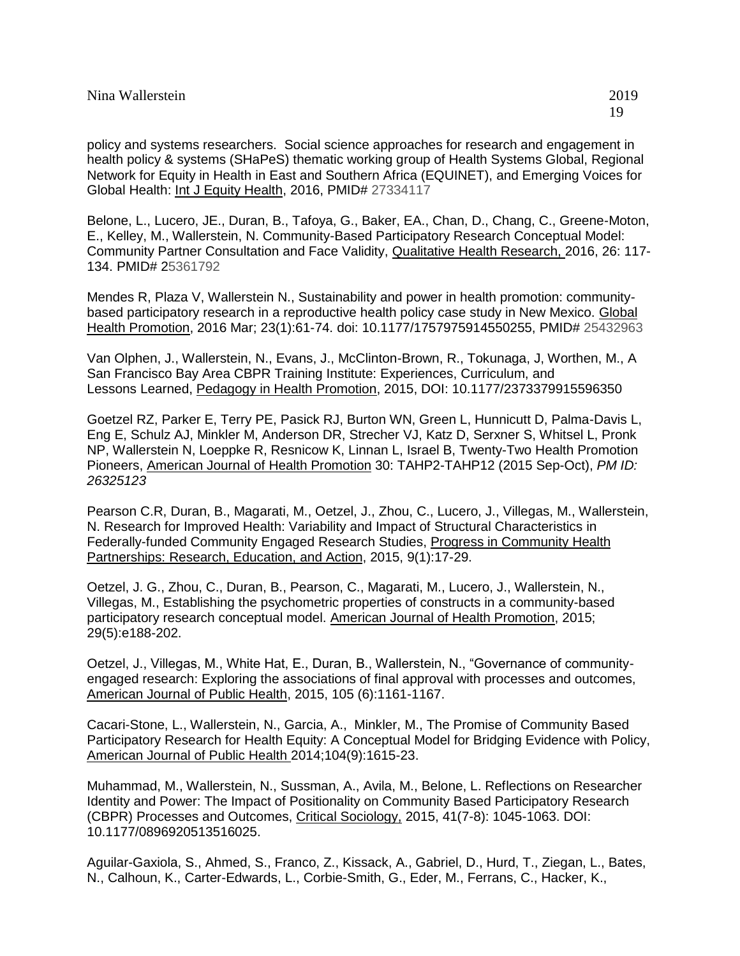policy and systems researchers. Social science approaches for research and engagement in health policy & systems (SHaPeS) thematic working group of Health Systems Global, Regional Network for Equity in Health in East and Southern Africa (EQUINET), and Emerging Voices for Global Health: Int J Equity Health, 2016, PMID# 27334117

Belone, L., Lucero, JE., Duran, B., Tafoya, G., Baker, EA., Chan, D., Chang, C., Greene-Moton, E., Kelley, M., Wallerstein, N. Community-Based Participatory Research Conceptual Model: Community Partner Consultation and Face Validity, Qualitative Health Research, 2016, 26: 117- 134. PMID# 25361792

Mendes R, Plaza V, Wallerstein N., Sustainability and power in health promotion: communitybased participatory research in a reproductive health policy case study in New Mexico. Global Health Promotion, 2016 Mar; 23(1):61-74. doi: 10.1177/1757975914550255, PMID# 25432963

Van Olphen, J., Wallerstein, N., Evans, J., McClinton-Brown, R., Tokunaga, J, Worthen, M., A San Francisco Bay Area CBPR Training Institute: Experiences, Curriculum, and Lessons Learned, Pedagogy in Health Promotion, 2015, DOI: 10.1177/2373379915596350

Goetzel RZ, Parker E, Terry PE, Pasick RJ, Burton WN, Green L, Hunnicutt D, Palma-Davis L, Eng E, Schulz AJ, Minkler M, Anderson DR, Strecher VJ, Katz D, Serxner S, Whitsel L, Pronk NP, Wallerstein N, Loeppke R, Resnicow K, Linnan L, Israel B, Twenty-Two Health Promotion Pioneers, American Journal of Health Promotion 30: TAHP2-TAHP12 (2015 Sep-Oct), *[PM ID:](http://www.ncbi.nlm.nih.gov/sites/entrez?Db=pubmed&Cmd=ShowDetailView&TermToSearch=26325123&ordinalpos=2&itool=EntrezSystem2.PEntrez.Pubmed.Pubmed_ResultsPanel.Pubmed_RVDocSum)  [26325123](http://www.ncbi.nlm.nih.gov/sites/entrez?Db=pubmed&Cmd=ShowDetailView&TermToSearch=26325123&ordinalpos=2&itool=EntrezSystem2.PEntrez.Pubmed.Pubmed_ResultsPanel.Pubmed_RVDocSum)*

Pearson C.R, Duran, B., Magarati, M., Oetzel, J., Zhou, C., Lucero, J., Villegas, M., Wallerstein, N. Research for Improved Health: Variability and Impact of Structural Characteristics in Federally-funded Community Engaged Research Studies, Progress in Community Health Partnerships: Research, Education, and Action, 2015, 9(1):17-29.

Oetzel, J. G., Zhou, C., Duran, B., Pearson, C., Magarati, M., Lucero, J., Wallerstein, N., Villegas, M., Establishing the psychometric properties of constructs in a community-based participatory research conceptual model. American Journal of Health Promotion, 2015; 29(5):e188-202.

Oetzel, J., Villegas, M., White Hat, E., Duran, B., Wallerstein, N., "Governance of communityengaged research: Exploring the associations of final approval with processes and outcomes, American Journal of Public Health, 2015, 105 (6):1161-1167.

Cacari-Stone, L., Wallerstein, N., Garcia, A., Minkler, M., The Promise of Community Based Participatory Research for Health Equity: A Conceptual Model for Bridging Evidence with Policy, American Journal of Public Health 2014;104(9):1615-23.

Muhammad, M., Wallerstein, N., Sussman, A., Avila, M., Belone, L. Reflections on Researcher Identity and Power: The Impact of Positionality on Community Based Participatory Research (CBPR) Processes and Outcomes, Critical Sociology, 2015, 41(7-8): 1045-1063. DOI: 10.1177/0896920513516025.

Aguilar-Gaxiola, S., Ahmed, S., Franco, Z., Kissack, A., Gabriel, D., Hurd, T., Ziegan, L., Bates, N., Calhoun, K., Carter-Edwards, L., Corbie-Smith, G., Eder, M., Ferrans, C., Hacker, K.,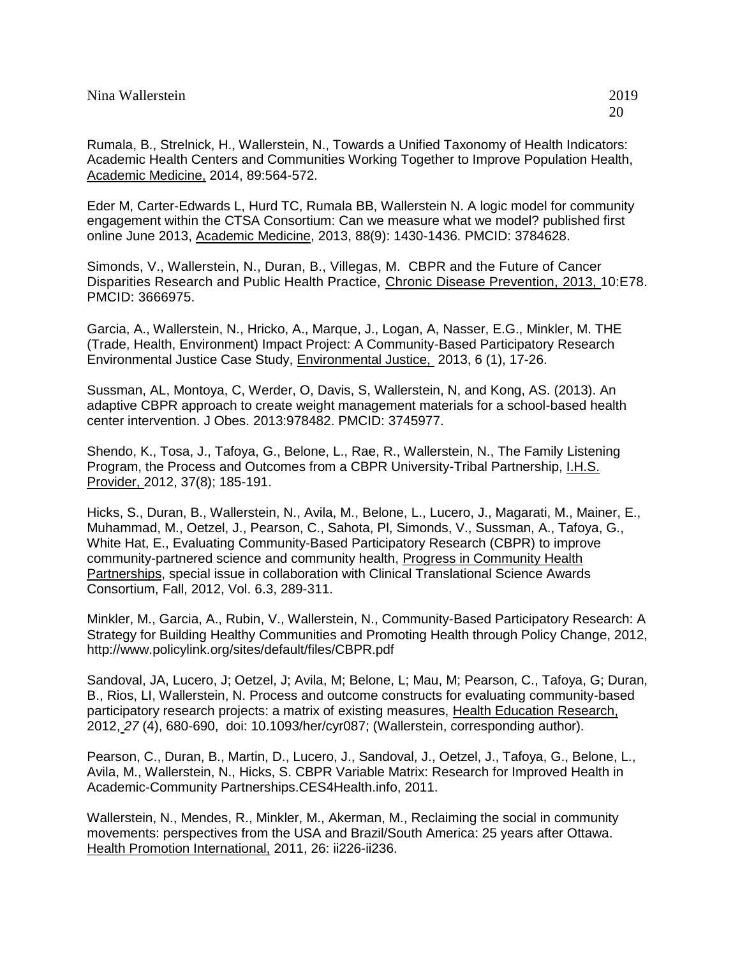Rumala, B., Strelnick, H., Wallerstein, N., Towards a Unified Taxonomy of Health Indicators: Academic Health Centers and Communities Working Together to Improve Population Health, Academic Medicine, 2014, 89:564-572.

Eder M, Carter-Edwards L, Hurd TC, Rumala BB, Wallerstein N. A logic model for community engagement within the CTSA Consortium: Can we measure what we model? published first online June 2013, Academic Medicine, 2013, 88(9): 1430-1436. PMCID: 3784628.

Simonds, V., Wallerstein, N., Duran, B., Villegas, M. CBPR and the Future of Cancer Disparities Research and Public Health Practice, Chronic Disease Prevention, 2013, 10:E78. PMCID: 3666975.

Garcia, A., Wallerstein, N., Hricko, A., Marque, J., Logan, A, Nasser, E.G., Minkler, M. THE (Trade, Health, Environment) Impact Project: A Community-Based Participatory Research Environmental Justice Case Study, Environmental Justice, 2013, 6 (1), 17-26.

Sussman, AL, Montoya, C, Werder, O, Davis, S, Wallerstein, N, and Kong, AS. (2013). An adaptive CBPR approach to create weight management materials for a school-based health center intervention. J Obes. 2013:978482. PMCID: 3745977.

Shendo, K., Tosa, J., Tafoya, G., Belone, L., Rae, R., Wallerstein, N., The Family Listening Program, the Process and Outcomes from a CBPR University-Tribal Partnership, I.H.S. Provider, 2012, 37(8); 185-191.

Hicks, S., Duran, B., Wallerstein, N., Avila, M., Belone, L., Lucero, J., Magarati, M., Mainer, E., Muhammad, M., Oetzel, J., Pearson, C., Sahota, Pl, Simonds, V., Sussman, A., Tafoya, G., White Hat, E., Evaluating Community-Based Participatory Research (CBPR) to improve community-partnered science and community health, Progress in Community Health Partnerships, special issue in collaboration with Clinical Translational Science Awards Consortium, Fall, 2012, Vol. 6.3, 289-311.

Minkler, M., Garcia, A., Rubin, V., Wallerstein, N., Community-Based Participatory Research: A Strategy for Building Healthy Communities and Promoting Health through Policy Change, 2012, http://www.policylink.org/sites/default/files/CBPR.pdf

Sandoval, JA, Lucero, J; Oetzel, J; Avila, M; Belone, L; Mau, M; Pearson, C., Tafoya, G; Duran, B., Rios, LI, Wallerstein, N. Process and outcome constructs for evaluating community-based participatory research projects: a matrix of existing measures, Health Education Research, 2012, *27* (4), 680-690, doi: 10.1093/her/cyr087; (Wallerstein, corresponding author).

Pearson, C., Duran, B., Martin, D., Lucero, J., Sandoval, J., Oetzel, J., Tafoya, G., Belone, L., Avila, M., Wallerstein, N., Hicks, S. CBPR Variable Matrix: Research for Improved Health in Academic-Community Partnerships.CES4Health.info, 2011.

Wallerstein, N., Mendes, R., Minkler, M., Akerman, M., Reclaiming the social in community movements: perspectives from the USA and Brazil/South America: 25 years after Ottawa. Health Promotion International, 2011, 26: ii226-ii236.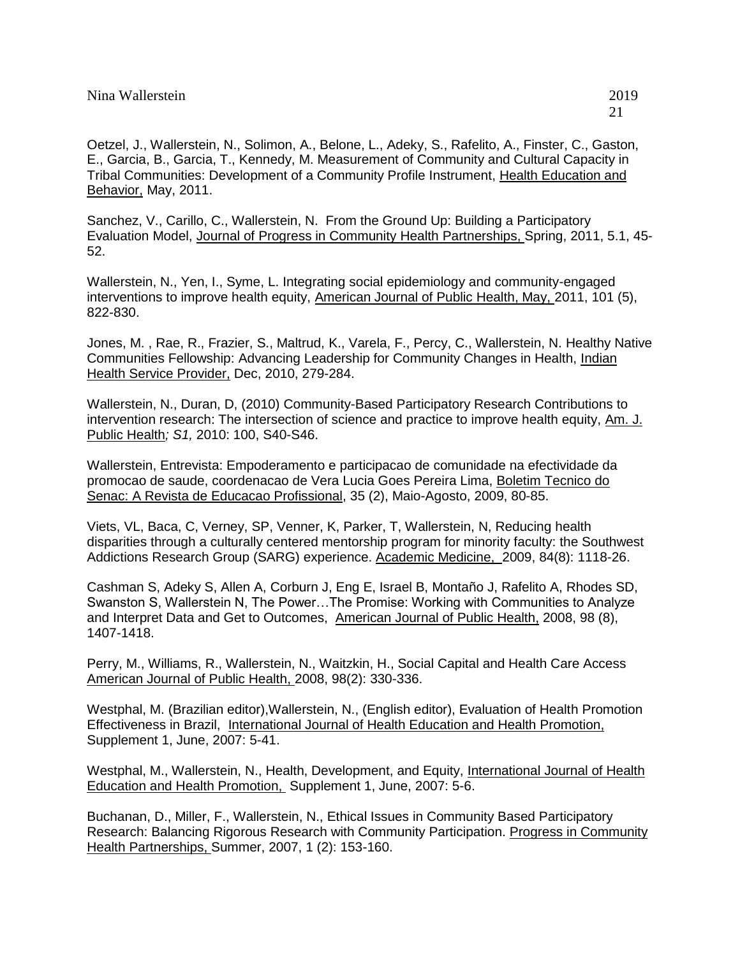Oetzel, J., Wallerstein, N., Solimon, A., Belone, L., Adeky, S., Rafelito, A., Finster, C., Gaston, E., Garcia, B., Garcia, T., Kennedy, M. Measurement of Community and Cultural Capacity in Tribal Communities: Development of a Community Profile Instrument, Health Education and Behavior, May, 2011.

Sanchez, V., Carillo, C., Wallerstein, N. From the Ground Up: Building a Participatory Evaluation Model, Journal of Progress in Community Health Partnerships, Spring, 2011, 5.1, 45- 52.

Wallerstein, N., Yen, I., Syme, L. Integrating social epidemiology and community-engaged interventions to improve health equity, American Journal of Public Health, May, 2011, 101 (5), 822-830.

Jones, M. , Rae, R., Frazier, S., Maltrud, K., Varela, F., Percy, C., Wallerstein, N. Healthy Native Communities Fellowship: Advancing Leadership for Community Changes in Health, Indian Health Service Provider, Dec, 2010, 279-284.

Wallerstein, N., Duran, D, (2010) Community-Based Participatory Research Contributions to intervention research: The intersection of science and practice to improve health equity, Am. J. Public Health*; S1,* 2010: 100, S40-S46.

Wallerstein, Entrevista: Empoderamento e participacao de comunidade na efectividade da promocao de saude, coordenacao de Vera Lucia Goes Pereira Lima, Boletim Tecnico do Senac: A Revista de Educacao Profissional, 35 (2), Maio-Agosto, 2009, 80-85.

Viets, VL, Baca, C, Verney, SP, Venner, K, Parker, T, Wallerstein, N, Reducing health disparities through a culturally centered mentorship program for minority faculty: the Southwest Addictions Research Group (SARG) experience. Academic Medicine, 2009, 84(8): 1118-26.

Cashman S, Adeky S, Allen A, Corburn J, Eng E, Israel B, Montaño J, Rafelito A, Rhodes SD, Swanston S, Wallerstein N, The Power…The Promise: Working with Communities to Analyze and Interpret Data and Get to Outcomes,American Journal of Public Health, 2008, 98 (8), 1407-1418.

Perry, M., Williams, R., Wallerstein, N., Waitzkin, H., Social Capital and Health Care Access American Journal of Public Health, 2008, 98(2): 330-336.

Westphal, M. (Brazilian editor),Wallerstein, N., (English editor), Evaluation of Health Promotion Effectiveness in Brazil, International Journal of Health Education and Health Promotion, Supplement 1, June, 2007: 5-41.

Westphal, M., Wallerstein, N., Health, Development, and Equity, International Journal of Health Education and Health Promotion, Supplement 1, June, 2007: 5-6.

Buchanan, D., Miller, F., Wallerstein, N., Ethical Issues in Community Based Participatory Research: Balancing Rigorous Research with Community Participation. Progress in Community Health Partnerships, Summer, 2007, 1 (2): 153-160.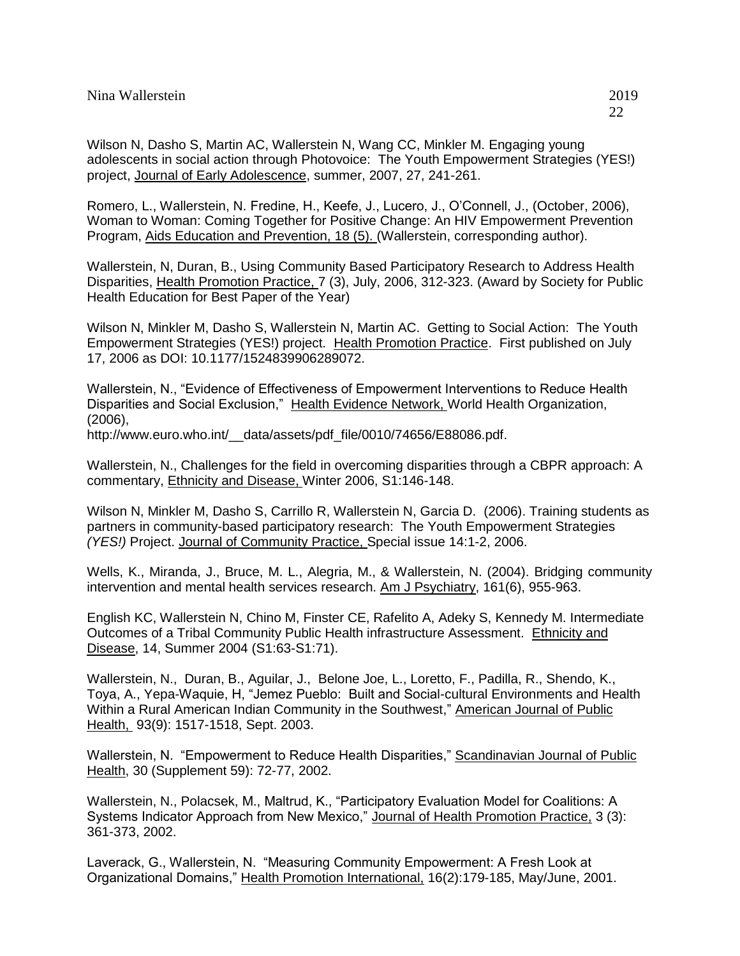Romero, L., Wallerstein, N. Fredine, H., Keefe, J., Lucero, J., O'Connell, J., (October, 2006), Woman to Woman: Coming Together for Positive Change: An HIV Empowerment Prevention Program, Aids Education and Prevention, 18 (5). (Wallerstein, corresponding author).

Wallerstein, N, Duran, B., Using Community Based Participatory Research to Address Health Disparities, Health Promotion Practice, 7 (3), July, 2006, 312-323. (Award by Society for Public Health Education for Best Paper of the Year)

Wilson N, Minkler M, Dasho S, Wallerstein N, Martin AC. Getting to Social Action: The Youth Empowerment Strategies (YES!) project. Health Promotion Practice. First published on July 17, 2006 as DOI: 10.1177/1524839906289072.

Wallerstein, N., "Evidence of Effectiveness of Empowerment Interventions to Reduce Health Disparities and Social Exclusion," Health Evidence Network, World Health Organization, (2006),

http://www.euro.who.int/ data/assets/pdf file/0010/74656/E88086.pdf.

Wallerstein, N., Challenges for the field in overcoming disparities through a CBPR approach: A commentary, Ethnicity and Disease, Winter 2006, S1:146-148.

Wilson N, Minkler M, Dasho S, Carrillo R, Wallerstein N, Garcia D. (2006). Training students as partners in community-based participatory research: The Youth Empowerment Strategies *(YES!)* Project. Journal of Community Practice, Special issue 14:1-2, 2006.

Wells, K., Miranda, J., Bruce, M. L., Alegria, M., & Wallerstein, N. (2004). Bridging community intervention and mental health services research. Am J Psychiatry, 161(6), 955-963.

English KC, Wallerstein N, Chino M, Finster CE, Rafelito A, Adeky S, Kennedy M. Intermediate Outcomes of a Tribal Community Public Health infrastructure Assessment. Ethnicity and Disease, 14, Summer 2004 (S1:63-S1:71).

Wallerstein, N., Duran, B., Aguilar, J., Belone Joe, L., Loretto, F., Padilla, R., Shendo, K., Toya, A., Yepa-Waquie, H, "Jemez Pueblo: Built and Social-cultural Environments and Health Within a Rural American Indian Community in the Southwest," American Journal of Public Health, 93(9): 1517-1518, Sept. 2003.

Wallerstein, N. "Empowerment to Reduce Health Disparities," Scandinavian Journal of Public Health, 30 (Supplement 59): 72-77, 2002.

Wallerstein, N., Polacsek, M., Maltrud, K., "Participatory Evaluation Model for Coalitions: A Systems Indicator Approach from New Mexico," Journal of Health Promotion Practice, 3 (3): 361-373, 2002.

Laverack, G., Wallerstein, N. "Measuring Community Empowerment: A Fresh Look at Organizational Domains," Health Promotion International, 16(2):179-185, May/June, 2001.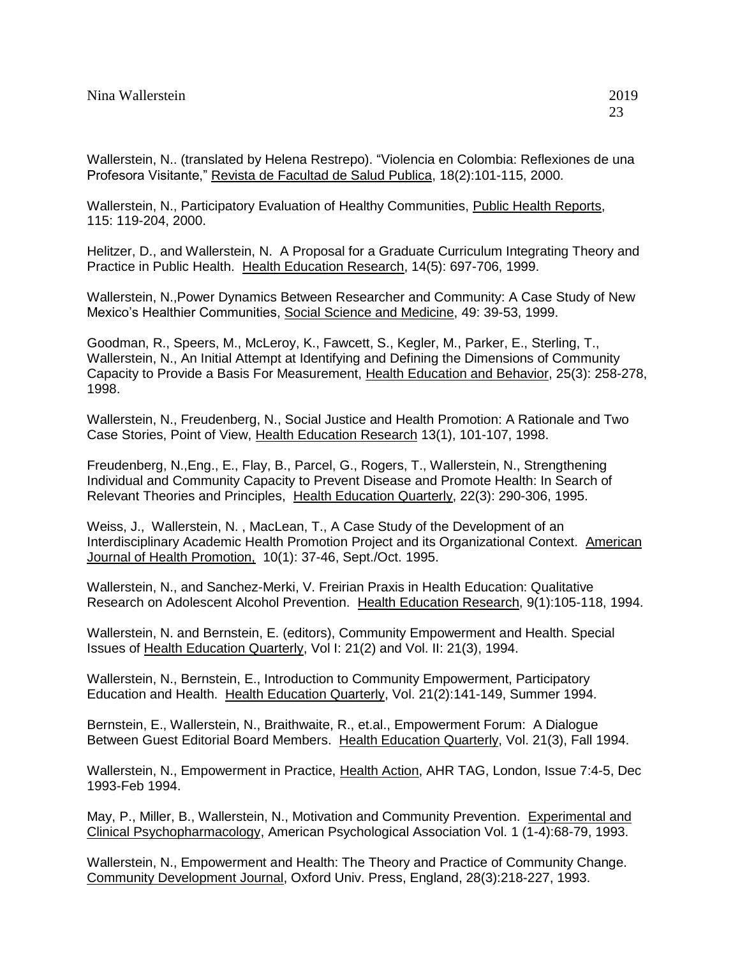Wallerstein, N.. (translated by Helena Restrepo). "Violencia en Colombia: Reflexiones de una Profesora Visitante," Revista de Facultad de Salud Publica, 18(2):101-115, 2000.

Wallerstein, N., Participatory Evaluation of Healthy Communities, Public Health Reports, 115: 119-204, 2000.

Helitzer, D., and Wallerstein, N. A Proposal for a Graduate Curriculum Integrating Theory and Practice in Public Health. Health Education Research, 14(5): 697-706, 1999.

Wallerstein, N.,Power Dynamics Between Researcher and Community: A Case Study of New Mexico's Healthier Communities, Social Science and Medicine, 49: 39-53, 1999.

Goodman, R., Speers, M., McLeroy, K., Fawcett, S., Kegler, M., Parker, E., Sterling, T., Wallerstein, N., An Initial Attempt at Identifying and Defining the Dimensions of Community Capacity to Provide a Basis For Measurement, Health Education and Behavior, 25(3): 258-278, 1998.

Wallerstein, N., Freudenberg, N., Social Justice and Health Promotion: A Rationale and Two Case Stories, Point of View, Health Education Research 13(1), 101-107, 1998.

Freudenberg, N.,Eng., E., Flay, B., Parcel, G., Rogers, T., Wallerstein, N., Strengthening Individual and Community Capacity to Prevent Disease and Promote Health: In Search of Relevant Theories and Principles, Health Education Quarterly, 22(3): 290-306, 1995.

Weiss, J., Wallerstein, N. , MacLean, T., A Case Study of the Development of an Interdisciplinary Academic Health Promotion Project and its Organizational Context. American Journal of Health Promotion, 10(1): 37-46, Sept./Oct. 1995.

Wallerstein, N., and Sanchez-Merki, V. Freirian Praxis in Health Education: Qualitative Research on Adolescent Alcohol Prevention. Health Education Research, 9(1):105-118, 1994.

Wallerstein, N. and Bernstein, E. (editors), Community Empowerment and Health. Special Issues of Health Education Quarterly, Vol I: 21(2) and Vol. II: 21(3), 1994.

Wallerstein, N., Bernstein, E., Introduction to Community Empowerment, Participatory Education and Health. Health Education Quarterly, Vol. 21(2):141-149, Summer 1994.

Bernstein, E., Wallerstein, N., Braithwaite, R., et.al., Empowerment Forum: A Dialogue Between Guest Editorial Board Members. Health Education Quarterly, Vol. 21(3), Fall 1994.

Wallerstein, N., Empowerment in Practice, Health Action, AHR TAG, London, Issue 7:4-5, Dec 1993-Feb 1994.

May, P., Miller, B., Wallerstein, N., Motivation and Community Prevention. Experimental and Clinical Psychopharmacology, American Psychological Association Vol. 1 (1-4):68-79, 1993.

Wallerstein, N., Empowerment and Health: The Theory and Practice of Community Change. Community Development Journal, Oxford Univ. Press, England, 28(3):218-227, 1993.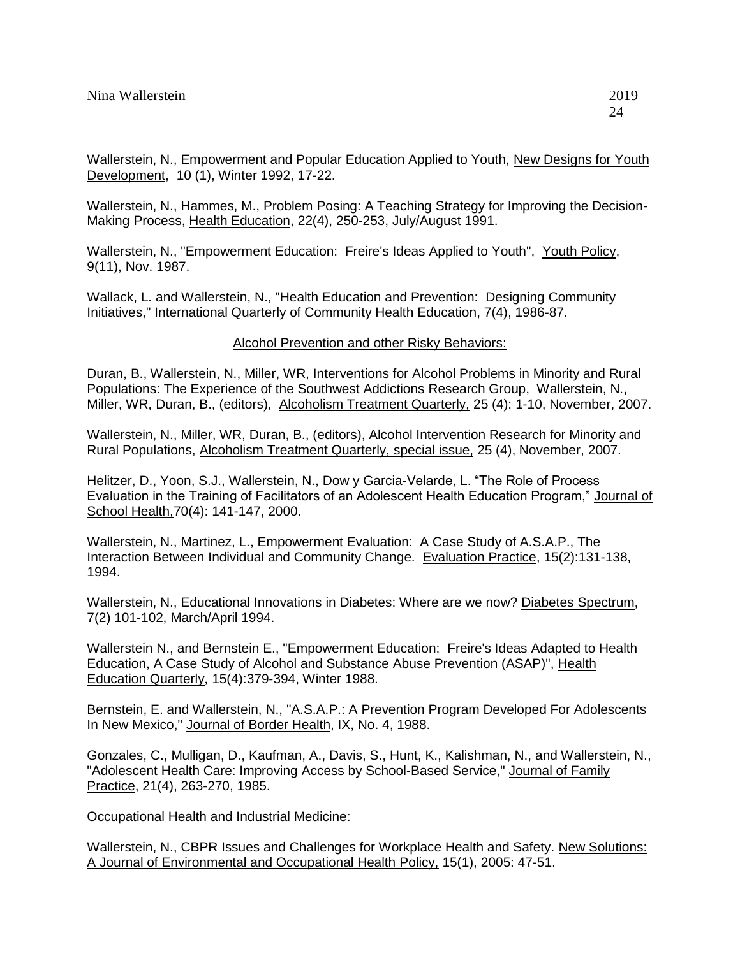Wallerstein, N., Hammes, M., Problem Posing: A Teaching Strategy for Improving the Decision-Making Process, Health Education, 22(4), 250-253, July/August 1991.

Wallerstein, N., "Empowerment Education: Freire's Ideas Applied to Youth", Youth Policy, 9(11), Nov. 1987.

Wallack, L. and Wallerstein, N., "Health Education and Prevention: Designing Community Initiatives," International Quarterly of Community Health Education, 7(4), 1986-87.

Alcohol Prevention and other Risky Behaviors:

Duran, B., Wallerstein, N., Miller, WR, Interventions for Alcohol Problems in Minority and Rural Populations: The Experience of the Southwest Addictions Research Group, Wallerstein, N., Miller, WR, Duran, B., (editors), Alcoholism Treatment Quarterly, 25 (4): 1-10, November, 2007.

Wallerstein, N., Miller, WR, Duran, B., (editors), Alcohol Intervention Research for Minority and Rural Populations, Alcoholism Treatment Quarterly, special issue, 25 (4), November, 2007.

Helitzer, D., Yoon, S.J., Wallerstein, N., Dow y Garcia-Velarde, L. "The Role of Process Evaluation in the Training of Facilitators of an Adolescent Health Education Program," Journal of School Health, 70(4): 141-147, 2000.

Wallerstein, N., Martinez, L., Empowerment Evaluation: A Case Study of A.S.A.P., The Interaction Between Individual and Community Change. Evaluation Practice, 15(2):131-138, 1994.

Wallerstein, N., Educational Innovations in Diabetes: Where are we now? Diabetes Spectrum, 7(2) 101-102, March/April 1994.

Wallerstein N., and Bernstein E., "Empowerment Education: Freire's Ideas Adapted to Health Education, A Case Study of Alcohol and Substance Abuse Prevention (ASAP)", Health Education Quarterly, 15(4):379-394, Winter 1988.

Bernstein, E. and Wallerstein, N., "A.S.A.P.: A Prevention Program Developed For Adolescents In New Mexico," Journal of Border Health, IX, No. 4, 1988.

Gonzales, C., Mulligan, D., Kaufman, A., Davis, S., Hunt, K., Kalishman, N., and Wallerstein, N., "Adolescent Health Care: Improving Access by School-Based Service," Journal of Family Practice, 21(4), 263-270, 1985.

**Occupational Health and Industrial Medicine:** 

Wallerstein, N., CBPR Issues and Challenges for Workplace Health and Safety. New Solutions: A Journal of Environmental and Occupational Health Policy, 15(1), 2005: 47-51.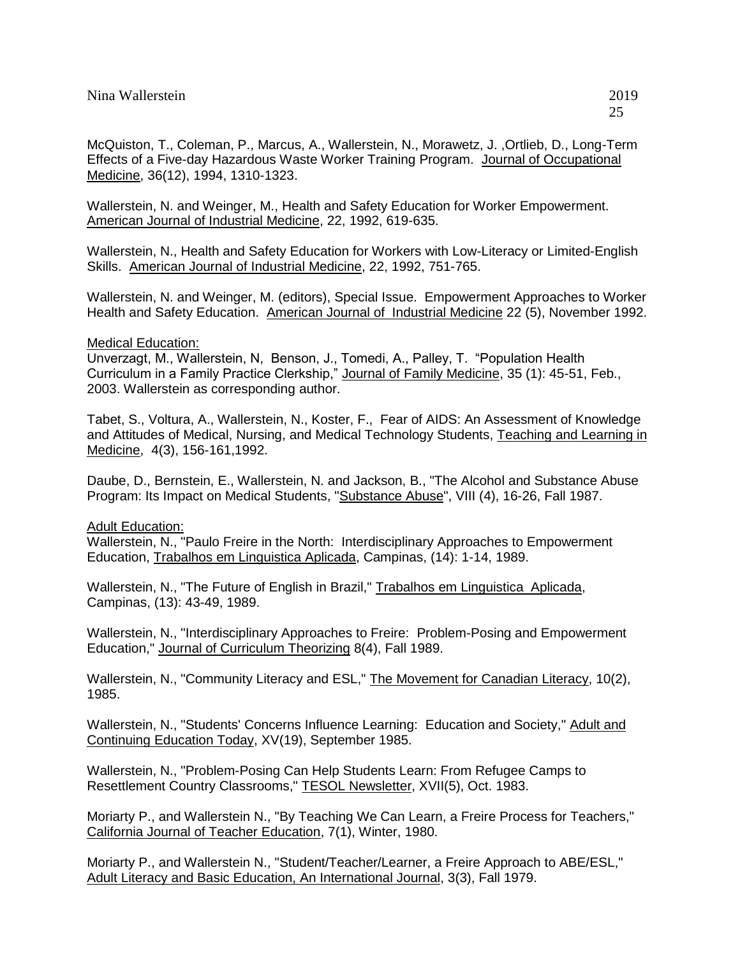Wallerstein, N. and Weinger, M., Health and Safety Education for Worker Empowerment. American Journal of Industrial Medicine, 22, 1992, 619-635.

Wallerstein, N., Health and Safety Education for Workers with Low-Literacy or Limited-English Skills. American Journal of Industrial Medicine, 22, 1992, 751-765.

Wallerstein, N. and Weinger, M. (editors), Special Issue. Empowerment Approaches to Worker Health and Safety Education. American Journal of Industrial Medicine 22 (5), November 1992.

### Medical Education:

Unverzagt, M., Wallerstein, N, Benson, J., Tomedi, A., Palley, T. "Population Health Curriculum in a Family Practice Clerkship," Journal of Family Medicine, 35 (1): 45-51, Feb., 2003. Wallerstein as corresponding author.

Tabet, S., Voltura, A., Wallerstein, N., Koster, F., Fear of AIDS: An Assessment of Knowledge and Attitudes of Medical, Nursing, and Medical Technology Students, Teaching and Learning in Medicine, 4(3), 156-161,1992.

Daube, D., Bernstein, E., Wallerstein, N. and Jackson, B., "The Alcohol and Substance Abuse Program: Its Impact on Medical Students, "Substance Abuse", VIII (4), 16-26, Fall 1987.

Adult Education: Wallerstein, N., "Paulo Freire in the North: Interdisciplinary Approaches to Empowerment Education, Trabalhos em Linguistica Aplicada, Campinas, (14): 1-14, 1989.

Wallerstein, N., "The Future of English in Brazil," Trabalhos em Linguistica Aplicada, Campinas, (13): 43-49, 1989.

Wallerstein, N., "Interdisciplinary Approaches to Freire: Problem-Posing and Empowerment Education," Journal of Curriculum Theorizing 8(4), Fall 1989.

Wallerstein, N., "Community Literacy and ESL," The Movement for Canadian Literacy, 10(2), 1985.

Wallerstein, N., "Students' Concerns Influence Learning: Education and Society," Adult and Continuing Education Today, XV(19), September 1985.

Wallerstein, N., "Problem-Posing Can Help Students Learn: From Refugee Camps to Resettlement Country Classrooms," TESOL Newsletter, XVII(5), Oct. 1983.

Moriarty P., and Wallerstein N., "By Teaching We Can Learn, a Freire Process for Teachers," California Journal of Teacher Education, 7(1), Winter, 1980.

Moriarty P., and Wallerstein N., "Student/Teacher/Learner, a Freire Approach to ABE/ESL," Adult Literacy and Basic Education, An International Journal, 3(3), Fall 1979.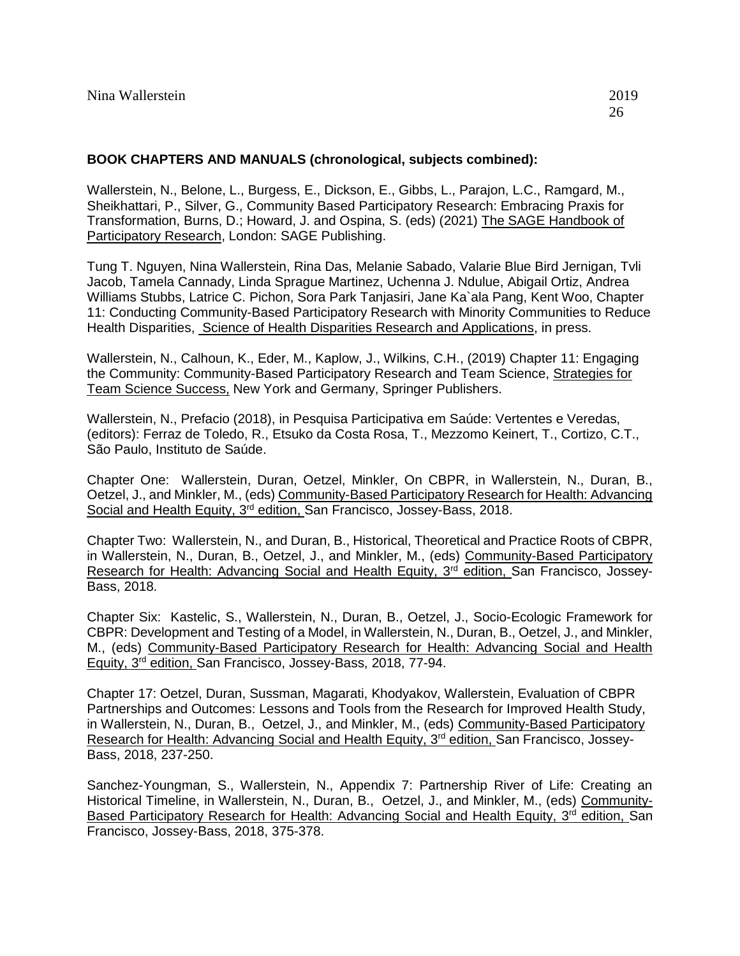### **BOOK CHAPTERS AND MANUALS (chronological, subjects combined):**

Wallerstein, N., Belone, L., Burgess, E., Dickson, E., Gibbs, L., Parajon, L.C., Ramgard, M., Sheikhattari, P., Silver, G., Community Based Participatory Research: Embracing Praxis for Transformation, Burns, D.; Howard, J. and Ospina, S. (eds) (2021) The SAGE Handbook of Participatory Research, London: SAGE Publishing.

Tung T. Nguyen, Nina Wallerstein, Rina Das, Melanie Sabado, Valarie Blue Bird Jernigan, Tvli Jacob, Tamela Cannady, Linda Sprague Martinez, Uchenna J. Ndulue, Abigail Ortiz, Andrea Williams Stubbs, Latrice C. Pichon, Sora Park Tanjasiri, Jane Ka`ala Pang, Kent Woo, Chapter 11: Conducting Community-Based Participatory Research with Minority Communities to Reduce Health Disparities, Science of Health Disparities Research and Applications, in press.

Wallerstein, N., Calhoun, K., Eder, M., Kaplow, J., Wilkins, C.H., (2019) Chapter 11: Engaging the Community: Community-Based Participatory Research and Team Science, Strategies for Team Science Success, New York and Germany, Springer Publishers.

Wallerstein, N., Prefacio (2018), in Pesquisa Participativa em Saúde: Vertentes e Veredas, (editors): Ferraz de Toledo, R., Etsuko da Costa Rosa, T., Mezzomo Keinert, T., Cortizo, C.T., São Paulo, Instituto de Saúde.

Chapter One: Wallerstein, Duran, Oetzel, Minkler, On CBPR, in Wallerstein, N., Duran, B., Oetzel, J., and Minkler, M., (eds) Community-Based Participatory Research for Health: Advancing Social and Health Equity, 3<sup>rd</sup> edition, San Francisco, Jossey-Bass, 2018.

Chapter Two: Wallerstein, N., and Duran, B., Historical, Theoretical and Practice Roots of CBPR, in Wallerstein, N., Duran, B., Oetzel, J., and Minkler, M., (eds) Community-Based Participatory Research for Health: Advancing Social and Health Equity, 3<sup>rd</sup> edition, San Francisco, Jossey-Bass, 2018.

Chapter Six: Kastelic, S., Wallerstein, N., Duran, B., Oetzel, J., Socio-Ecologic Framework for CBPR: Development and Testing of a Model, in Wallerstein, N., Duran, B., Oetzel, J., and Minkler, M., (eds) Community-Based Participatory Research for Health: Advancing Social and Health Equity, 3rd edition, San Francisco, Jossey-Bass, 2018, 77-94.

Chapter 17: Oetzel, Duran, Sussman, Magarati, Khodyakov, Wallerstein, Evaluation of CBPR Partnerships and Outcomes: Lessons and Tools from the Research for Improved Health Study, in Wallerstein, N., Duran, B., Oetzel, J., and Minkler, M., (eds) Community-Based Participatory Research for Health: Advancing Social and Health Equity, 3<sup>rd</sup> edition, San Francisco, Jossey-Bass, 2018, 237-250.

Sanchez-Youngman, S., Wallerstein, N., Appendix 7: Partnership River of Life: Creating an Historical Timeline, in Wallerstein, N., Duran, B., Oetzel, J., and Minkler, M., (eds) Community-Based Participatory Research for Health: Advancing Social and Health Equity, 3<sup>rd</sup> edition, San Francisco, Jossey-Bass, 2018, 375-378.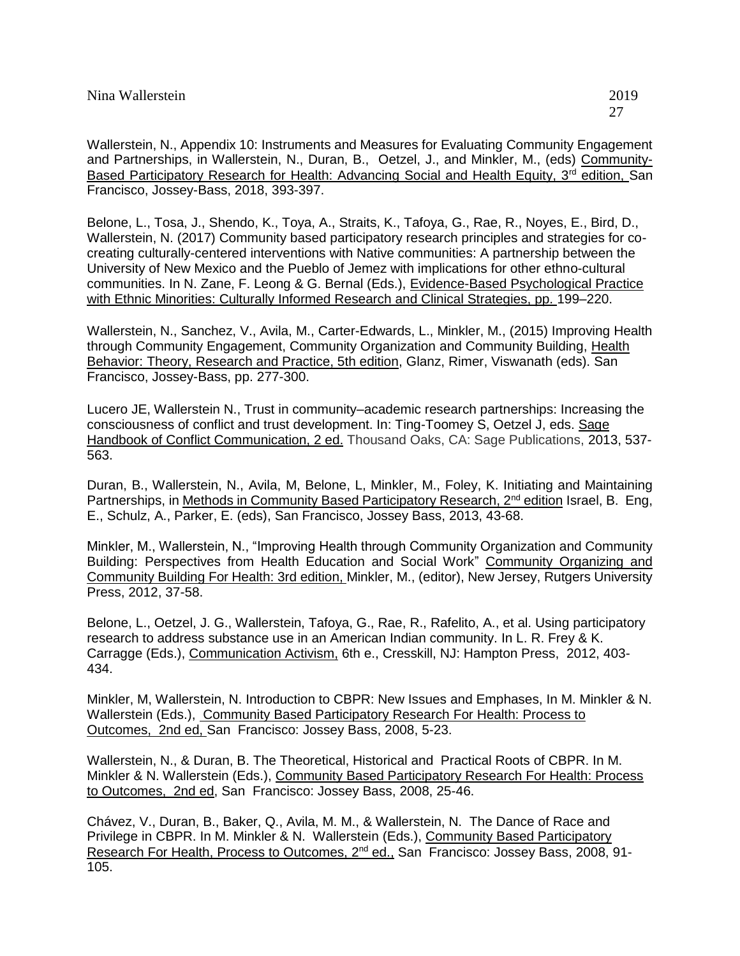Wallerstein, N., Appendix 10: Instruments and Measures for Evaluating Community Engagement and Partnerships, in Wallerstein, N., Duran, B., Oetzel, J., and Minkler, M., (eds) Community-Based Participatory Research for Health: Advancing Social and Health Equity, 3<sup>rd</sup> edition, San Francisco, Jossey-Bass, 2018, 393-397.

Belone, L., Tosa, J., Shendo, K., Toya, A., Straits, K., Tafoya, G., Rae, R., Noyes, E., Bird, D., Wallerstein, N. (2017) Community based participatory research principles and strategies for cocreating culturally-centered interventions with Native communities: A partnership between the University of New Mexico and the Pueblo of Jemez with implications for other ethno-cultural communities. In N. Zane, F. Leong & G. Bernal (Eds.), Evidence-Based Psychological Practice with Ethnic Minorities: Culturally Informed Research and Clinical Strategies, pp. 199–220.

Wallerstein, N., Sanchez, V., Avila, M., Carter-Edwards, L., Minkler, M., (2015) Improving Health through Community Engagement, Community Organization and Community Building, Health Behavior: Theory, Research and Practice, 5th edition, Glanz, Rimer, Viswanath (eds). San Francisco, Jossey-Bass, pp. 277-300.

Lucero JE, Wallerstein N., Trust in community–academic research partnerships: Increasing the consciousness of conflict and trust development. In: Ting-Toomey S, Oetzel J, eds. Sage Handbook of Conflict Communication, 2 ed. Thousand Oaks, CA: Sage Publications, 2013, 537- 563.

Duran, B., Wallerstein, N., Avila, M, Belone, L, Minkler, M., Foley, K. Initiating and Maintaining Partnerships, in Methods in Community Based Participatory Research,  $2^{nd}$  edition Israel, B. Eng, E., Schulz, A., Parker, E. (eds), San Francisco, Jossey Bass, 2013, 43-68.

Minkler, M., Wallerstein, N., "Improving Health through Community Organization and Community Building: Perspectives from Health Education and Social Work" Community Organizing and Community Building For Health: 3rd edition, Minkler, M., (editor), New Jersey, Rutgers University Press, 2012, 37-58.

Belone, L., Oetzel, J. G., Wallerstein, Tafoya, G., Rae, R., Rafelito, A., et al. Using participatory research to address substance use in an American Indian community. In L. R. Frey & K. Carragge (Eds.), Communication Activism, 6th e., Cresskill, NJ: Hampton Press, 2012, 403- 434.

Minkler, M, Wallerstein, N. Introduction to CBPR: New Issues and Emphases, In M. Minkler & N. Wallerstein (Eds.), Community Based Participatory Research For Health: Process to Outcomes, 2nd ed, San Francisco: Jossey Bass, 2008, 5-23.

Wallerstein, N., & Duran, B. The Theoretical, Historical and Practical Roots of CBPR. In M. Minkler & N. Wallerstein (Eds.), Community Based Participatory Research For Health: Process to Outcomes, 2nd ed, San Francisco: Jossey Bass, 2008, 25-46.

Chávez, V., Duran, B., Baker, Q., Avila, M. M., & Wallerstein, N. The Dance of Race and Privilege in CBPR. In M. Minkler & N. Wallerstein (Eds.), Community Based Participatory Research For Health, Process to Outcomes, 2nd ed., San Francisco: Jossey Bass, 2008, 91- 105.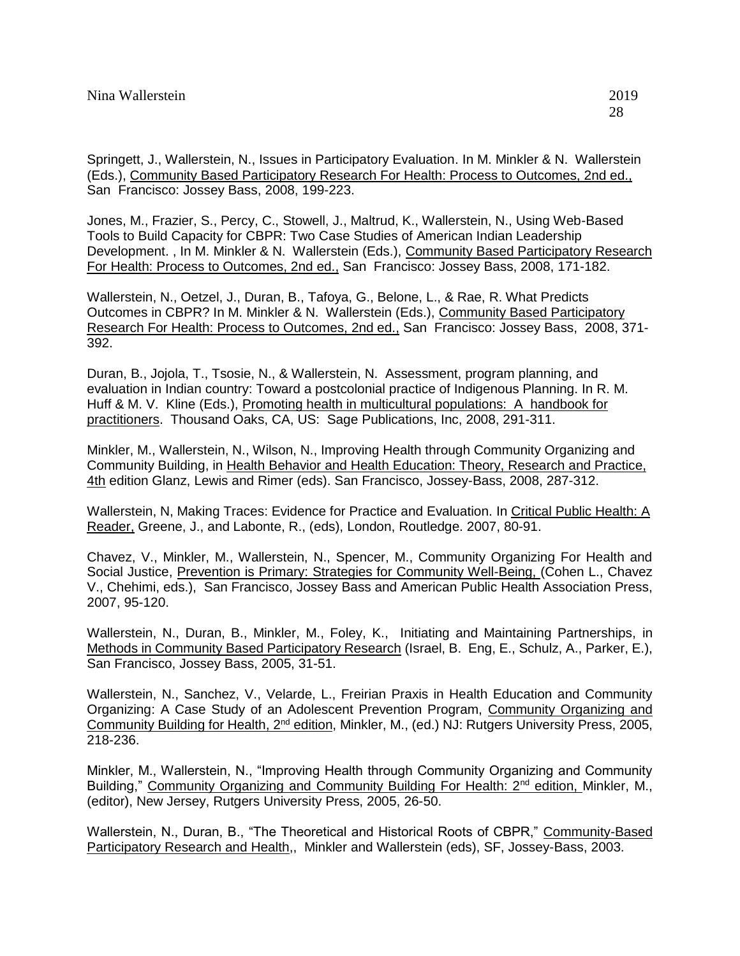Springett, J., Wallerstein, N., Issues in Participatory Evaluation. In M. Minkler & N. Wallerstein (Eds.), Community Based Participatory Research For Health: Process to Outcomes, 2nd ed., San Francisco: Jossey Bass, 2008, 199-223.

Jones, M., Frazier, S., Percy, C., Stowell, J., Maltrud, K., Wallerstein, N., Using Web-Based Tools to Build Capacity for CBPR: Two Case Studies of American Indian Leadership Development. , In M. Minkler & N. Wallerstein (Eds.), Community Based Participatory Research For Health: Process to Outcomes, 2nd ed., San Francisco: Jossey Bass, 2008, 171-182.

Wallerstein, N., Oetzel, J., Duran, B., Tafoya, G., Belone, L., & Rae, R. What Predicts Outcomes in CBPR? In M. Minkler & N. Wallerstein (Eds.), Community Based Participatory Research For Health: Process to Outcomes, 2nd ed., San Francisco: Jossey Bass, 2008, 371- 392.

Duran, B., Jojola, T., Tsosie, N., & Wallerstein, N. Assessment, program planning, and evaluation in Indian country: Toward a postcolonial practice of Indigenous Planning. In R. M. Huff & M. V. Kline (Eds.), Promoting health in multicultural populations: A handbook for practitioners. Thousand Oaks, CA, US: Sage Publications, Inc, 2008, 291-311.

Minkler, M., Wallerstein, N., Wilson, N., Improving Health through Community Organizing and Community Building, in Health Behavior and Health Education: Theory, Research and Practice, 4th edition Glanz, Lewis and Rimer (eds). San Francisco, Jossey-Bass, 2008, 287-312.

Wallerstein, N, Making Traces: Evidence for Practice and Evaluation. In Critical Public Health: A Reader, Greene, J., and Labonte, R., (eds), London, Routledge. 2007, 80-91.

Chavez, V., Minkler, M., Wallerstein, N., Spencer, M., Community Organizing For Health and Social Justice, Prevention is Primary: Strategies for Community Well-Being, (Cohen L., Chavez V., Chehimi, eds.), San Francisco, Jossey Bass and American Public Health Association Press, 2007, 95-120.

Wallerstein, N., Duran, B., Minkler, M., Foley, K., Initiating and Maintaining Partnerships, in Methods in Community Based Participatory Research (Israel, B. Eng, E., Schulz, A., Parker, E.), San Francisco, Jossey Bass, 2005, 31-51.

Wallerstein, N., Sanchez, V., Velarde, L., Freirian Praxis in Health Education and Community Organizing: A Case Study of an Adolescent Prevention Program, Community Organizing and Community Building for Health, 2nd edition, Minkler, M., (ed.) NJ: Rutgers University Press, 2005, 218-236.

Minkler, M., Wallerstein, N., "Improving Health through Community Organizing and Community Building," Community Organizing and Community Building For Health: 2<sup>nd</sup> edition, Minkler, M., (editor), New Jersey, Rutgers University Press, 2005, 26-50.

Wallerstein, N., Duran, B., "The Theoretical and Historical Roots of CBPR," Community-Based Participatory Research and Health,, Minkler and Wallerstein (eds), SF, Jossey-Bass, 2003.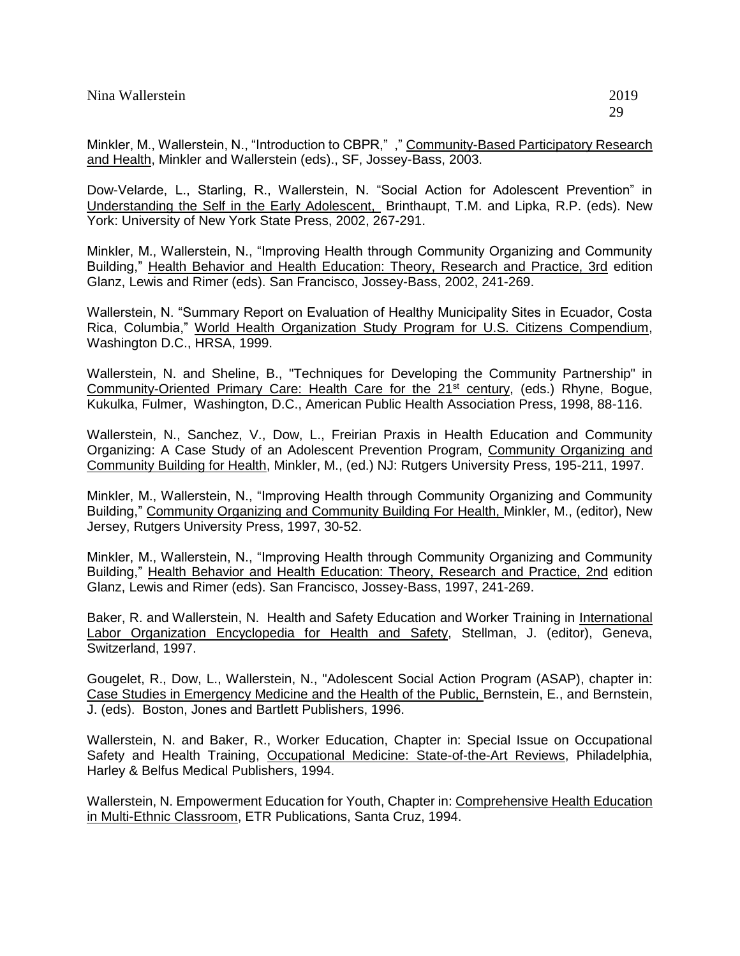Minkler, M., Wallerstein, N., "Introduction to CBPR,", "Community-Based Participatory Research and Health, Minkler and Wallerstein (eds)., SF, Jossey-Bass, 2003.

Dow-Velarde, L., Starling, R., Wallerstein, N. "Social Action for Adolescent Prevention" in Understanding the Self in the Early Adolescent, Brinthaupt, T.M. and Lipka, R.P. (eds). New York: University of New York State Press, 2002, 267-291.

Minkler, M., Wallerstein, N., "Improving Health through Community Organizing and Community Building," Health Behavior and Health Education: Theory, Research and Practice, 3rd edition Glanz, Lewis and Rimer (eds). San Francisco, Jossey-Bass, 2002, 241-269.

Wallerstein, N. "Summary Report on Evaluation of Healthy Municipality Sites in Ecuador, Costa Rica, Columbia," World Health Organization Study Program for U.S. Citizens Compendium, Washington D.C., HRSA, 1999.

Wallerstein, N. and Sheline, B., "Techniques for Developing the Community Partnership" in Community-Oriented Primary Care: Health Care for the 21<sup>st</sup> century, (eds.) Rhyne, Bogue, Kukulka, Fulmer, Washington, D.C., American Public Health Association Press, 1998, 88-116.

Wallerstein, N., Sanchez, V., Dow, L., Freirian Praxis in Health Education and Community Organizing: A Case Study of an Adolescent Prevention Program, Community Organizing and Community Building for Health, Minkler, M., (ed.) NJ: Rutgers University Press, 195-211, 1997.

Minkler, M., Wallerstein, N., "Improving Health through Community Organizing and Community Building," Community Organizing and Community Building For Health, Minkler, M., (editor), New Jersey, Rutgers University Press, 1997, 30-52.

Minkler, M., Wallerstein, N., "Improving Health through Community Organizing and Community Building," Health Behavior and Health Education: Theory, Research and Practice, 2nd edition Glanz, Lewis and Rimer (eds). San Francisco, Jossey-Bass, 1997, 241-269.

Baker, R. and Wallerstein, N. Health and Safety Education and Worker Training in International Labor Organization Encyclopedia for Health and Safety, Stellman, J. (editor), Geneva, Switzerland, 1997.

Gougelet, R., Dow, L., Wallerstein, N., "Adolescent Social Action Program (ASAP), chapter in: Case Studies in Emergency Medicine and the Health of the Public, Bernstein, E., and Bernstein, J. (eds). Boston, Jones and Bartlett Publishers, 1996.

Wallerstein, N. and Baker, R., Worker Education, Chapter in: Special Issue on Occupational Safety and Health Training, Occupational Medicine: State-of-the-Art Reviews, Philadelphia, Harley & Belfus Medical Publishers, 1994.

Wallerstein, N. Empowerment Education for Youth, Chapter in: Comprehensive Health Education in Multi-Ethnic Classroom, ETR Publications, Santa Cruz, 1994.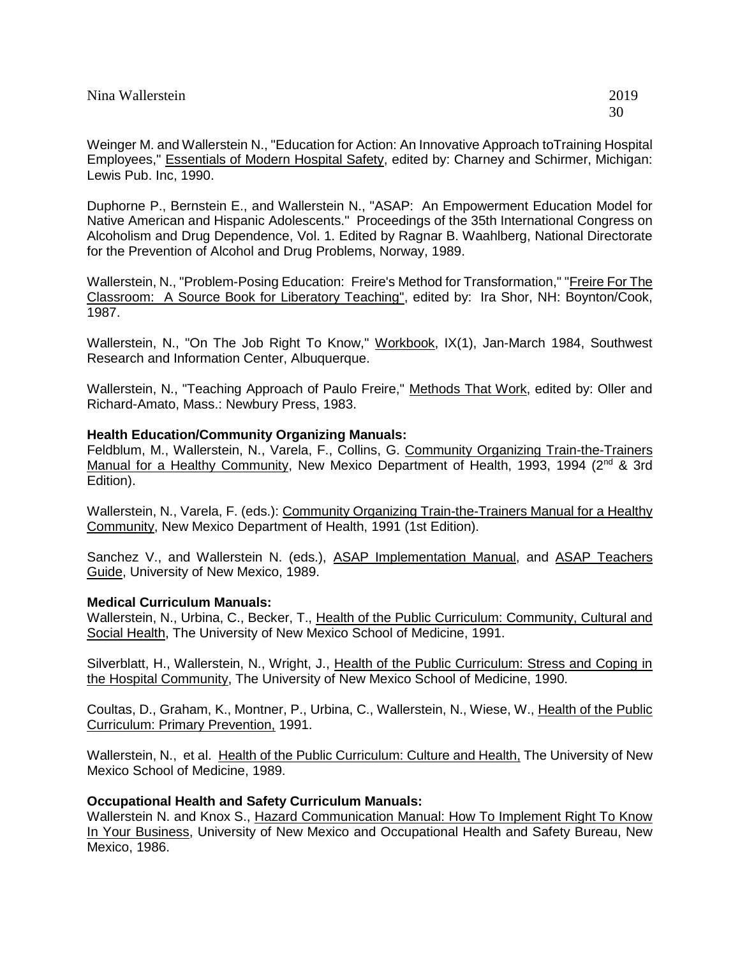Weinger M. and Wallerstein N., "Education for Action: An Innovative Approach toTraining Hospital Employees," Essentials of Modern Hospital Safety, edited by: Charney and Schirmer, Michigan: Lewis Pub. Inc, 1990.

Duphorne P., Bernstein E., and Wallerstein N., "ASAP: An Empowerment Education Model for Native American and Hispanic Adolescents." Proceedings of the 35th International Congress on Alcoholism and Drug Dependence, Vol. 1. Edited by Ragnar B. Waahlberg, National Directorate for the Prevention of Alcohol and Drug Problems, Norway, 1989.

Wallerstein, N., "Problem-Posing Education: Freire's Method for Transformation," "Freire For The Classroom: A Source Book for Liberatory Teaching", edited by: Ira Shor, NH: Boynton/Cook, 1987.

Wallerstein, N., "On The Job Right To Know," Workbook, IX(1), Jan-March 1984, Southwest Research and Information Center, Albuquerque.

Wallerstein, N., "Teaching Approach of Paulo Freire," Methods That Work, edited by: Oller and Richard-Amato, Mass.: Newbury Press, 1983.

### **Health Education/Community Organizing Manuals:**

Feldblum, M., Wallerstein, N., Varela, F., Collins, G. Community Organizing Train-the-Trainers Manual for a Healthy Community, New Mexico Department of Health, 1993, 1994 (2<sup>nd</sup> & 3rd Edition).

Wallerstein, N., Varela, F. (eds.): Community Organizing Train-the-Trainers Manual for a Healthy Community, New Mexico Department of Health, 1991 (1st Edition).

Sanchez V., and Wallerstein N. (eds.), ASAP Implementation Manual, and ASAP Teachers Guide, University of New Mexico, 1989.

### **Medical Curriculum Manuals:**

Wallerstein, N., Urbina, C., Becker, T., Health of the Public Curriculum: Community, Cultural and Social Health, The University of New Mexico School of Medicine, 1991.

Silverblatt, H., Wallerstein, N., Wright, J., Health of the Public Curriculum: Stress and Coping in the Hospital Community, The University of New Mexico School of Medicine, 1990.

Coultas, D., Graham, K., Montner, P., Urbina, C., Wallerstein, N., Wiese, W., Health of the Public Curriculum: Primary Prevention, 1991.

Wallerstein, N., et al. Health of the Public Curriculum: Culture and Health, The University of New Mexico School of Medicine, 1989.

### **Occupational Health and Safety Curriculum Manuals:**

Wallerstein N. and Knox S., Hazard Communication Manual: How To Implement Right To Know In Your Business, University of New Mexico and Occupational Health and Safety Bureau, New Mexico, 1986.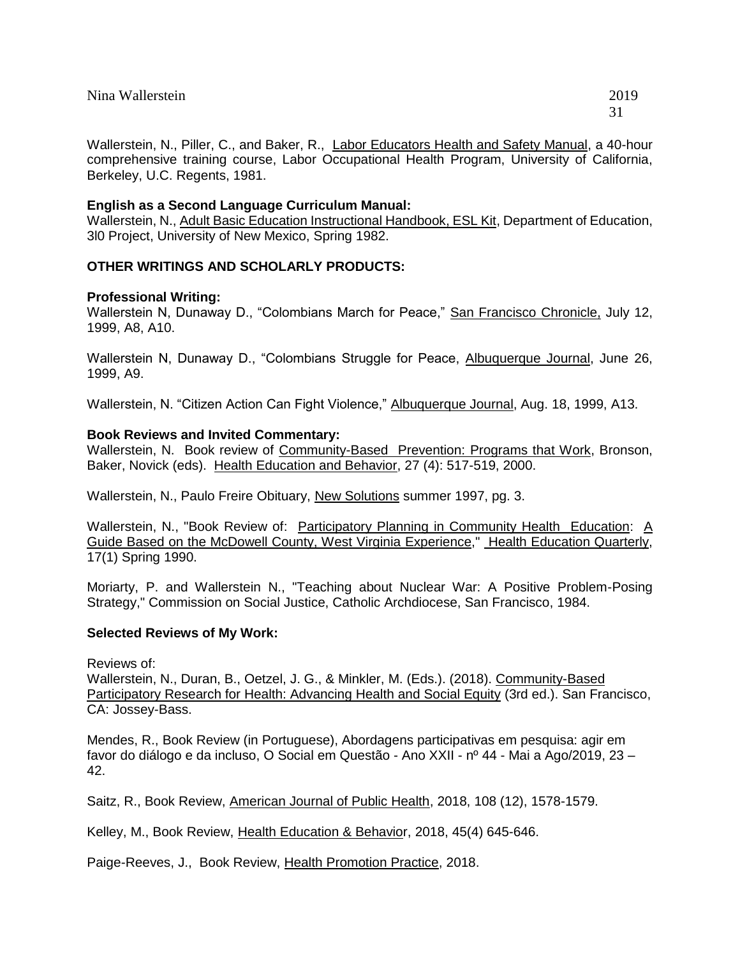Wallerstein, N., Piller, C., and Baker, R., Labor Educators Health and Safety Manual, a 40-hour comprehensive training course, Labor Occupational Health Program, University of California, Berkeley, U.C. Regents, 1981.

### **English as a Second Language Curriculum Manual:**

Wallerstein, N., Adult Basic Education Instructional Handbook, ESL Kit, Department of Education, 3l0 Project, University of New Mexico, Spring 1982.

### **OTHER WRITINGS AND SCHOLARLY PRODUCTS:**

### **Professional Writing:**

Wallerstein N, Dunaway D., "Colombians March for Peace," San Francisco Chronicle, July 12, 1999, A8, A10.

Wallerstein N, Dunaway D., "Colombians Struggle for Peace, Albuquerque Journal, June 26, 1999, A9.

Wallerstein, N. "Citizen Action Can Fight Violence," Albuquerque Journal, Aug. 18, 1999, A13.

#### **Book Reviews and Invited Commentary:**

Wallerstein, N. Book review of Community-Based Prevention: Programs that Work, Bronson, Baker, Novick (eds). Health Education and Behavior, 27 (4): 517-519, 2000.

Wallerstein, N., Paulo Freire Obituary, New Solutions summer 1997, pg. 3.

Wallerstein, N., "Book Review of: Participatory Planning in Community Health Education: A Guide Based on the McDowell County, West Virginia Experience," Health Education Quarterly, 17(1) Spring 1990.

Moriarty, P. and Wallerstein N., "Teaching about Nuclear War: A Positive Problem-Posing Strategy," Commission on Social Justice, Catholic Archdiocese, San Francisco, 1984.

### **Selected Reviews of My Work:**

Reviews of:

Wallerstein, N., Duran, B., Oetzel, J. G., & Minkler, M. (Eds.). (2018). Community-Based Participatory Research for Health: Advancing Health and Social Equity (3rd ed.). San Francisco, CA: Jossey-Bass.

Mendes, R., Book Review (in Portuguese), Abordagens participativas em pesquisa: agir em favor do diálogo e da incluso, O Social em Questão - Ano XXII - nº 44 - Mai a Ago/2019, 23 – 42.

Saitz, R., Book Review, American Journal of Public Health, 2018, 108 (12), 1578-1579.

Kelley, M., Book Review, Health Education & Behavior, 2018, 45(4) 645-646.

Paige-Reeves, J., Book Review, Health Promotion Practice, 2018.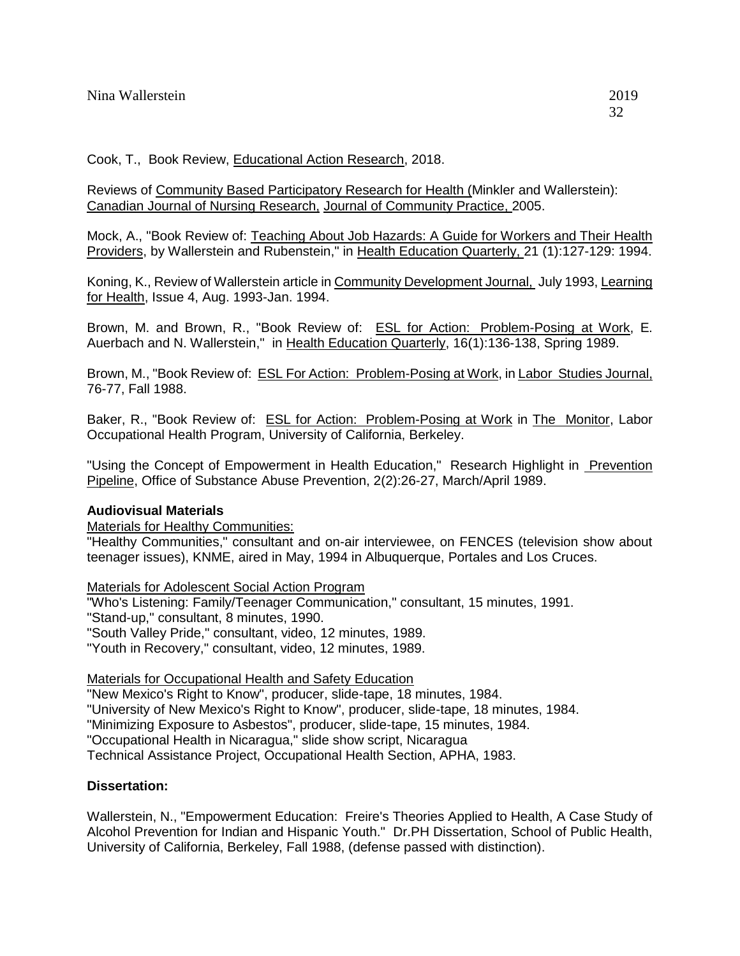Reviews of Community Based Participatory Research for Health (Minkler and Wallerstein): Canadian Journal of Nursing Research, Journal of Community Practice, 2005.

Mock, A., "Book Review of: Teaching About Job Hazards: A Guide for Workers and Their Health Providers, by Wallerstein and Rubenstein," in Health Education Quarterly, 21 (1):127-129: 1994.

Koning, K., Review of Wallerstein article in Community Development Journal, July 1993, Learning for Health, Issue 4, Aug. 1993-Jan. 1994.

Brown, M. and Brown, R., "Book Review of: ESL for Action: Problem-Posing at Work, E. Auerbach and N. Wallerstein," in Health Education Quarterly, 16(1):136-138, Spring 1989.

Brown, M., "Book Review of: ESL For Action: Problem-Posing at Work, in Labor Studies Journal, 76-77, Fall 1988.

Baker, R., "Book Review of: ESL for Action: Problem-Posing at Work in The Monitor, Labor Occupational Health Program, University of California, Berkeley.

"Using the Concept of Empowerment in Health Education," Research Highlight in Prevention Pipeline, Office of Substance Abuse Prevention, 2(2):26-27, March/April 1989.

### **Audiovisual Materials**

Materials for Healthy Communities:

"Healthy Communities," consultant and on-air interviewee, on FENCES (television show about teenager issues), KNME, aired in May, 1994 in Albuquerque, Portales and Los Cruces.

Materials for Adolescent Social Action Program

"Who's Listening: Family/Teenager Communication," consultant, 15 minutes, 1991. "Stand-up," consultant, 8 minutes, 1990. "South Valley Pride," consultant, video, 12 minutes, 1989. "Youth in Recovery," consultant, video, 12 minutes, 1989.

Materials for Occupational Health and Safety Education

"New Mexico's Right to Know", producer, slide-tape, 18 minutes, 1984.

"University of New Mexico's Right to Know", producer, slide-tape, 18 minutes, 1984.

"Minimizing Exposure to Asbestos", producer, slide-tape, 15 minutes, 1984.

"Occupational Health in Nicaragua," slide show script, Nicaragua

Technical Assistance Project, Occupational Health Section, APHA, 1983.

# **Dissertation:**

Wallerstein, N., "Empowerment Education: Freire's Theories Applied to Health, A Case Study of Alcohol Prevention for Indian and Hispanic Youth." Dr.PH Dissertation, School of Public Health, University of California, Berkeley, Fall 1988, (defense passed with distinction).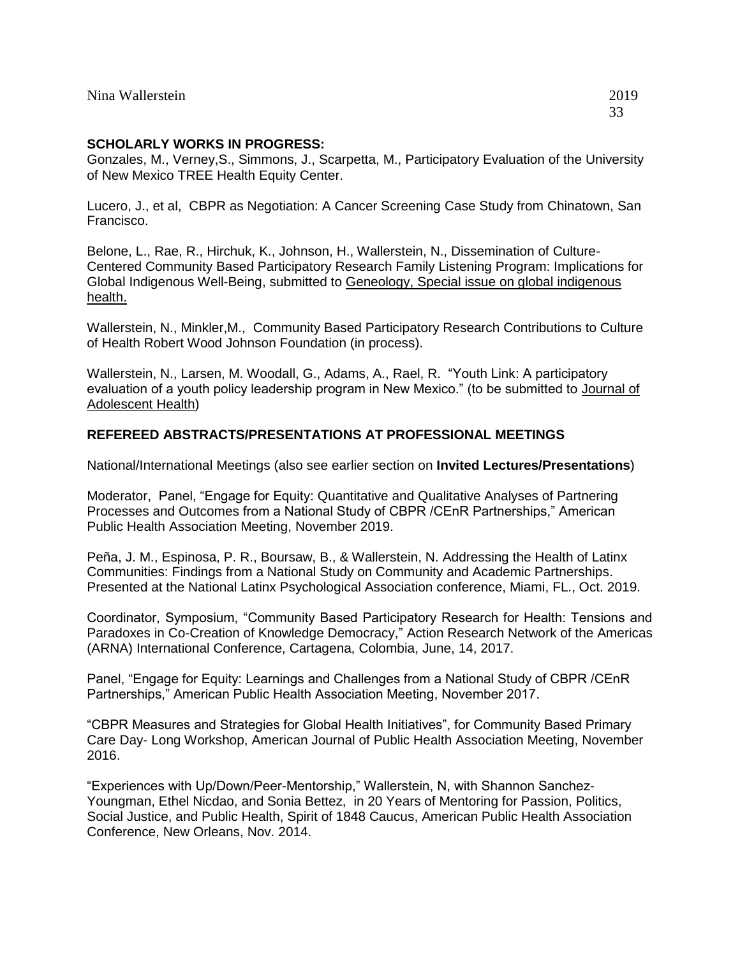# **SCHOLARLY WORKS IN PROGRESS:**

Gonzales, M., Verney,S., Simmons, J., Scarpetta, M., Participatory Evaluation of the University of New Mexico TREE Health Equity Center.

Lucero, J., et al, CBPR as Negotiation: A Cancer Screening Case Study from Chinatown, San Francisco.

Belone, L., Rae, R., Hirchuk, K., Johnson, H., Wallerstein, N., Dissemination of Culture-Centered Community Based Participatory Research Family Listening Program: Implications for Global Indigenous Well-Being, submitted to Geneology, Special issue on global indigenous health.

Wallerstein, N., Minkler,M., Community Based Participatory Research Contributions to Culture of Health Robert Wood Johnson Foundation (in process).

Wallerstein, N., Larsen, M. Woodall, G., Adams, A., Rael, R. "Youth Link: A participatory evaluation of a youth policy leadership program in New Mexico." (to be submitted to Journal of Adolescent Health)

### **REFEREED ABSTRACTS/PRESENTATIONS AT PROFESSIONAL MEETINGS**

National/International Meetings (also see earlier section on **Invited Lectures/Presentations**)

Moderator, Panel, "Engage for Equity: Quantitative and Qualitative Analyses of Partnering Processes and Outcomes from a National Study of CBPR /CEnR Partnerships," American Public Health Association Meeting, November 2019.

Peña, J. M., Espinosa, P. R., Boursaw, B., & Wallerstein, N. Addressing the Health of Latinx Communities: Findings from a National Study on Community and Academic Partnerships. Presented at the National Latinx Psychological Association conference, Miami, FL., Oct. 2019.

Coordinator, Symposium, "Community Based Participatory Research for Health: Tensions and Paradoxes in Co-Creation of Knowledge Democracy," Action Research Network of the Americas (ARNA) International Conference, Cartagena, Colombia, June, 14, 2017.

Panel, "Engage for Equity: Learnings and Challenges from a National Study of CBPR /CEnR Partnerships," American Public Health Association Meeting, November 2017.

"CBPR Measures and Strategies for Global Health Initiatives", for Community Based Primary Care Day- Long Workshop, American Journal of Public Health Association Meeting, November 2016.

"Experiences with Up/Down/Peer-Mentorship," Wallerstein, N, with Shannon Sanchez-Youngman, Ethel Nicdao, and Sonia Bettez, in 20 Years of Mentoring for Passion, Politics, Social Justice, and Public Health, Spirit of 1848 Caucus, American Public Health Association Conference, New Orleans, Nov. 2014.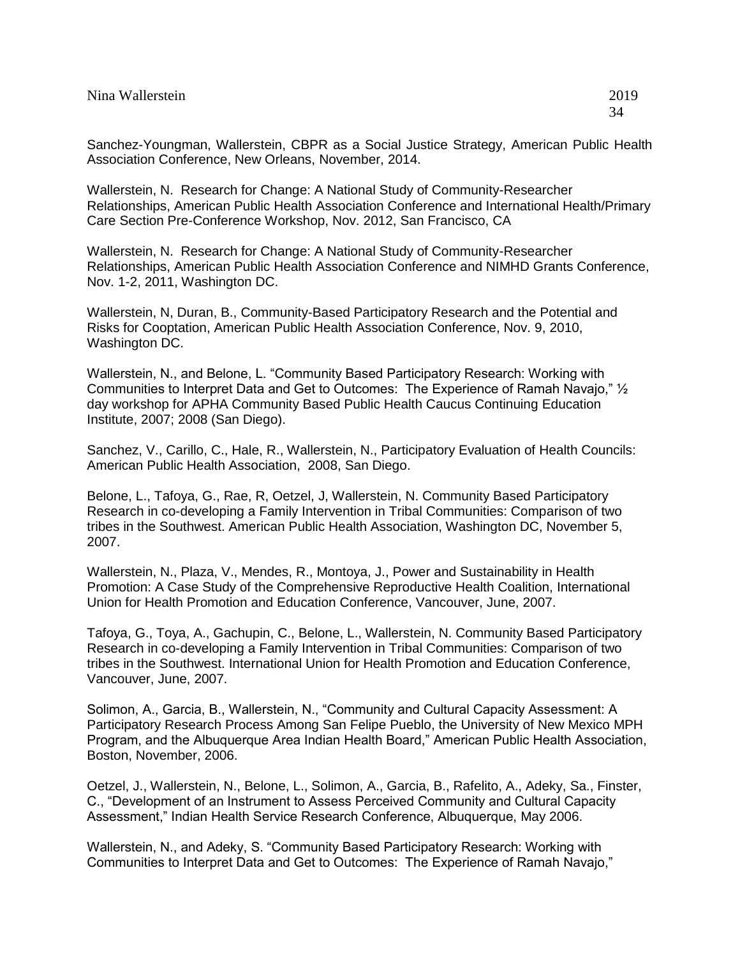| Nina Wallerstein | 2019 |
|------------------|------|
|------------------|------|

Wallerstein, N. Research for Change: A National Study of Community-Researcher Relationships, American Public Health Association Conference and International Health/Primary Care Section Pre-Conference Workshop, Nov. 2012, San Francisco, CA

Wallerstein, N. Research for Change: A National Study of Community-Researcher Relationships, American Public Health Association Conference and NIMHD Grants Conference, Nov. 1-2, 2011, Washington DC.

Wallerstein, N, Duran, B., Community-Based Participatory Research and the Potential and Risks for Cooptation, American Public Health Association Conference, Nov. 9, 2010, Washington DC.

Wallerstein, N., and Belone, L. "Community Based Participatory Research: Working with Communities to Interpret Data and Get to Outcomes: The Experience of Ramah Navajo," ½ day workshop for APHA Community Based Public Health Caucus Continuing Education Institute, 2007; 2008 (San Diego).

Sanchez, V., Carillo, C., Hale, R., Wallerstein, N., Participatory Evaluation of Health Councils: American Public Health Association, 2008, San Diego.

Belone, L., Tafoya, G., Rae, R, Oetzel, J, Wallerstein, N. Community Based Participatory Research in co-developing a Family Intervention in Tribal Communities: Comparison of two tribes in the Southwest. American Public Health Association, Washington DC, November 5, 2007.

Wallerstein, N., Plaza, V., Mendes, R., Montoya, J., Power and Sustainability in Health Promotion: A Case Study of the Comprehensive Reproductive Health Coalition, International Union for Health Promotion and Education Conference, Vancouver, June, 2007.

Tafoya, G., Toya, A., Gachupin, C., Belone, L., Wallerstein, N. Community Based Participatory Research in co-developing a Family Intervention in Tribal Communities: Comparison of two tribes in the Southwest. International Union for Health Promotion and Education Conference, Vancouver, June, 2007.

Solimon, A., Garcia, B., Wallerstein, N., "Community and Cultural Capacity Assessment: A Participatory Research Process Among San Felipe Pueblo, the University of New Mexico MPH Program, and the Albuquerque Area Indian Health Board," American Public Health Association, Boston, November, 2006.

Oetzel, J., Wallerstein, N., Belone, L., Solimon, A., Garcia, B., Rafelito, A., Adeky, Sa., Finster, C., "Development of an Instrument to Assess Perceived Community and Cultural Capacity Assessment," Indian Health Service Research Conference, Albuquerque, May 2006.

Wallerstein, N., and Adeky, S. "Community Based Participatory Research: Working with Communities to Interpret Data and Get to Outcomes: The Experience of Ramah Navajo,"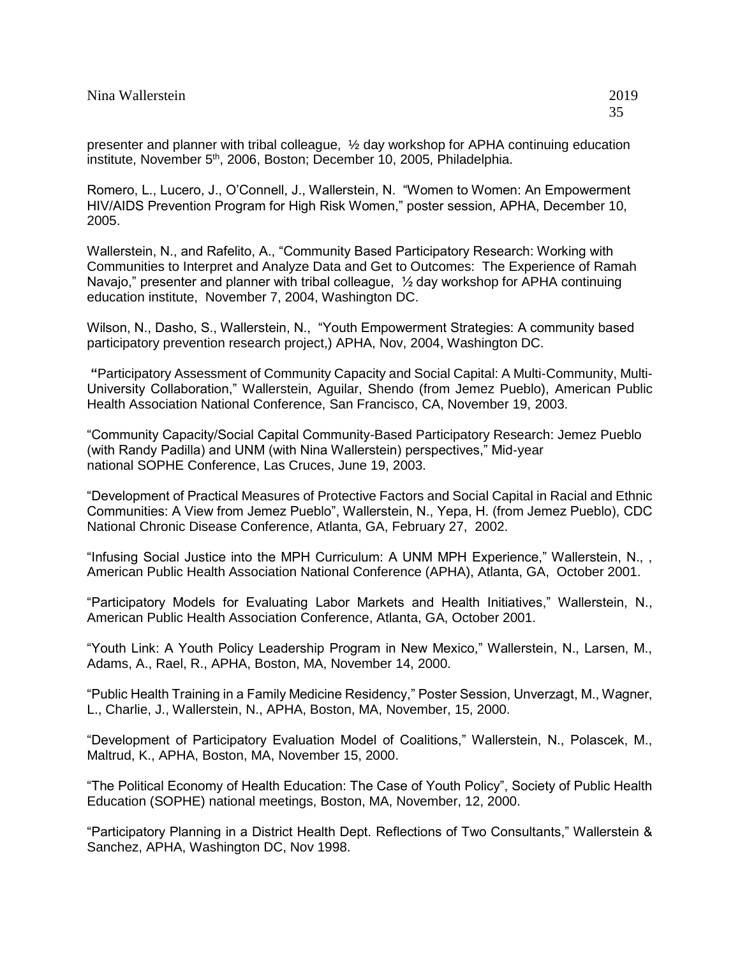Romero, L., Lucero, J., O'Connell, J., Wallerstein, N. "Women to Women: An Empowerment HIV/AIDS Prevention Program for High Risk Women," poster session, APHA, December 10, 2005.

Wallerstein, N., and Rafelito, A., "Community Based Participatory Research: Working with Communities to Interpret and Analyze Data and Get to Outcomes: The Experience of Ramah Navajo," presenter and planner with tribal colleague, ½ day workshop for APHA continuing education institute, November 7, 2004, Washington DC.

Wilson, N., Dasho, S., Wallerstein, N., "Youth Empowerment Strategies: A community based participatory prevention research project,) APHA, Nov, 2004, Washington DC.

**"**Participatory Assessment of Community Capacity and Social Capital: A Multi-Community, Multi-University Collaboration," Wallerstein, Aguilar, Shendo (from Jemez Pueblo), American Public Health Association National Conference, San Francisco, CA, November 19, 2003.

"Community Capacity/Social Capital Community-Based Participatory Research: Jemez Pueblo (with Randy Padilla) and UNM (with Nina Wallerstein) perspectives," Mid-year national SOPHE Conference, Las Cruces, June 19, 2003.

"Development of Practical Measures of Protective Factors and Social Capital in Racial and Ethnic Communities: A View from Jemez Pueblo", Wallerstein, N., Yepa, H. (from Jemez Pueblo), CDC National Chronic Disease Conference, Atlanta, GA, February 27, 2002.

"Infusing Social Justice into the MPH Curriculum: A UNM MPH Experience," Wallerstein, N., , American Public Health Association National Conference (APHA), Atlanta, GA, October 2001.

"Participatory Models for Evaluating Labor Markets and Health Initiatives," Wallerstein, N., American Public Health Association Conference, Atlanta, GA, October 2001.

"Youth Link: A Youth Policy Leadership Program in New Mexico," Wallerstein, N., Larsen, M., Adams, A., Rael, R., APHA, Boston, MA, November 14, 2000.

"Public Health Training in a Family Medicine Residency," Poster Session, Unverzagt, M., Wagner, L., Charlie, J., Wallerstein, N., APHA, Boston, MA, November, 15, 2000.

"Development of Participatory Evaluation Model of Coalitions," Wallerstein, N., Polascek, M., Maltrud, K., APHA, Boston, MA, November 15, 2000.

"The Political Economy of Health Education: The Case of Youth Policy", Society of Public Health Education (SOPHE) national meetings, Boston, MA, November, 12, 2000.

"Participatory Planning in a District Health Dept. Reflections of Two Consultants," Wallerstein & Sanchez, APHA, Washington DC, Nov 1998.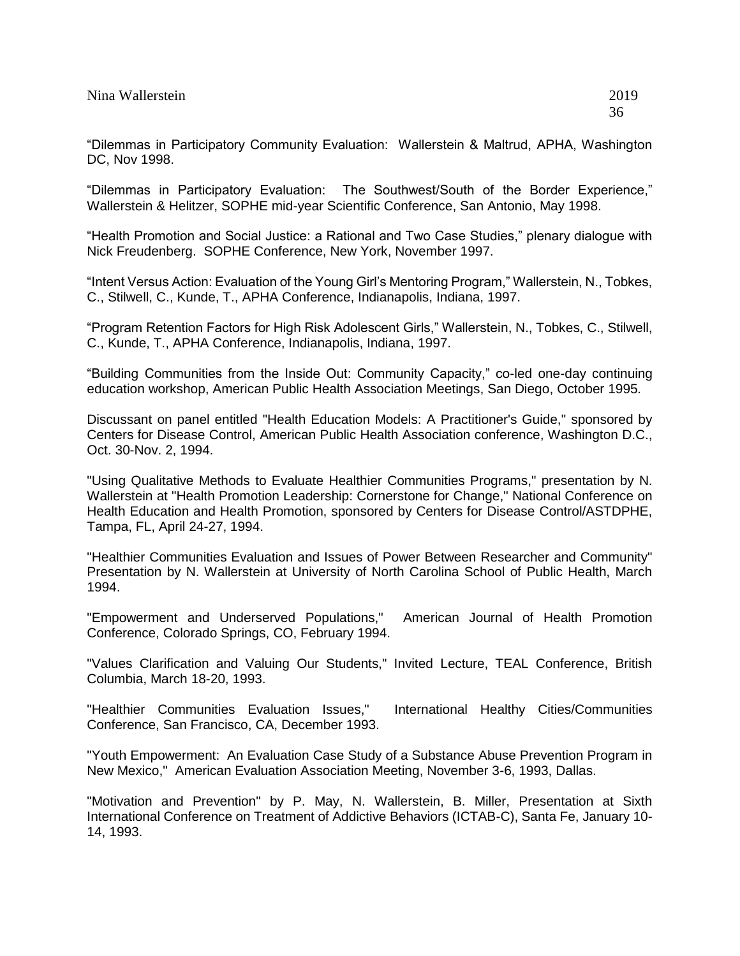"Dilemmas in Participatory Community Evaluation: Wallerstein & Maltrud, APHA, Washington DC, Nov 1998.

"Dilemmas in Participatory Evaluation: The Southwest/South of the Border Experience," Wallerstein & Helitzer, SOPHE mid-year Scientific Conference, San Antonio, May 1998.

"Health Promotion and Social Justice: a Rational and Two Case Studies," plenary dialogue with Nick Freudenberg. SOPHE Conference, New York, November 1997.

"Intent Versus Action: Evaluation of the Young Girl's Mentoring Program," Wallerstein, N., Tobkes, C., Stilwell, C., Kunde, T., APHA Conference, Indianapolis, Indiana, 1997.

"Program Retention Factors for High Risk Adolescent Girls," Wallerstein, N., Tobkes, C., Stilwell, C., Kunde, T., APHA Conference, Indianapolis, Indiana, 1997.

"Building Communities from the Inside Out: Community Capacity," co-led one-day continuing education workshop, American Public Health Association Meetings, San Diego, October 1995.

Discussant on panel entitled "Health Education Models: A Practitioner's Guide," sponsored by Centers for Disease Control, American Public Health Association conference, Washington D.C., Oct. 30-Nov. 2, 1994.

"Using Qualitative Methods to Evaluate Healthier Communities Programs," presentation by N. Wallerstein at "Health Promotion Leadership: Cornerstone for Change," National Conference on Health Education and Health Promotion, sponsored by Centers for Disease Control/ASTDPHE, Tampa, FL, April 24-27, 1994.

"Healthier Communities Evaluation and Issues of Power Between Researcher and Community" Presentation by N. Wallerstein at University of North Carolina School of Public Health, March 1994.

"Empowerment and Underserved Populations," American Journal of Health Promotion Conference, Colorado Springs, CO, February 1994.

"Values Clarification and Valuing Our Students," Invited Lecture, TEAL Conference, British Columbia, March 18-20, 1993.

"Healthier Communities Evaluation Issues," International Healthy Cities/Communities Conference, San Francisco, CA, December 1993.

"Youth Empowerment: An Evaluation Case Study of a Substance Abuse Prevention Program in New Mexico," American Evaluation Association Meeting, November 3-6, 1993, Dallas.

"Motivation and Prevention" by P. May, N. Wallerstein, B. Miller, Presentation at Sixth International Conference on Treatment of Addictive Behaviors (ICTAB-C), Santa Fe, January 10- 14, 1993.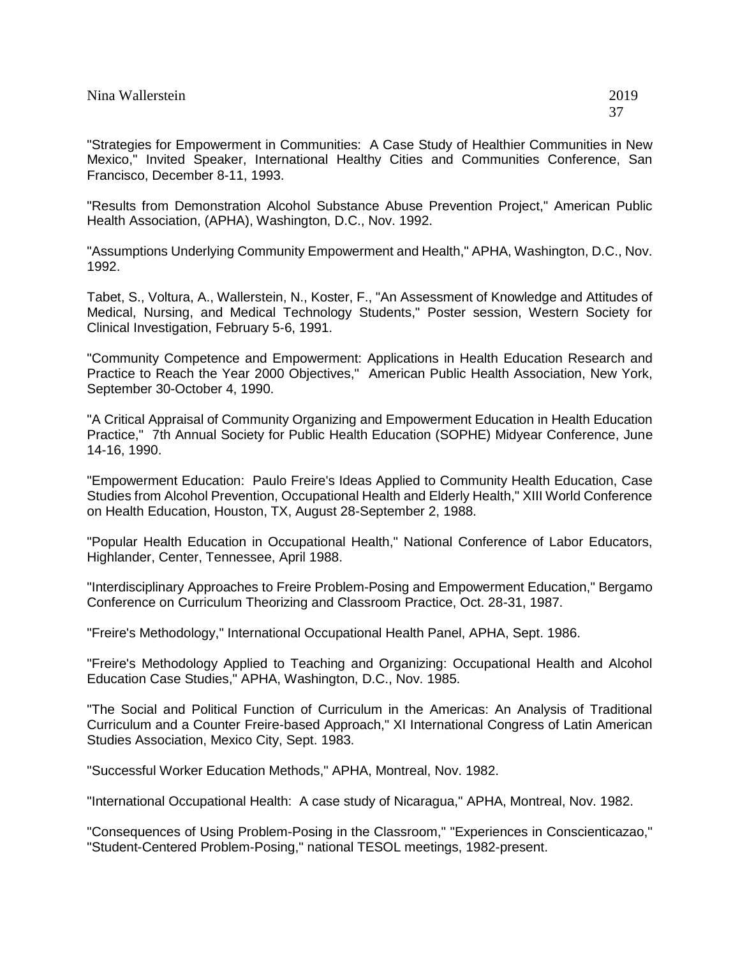"Strategies for Empowerment in Communities: A Case Study of Healthier Communities in New Mexico," Invited Speaker, International Healthy Cities and Communities Conference, San Francisco, December 8-11, 1993.

"Results from Demonstration Alcohol Substance Abuse Prevention Project," American Public Health Association, (APHA), Washington, D.C., Nov. 1992.

"Assumptions Underlying Community Empowerment and Health," APHA, Washington, D.C., Nov. 1992.

Tabet, S., Voltura, A., Wallerstein, N., Koster, F., "An Assessment of Knowledge and Attitudes of Medical, Nursing, and Medical Technology Students," Poster session, Western Society for Clinical Investigation, February 5-6, 1991.

"Community Competence and Empowerment: Applications in Health Education Research and Practice to Reach the Year 2000 Objectives," American Public Health Association, New York, September 30-October 4, 1990.

"A Critical Appraisal of Community Organizing and Empowerment Education in Health Education Practice," 7th Annual Society for Public Health Education (SOPHE) Midyear Conference, June 14-16, 1990.

"Empowerment Education: Paulo Freire's Ideas Applied to Community Health Education, Case Studies from Alcohol Prevention, Occupational Health and Elderly Health," XIII World Conference on Health Education, Houston, TX, August 28-September 2, 1988.

"Popular Health Education in Occupational Health," National Conference of Labor Educators, Highlander, Center, Tennessee, April 1988.

"Interdisciplinary Approaches to Freire Problem-Posing and Empowerment Education," Bergamo Conference on Curriculum Theorizing and Classroom Practice, Oct. 28-31, 1987.

"Freire's Methodology," International Occupational Health Panel, APHA, Sept. 1986.

"Freire's Methodology Applied to Teaching and Organizing: Occupational Health and Alcohol Education Case Studies," APHA, Washington, D.C., Nov. 1985.

"The Social and Political Function of Curriculum in the Americas: An Analysis of Traditional Curriculum and a Counter Freire-based Approach," XI International Congress of Latin American Studies Association, Mexico City, Sept. 1983.

"Successful Worker Education Methods," APHA, Montreal, Nov. 1982.

"International Occupational Health: A case study of Nicaragua," APHA, Montreal, Nov. 1982.

"Consequences of Using Problem-Posing in the Classroom," "Experiences in Conscienticazao," "Student-Centered Problem-Posing," national TESOL meetings, 1982-present.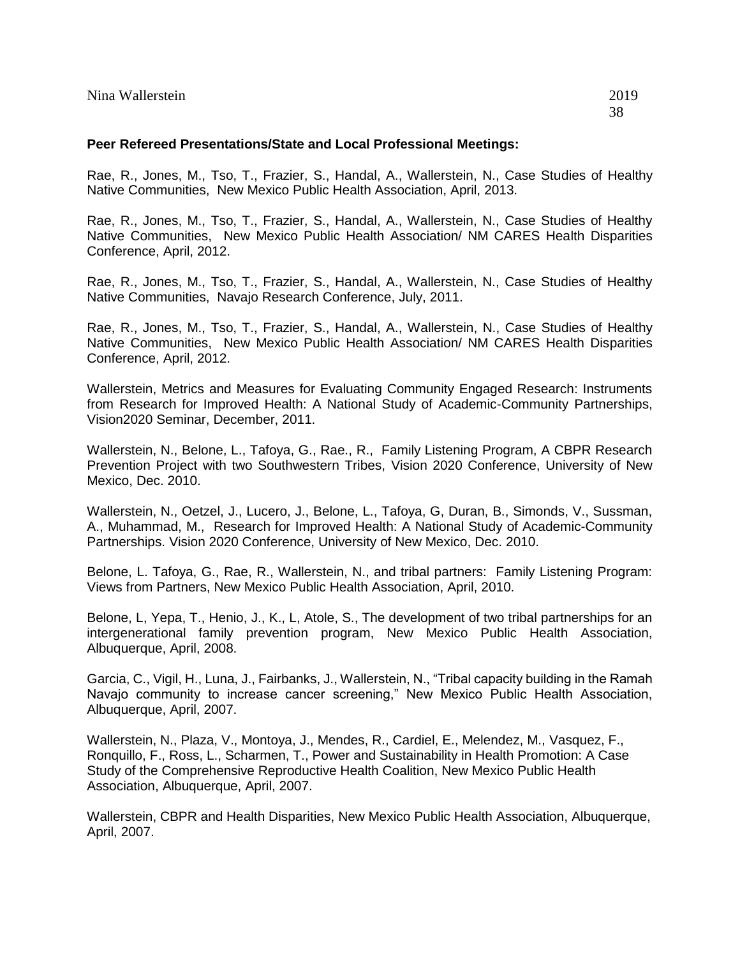Rae, R., Jones, M., Tso, T., Frazier, S., Handal, A., Wallerstein, N., Case Studies of Healthy Native Communities, New Mexico Public Health Association, April, 2013.

Rae, R., Jones, M., Tso, T., Frazier, S., Handal, A., Wallerstein, N., Case Studies of Healthy Native Communities, New Mexico Public Health Association/ NM CARES Health Disparities Conference, April, 2012.

Rae, R., Jones, M., Tso, T., Frazier, S., Handal, A., Wallerstein, N., Case Studies of Healthy Native Communities, Navajo Research Conference, July, 2011.

Rae, R., Jones, M., Tso, T., Frazier, S., Handal, A., Wallerstein, N., Case Studies of Healthy Native Communities, New Mexico Public Health Association/ NM CARES Health Disparities Conference, April, 2012.

Wallerstein, Metrics and Measures for Evaluating Community Engaged Research: Instruments from Research for Improved Health: A National Study of Academic-Community Partnerships, Vision2020 Seminar, December, 2011.

Wallerstein, N., Belone, L., Tafoya, G., Rae., R., Family Listening Program, A CBPR Research Prevention Project with two Southwestern Tribes, Vision 2020 Conference, University of New Mexico, Dec. 2010.

Wallerstein, N., Oetzel, J., Lucero, J., Belone, L., Tafoya, G, Duran, B., Simonds, V., Sussman, A., Muhammad, M., Research for Improved Health: A National Study of Academic-Community Partnerships. Vision 2020 Conference, University of New Mexico, Dec. 2010.

Belone, L. Tafoya, G., Rae, R., Wallerstein, N., and tribal partners: Family Listening Program: Views from Partners, New Mexico Public Health Association, April, 2010.

Belone, L, Yepa, T., Henio, J., K., L, Atole, S., The development of two tribal partnerships for an intergenerational family prevention program, New Mexico Public Health Association, Albuquerque, April, 2008.

Garcia, C., Vigil, H., Luna, J., Fairbanks, J., Wallerstein, N., "Tribal capacity building in the Ramah Navajo community to increase cancer screening," New Mexico Public Health Association, Albuquerque, April, 2007.

Wallerstein, N., Plaza, V., Montoya, J., Mendes, R., Cardiel, E., Melendez, M., Vasquez, F., Ronquillo, F., Ross, L., Scharmen, T., Power and Sustainability in Health Promotion: A Case Study of the Comprehensive Reproductive Health Coalition, New Mexico Public Health Association, Albuquerque, April, 2007.

Wallerstein, CBPR and Health Disparities, New Mexico Public Health Association, Albuquerque, April, 2007.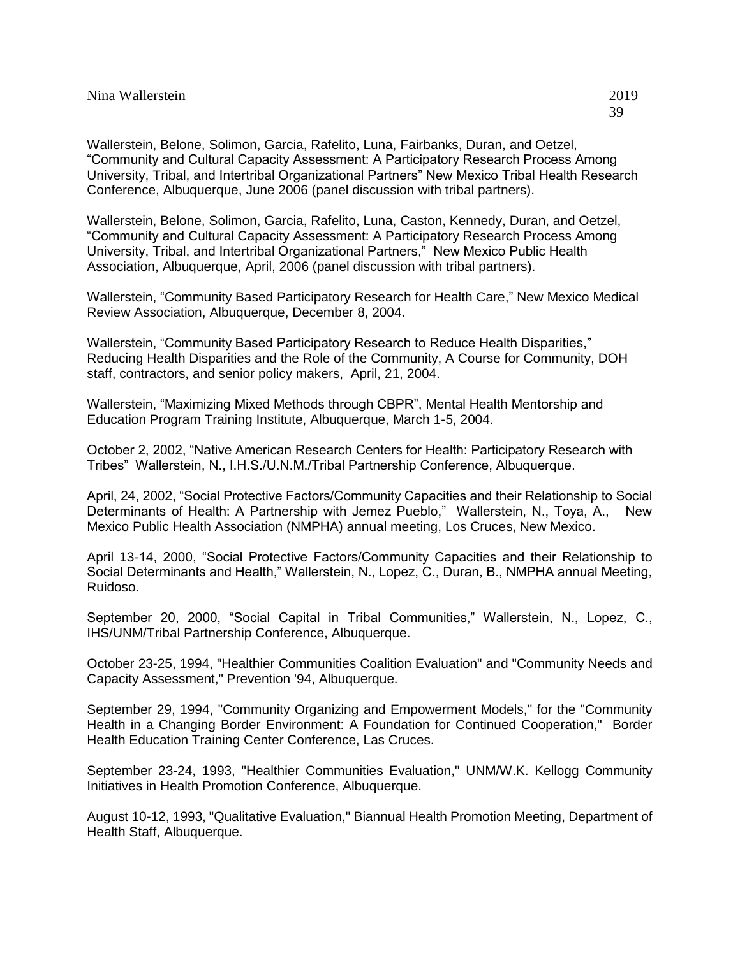Wallerstein, Belone, Solimon, Garcia, Rafelito, Luna, Fairbanks, Duran, and Oetzel, "Community and Cultural Capacity Assessment: A Participatory Research Process Among University, Tribal, and Intertribal Organizational Partners" New Mexico Tribal Health Research Conference, Albuquerque, June 2006 (panel discussion with tribal partners).

Wallerstein, Belone, Solimon, Garcia, Rafelito, Luna, Caston, Kennedy, Duran, and Oetzel, "Community and Cultural Capacity Assessment: A Participatory Research Process Among University, Tribal, and Intertribal Organizational Partners," New Mexico Public Health Association, Albuquerque, April, 2006 (panel discussion with tribal partners).

Wallerstein, "Community Based Participatory Research for Health Care," New Mexico Medical Review Association, Albuquerque, December 8, 2004.

Wallerstein, "Community Based Participatory Research to Reduce Health Disparities," Reducing Health Disparities and the Role of the Community, A Course for Community, DOH staff, contractors, and senior policy makers, April, 21, 2004.

Wallerstein, "Maximizing Mixed Methods through CBPR", Mental Health Mentorship and Education Program Training Institute, Albuquerque, March 1-5, 2004.

October 2, 2002, "Native American Research Centers for Health: Participatory Research with Tribes" Wallerstein, N., I.H.S./U.N.M./Tribal Partnership Conference, Albuquerque.

April, 24, 2002, "Social Protective Factors/Community Capacities and their Relationship to Social Determinants of Health: A Partnership with Jemez Pueblo," Wallerstein, N., Toya, A., New Mexico Public Health Association (NMPHA) annual meeting, Los Cruces, New Mexico.

April 13-14, 2000, "Social Protective Factors/Community Capacities and their Relationship to Social Determinants and Health," Wallerstein, N., Lopez, C., Duran, B., NMPHA annual Meeting, Ruidoso.

September 20, 2000, "Social Capital in Tribal Communities," Wallerstein, N., Lopez, C., IHS/UNM/Tribal Partnership Conference, Albuquerque.

October 23-25, 1994, "Healthier Communities Coalition Evaluation" and "Community Needs and Capacity Assessment," Prevention '94, Albuquerque.

September 29, 1994, "Community Organizing and Empowerment Models," for the "Community Health in a Changing Border Environment: A Foundation for Continued Cooperation," Border Health Education Training Center Conference, Las Cruces.

September 23-24, 1993, "Healthier Communities Evaluation," UNM/W.K. Kellogg Community Initiatives in Health Promotion Conference, Albuquerque.

August 10-12, 1993, "Qualitative Evaluation," Biannual Health Promotion Meeting, Department of Health Staff, Albuquerque.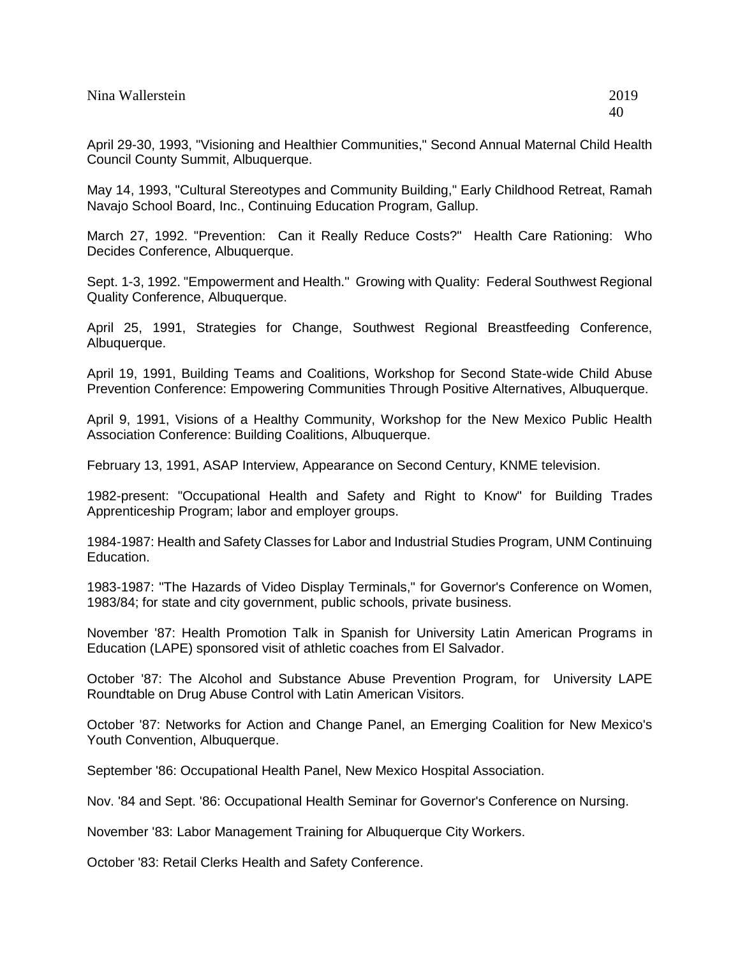April 29-30, 1993, "Visioning and Healthier Communities," Second Annual Maternal Child Health Council County Summit, Albuquerque.

May 14, 1993, "Cultural Stereotypes and Community Building," Early Childhood Retreat, Ramah Navajo School Board, Inc., Continuing Education Program, Gallup.

March 27, 1992. "Prevention: Can it Really Reduce Costs?" Health Care Rationing: Who Decides Conference, Albuquerque.

Sept. 1-3, 1992. "Empowerment and Health." Growing with Quality: Federal Southwest Regional Quality Conference, Albuquerque.

April 25, 1991, Strategies for Change, Southwest Regional Breastfeeding Conference, Albuquerque.

April 19, 1991, Building Teams and Coalitions, Workshop for Second State-wide Child Abuse Prevention Conference: Empowering Communities Through Positive Alternatives, Albuquerque.

April 9, 1991, Visions of a Healthy Community, Workshop for the New Mexico Public Health Association Conference: Building Coalitions, Albuquerque.

February 13, 1991, ASAP Interview, Appearance on Second Century, KNME television.

1982-present: "Occupational Health and Safety and Right to Know" for Building Trades Apprenticeship Program; labor and employer groups.

1984-1987: Health and Safety Classes for Labor and Industrial Studies Program, UNM Continuing Education.

1983-1987: "The Hazards of Video Display Terminals," for Governor's Conference on Women, 1983/84; for state and city government, public schools, private business.

November '87: Health Promotion Talk in Spanish for University Latin American Programs in Education (LAPE) sponsored visit of athletic coaches from El Salvador.

October '87: The Alcohol and Substance Abuse Prevention Program, for University LAPE Roundtable on Drug Abuse Control with Latin American Visitors.

October '87: Networks for Action and Change Panel, an Emerging Coalition for New Mexico's Youth Convention, Albuquerque.

September '86: Occupational Health Panel, New Mexico Hospital Association.

Nov. '84 and Sept. '86: Occupational Health Seminar for Governor's Conference on Nursing.

November '83: Labor Management Training for Albuquerque City Workers.

October '83: Retail Clerks Health and Safety Conference.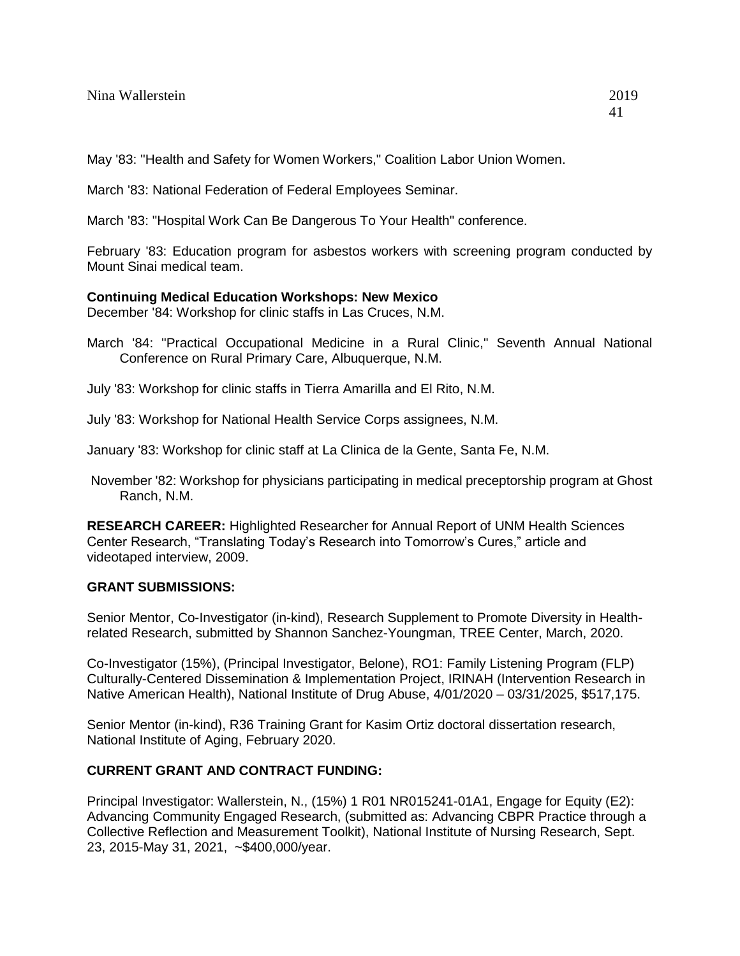March '83: National Federation of Federal Employees Seminar.

March '83: "Hospital Work Can Be Dangerous To Your Health" conference.

February '83: Education program for asbestos workers with screening program conducted by Mount Sinai medical team.

# **Continuing Medical Education Workshops: New Mexico**

December '84: Workshop for clinic staffs in Las Cruces, N.M.

- March '84: "Practical Occupational Medicine in a Rural Clinic," Seventh Annual National Conference on Rural Primary Care, Albuquerque, N.M.
- July '83: Workshop for clinic staffs in Tierra Amarilla and El Rito, N.M.
- July '83: Workshop for National Health Service Corps assignees, N.M.
- January '83: Workshop for clinic staff at La Clinica de la Gente, Santa Fe, N.M.
- November '82: Workshop for physicians participating in medical preceptorship program at Ghost Ranch, N.M.

**RESEARCH CAREER:** Highlighted Researcher for Annual Report of UNM Health Sciences Center Research, "Translating Today's Research into Tomorrow's Cures," article and videotaped interview, 2009.

# **GRANT SUBMISSIONS:**

Senior Mentor, Co-Investigator (in-kind), Research Supplement to Promote Diversity in Healthrelated Research, submitted by Shannon Sanchez-Youngman, TREE Center, March, 2020.

Co-Investigator (15%), (Principal Investigator, Belone), RO1: Family Listening Program (FLP) Culturally-Centered Dissemination & Implementation Project, IRINAH (Intervention Research in Native American Health), National Institute of Drug Abuse, 4/01/2020 – 03/31/2025, \$517,175.

Senior Mentor (in-kind), R36 Training Grant for Kasim Ortiz doctoral dissertation research, National Institute of Aging, February 2020.

# **CURRENT GRANT AND CONTRACT FUNDING:**

Principal Investigator: Wallerstein, N., (15%) 1 R01 NR015241-01A1, Engage for Equity (E2): Advancing Community Engaged Research, (submitted as: Advancing CBPR Practice through a Collective Reflection and Measurement Toolkit), National Institute of Nursing Research, Sept. 23, 2015-May 31, 2021, ~\$400,000/year.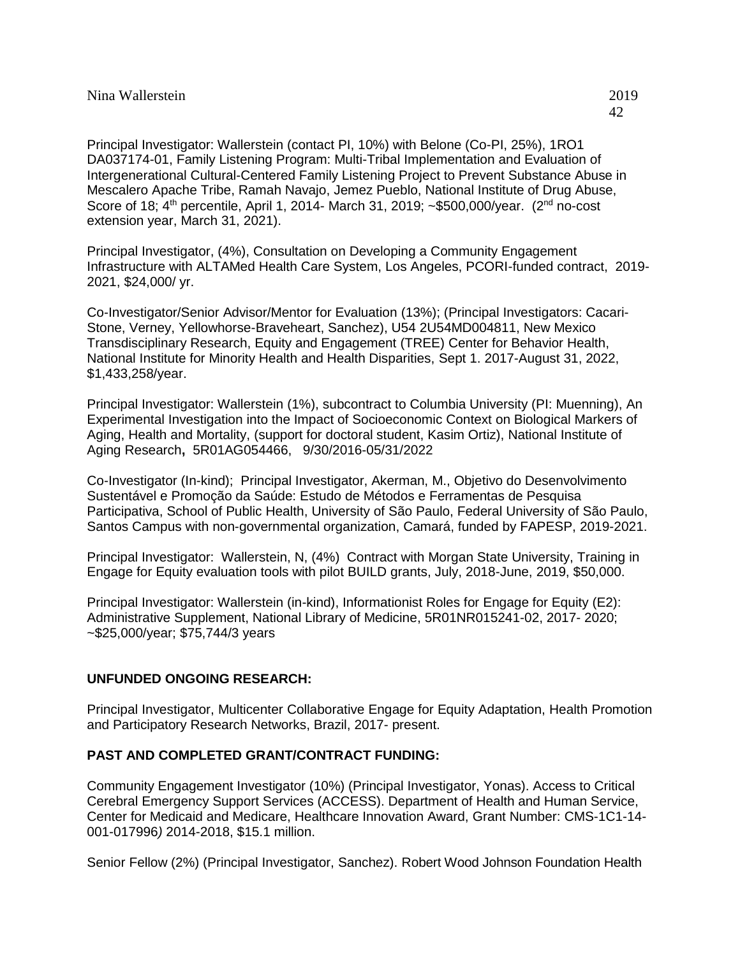Principal Investigator: Wallerstein (contact PI, 10%) with Belone (Co-PI, 25%), 1RO1 DA037174-01, Family Listening Program: Multi-Tribal Implementation and Evaluation of Intergenerational Cultural-Centered Family Listening Project to Prevent Substance Abuse in Mescalero Apache Tribe, Ramah Navajo, Jemez Pueblo, National Institute of Drug Abuse, Score of 18; 4<sup>th</sup> percentile, April 1, 2014- March 31, 2019; ~\$500,000/year. (2<sup>nd</sup> no-cost extension year, March 31, 2021).

Principal Investigator, (4%), Consultation on Developing a Community Engagement Infrastructure with ALTAMed Health Care System, Los Angeles, PCORI-funded contract, 2019- 2021, \$24,000/ yr.

Co-Investigator/Senior Advisor/Mentor for Evaluation (13%); (Principal Investigators: Cacari-Stone, Verney, Yellowhorse-Braveheart, Sanchez), U54 2U54MD004811, New Mexico Transdisciplinary Research, Equity and Engagement (TREE) Center for Behavior Health, National Institute for Minority Health and Health Disparities, Sept 1. 2017-August 31, 2022, \$1,433,258/year.

Principal Investigator: Wallerstein (1%), subcontract to Columbia University (PI: Muenning), An Experimental Investigation into the Impact of Socioeconomic Context on Biological Markers of Aging, Health and Mortality, (support for doctoral student, Kasim Ortiz), National Institute of Aging Research**,** 5R01AG054466, 9/30/2016-05/31/2022

Co-Investigator (In-kind); Principal Investigator, Akerman, M., Objetivo do Desenvolvimento Sustentável e Promoção da Saúde: Estudo de Métodos e Ferramentas de Pesquisa Participativa, School of Public Health, University of São Paulo, Federal University of São Paulo, Santos Campus with non-governmental organization, Camará, funded by FAPESP, 2019-2021.

Principal Investigator: Wallerstein, N, (4%) Contract with Morgan State University, Training in Engage for Equity evaluation tools with pilot BUILD grants, July, 2018-June, 2019, \$50,000.

Principal Investigator: Wallerstein (in-kind), Informationist Roles for Engage for Equity (E2): Administrative Supplement, National Library of Medicine, 5R01NR015241-02, 2017- 2020; ~\$25,000/year; \$75,744/3 years

# **UNFUNDED ONGOING RESEARCH:**

Principal Investigator, Multicenter Collaborative Engage for Equity Adaptation, Health Promotion and Participatory Research Networks, Brazil, 2017- present.

# **PAST AND COMPLETED GRANT/CONTRACT FUNDING:**

Community Engagement Investigator (10%) (Principal Investigator, Yonas). Access to Critical Cerebral Emergency Support Services (ACCESS). Department of Health and Human Service, Center for Medicaid and Medicare, Healthcare Innovation Award, Grant Number: CMS-1C1-14- 001-017996*)* 2014-2018, \$15.1 million.

Senior Fellow (2%) (Principal Investigator, Sanchez). Robert Wood Johnson Foundation Health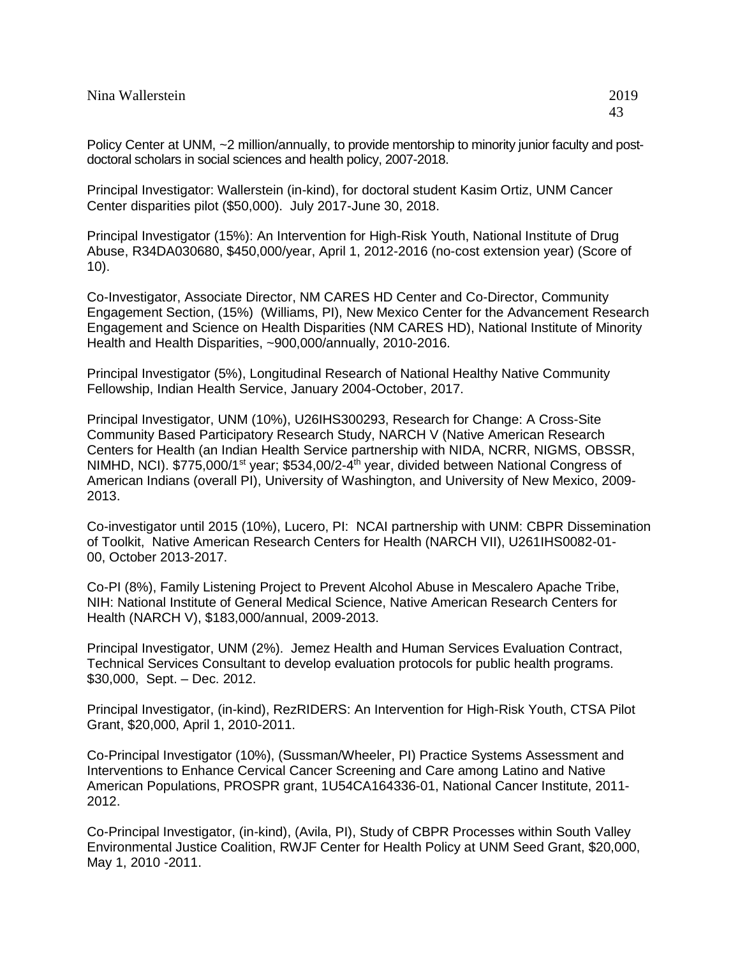Policy Center at UNM, ~2 million/annually, to provide mentorship to minority junior faculty and postdoctoral scholars in social sciences and health policy, 2007-2018.

Principal Investigator: Wallerstein (in-kind), for doctoral student Kasim Ortiz, UNM Cancer Center disparities pilot (\$50,000). July 2017-June 30, 2018.

Principal Investigator (15%): An Intervention for High-Risk Youth, National Institute of Drug Abuse, R34DA030680, \$450,000/year, April 1, 2012-2016 (no-cost extension year) (Score of 10).

Co-Investigator, Associate Director, NM CARES HD Center and Co-Director, Community Engagement Section, (15%) (Williams, PI), New Mexico Center for the Advancement Research Engagement and Science on Health Disparities (NM CARES HD), National Institute of Minority Health and Health Disparities, ~900,000/annually, 2010-2016.

Principal Investigator (5%), Longitudinal Research of National Healthy Native Community Fellowship, Indian Health Service, January 2004-October, 2017.

Principal Investigator, UNM (10%), U26IHS300293, Research for Change: A Cross-Site Community Based Participatory Research Study, NARCH V (Native American Research Centers for Health (an Indian Health Service partnership with NIDA, NCRR, NIGMS, OBSSR, NIMHD, NCI). \$775,000/1<sup>st</sup> year; \$534,00/2-4<sup>th</sup> year, divided between National Congress of American Indians (overall PI), University of Washington, and University of New Mexico, 2009- 2013.

Co-investigator until 2015 (10%), Lucero, PI: NCAI partnership with UNM: CBPR Dissemination of Toolkit, Native American Research Centers for Health (NARCH VII), U261IHS0082-01- 00, October 2013-2017.

Co-PI (8%), Family Listening Project to Prevent Alcohol Abuse in Mescalero Apache Tribe, NIH: National Institute of General Medical Science, Native American Research Centers for Health (NARCH V), \$183,000/annual, 2009-2013.

Principal Investigator, UNM (2%). Jemez Health and Human Services Evaluation Contract, Technical Services Consultant to develop evaluation protocols for public health programs. \$30,000, Sept. – Dec. 2012.

Principal Investigator, (in-kind), RezRIDERS: An Intervention for High-Risk Youth, CTSA Pilot Grant, \$20,000, April 1, 2010-2011.

Co-Principal Investigator (10%), (Sussman/Wheeler, PI) Practice Systems Assessment and Interventions to Enhance Cervical Cancer Screening and Care among Latino and Native American Populations, PROSPR grant, 1U54CA164336-01, National Cancer Institute, 2011- 2012.

Co-Principal Investigator, (in-kind), (Avila, PI), Study of CBPR Processes within South Valley Environmental Justice Coalition, RWJF Center for Health Policy at UNM Seed Grant, \$20,000, May 1, 2010 -2011.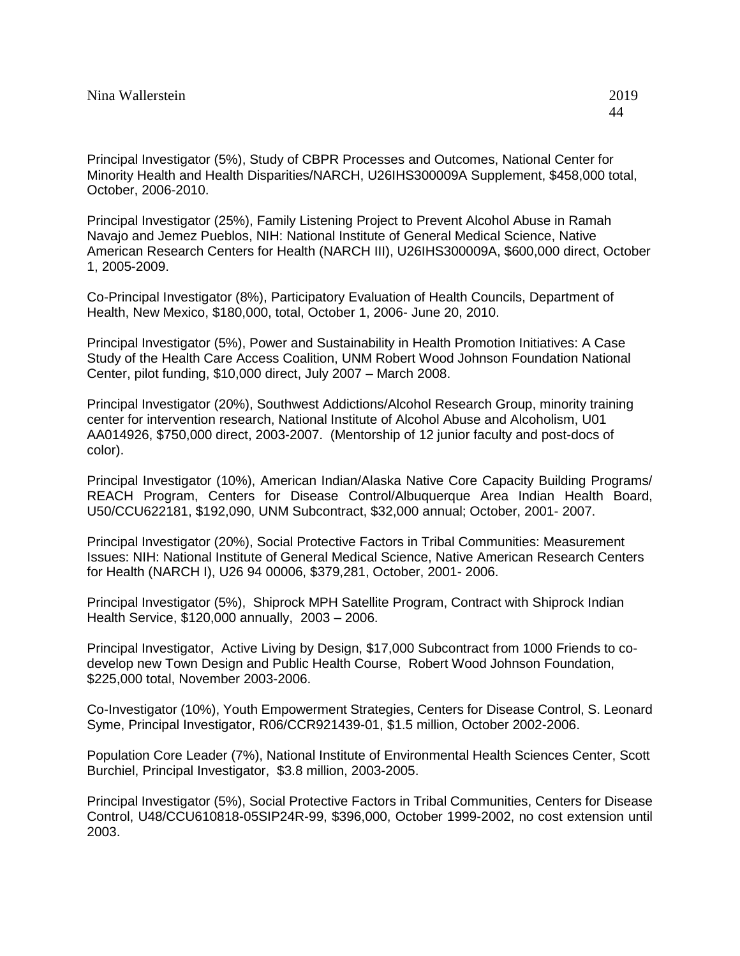Principal Investigator (5%), Study of CBPR Processes and Outcomes, National Center for Minority Health and Health Disparities/NARCH, U26IHS300009A Supplement, \$458,000 total, October, 2006-2010.

Principal Investigator (25%), Family Listening Project to Prevent Alcohol Abuse in Ramah Navajo and Jemez Pueblos, NIH: National Institute of General Medical Science, Native American Research Centers for Health (NARCH III), U26IHS300009A, \$600,000 direct, October 1, 2005-2009.

Co-Principal Investigator (8%), Participatory Evaluation of Health Councils, Department of Health, New Mexico, \$180,000, total, October 1, 2006- June 20, 2010.

Principal Investigator (5%), Power and Sustainability in Health Promotion Initiatives: A Case Study of the Health Care Access Coalition, UNM Robert Wood Johnson Foundation National Center, pilot funding, \$10,000 direct, July 2007 – March 2008.

Principal Investigator (20%), Southwest Addictions/Alcohol Research Group, minority training center for intervention research, National Institute of Alcohol Abuse and Alcoholism, U01 AA014926, \$750,000 direct, 2003-2007. (Mentorship of 12 junior faculty and post-docs of color).

Principal Investigator (10%), American Indian/Alaska Native Core Capacity Building Programs/ REACH Program, Centers for Disease Control/Albuquerque Area Indian Health Board, U50/CCU622181, \$192,090, UNM Subcontract, \$32,000 annual; October, 2001- 2007.

Principal Investigator (20%), Social Protective Factors in Tribal Communities: Measurement Issues: NIH: National Institute of General Medical Science, Native American Research Centers for Health (NARCH I), U26 94 00006, \$379,281, October, 2001- 2006.

Principal Investigator (5%), Shiprock MPH Satellite Program, Contract with Shiprock Indian Health Service, \$120,000 annually, 2003 – 2006.

Principal Investigator, Active Living by Design, \$17,000 Subcontract from 1000 Friends to codevelop new Town Design and Public Health Course, Robert Wood Johnson Foundation, \$225,000 total, November 2003-2006.

Co-Investigator (10%), Youth Empowerment Strategies, Centers for Disease Control, S. Leonard Syme, Principal Investigator, R06/CCR921439-01, \$1.5 million, October 2002-2006.

Population Core Leader (7%), National Institute of Environmental Health Sciences Center, Scott Burchiel, Principal Investigator, \$3.8 million, 2003-2005.

Principal Investigator (5%), Social Protective Factors in Tribal Communities, Centers for Disease Control, U48/CCU610818-05SIP24R-99, \$396,000, October 1999-2002, no cost extension until 2003.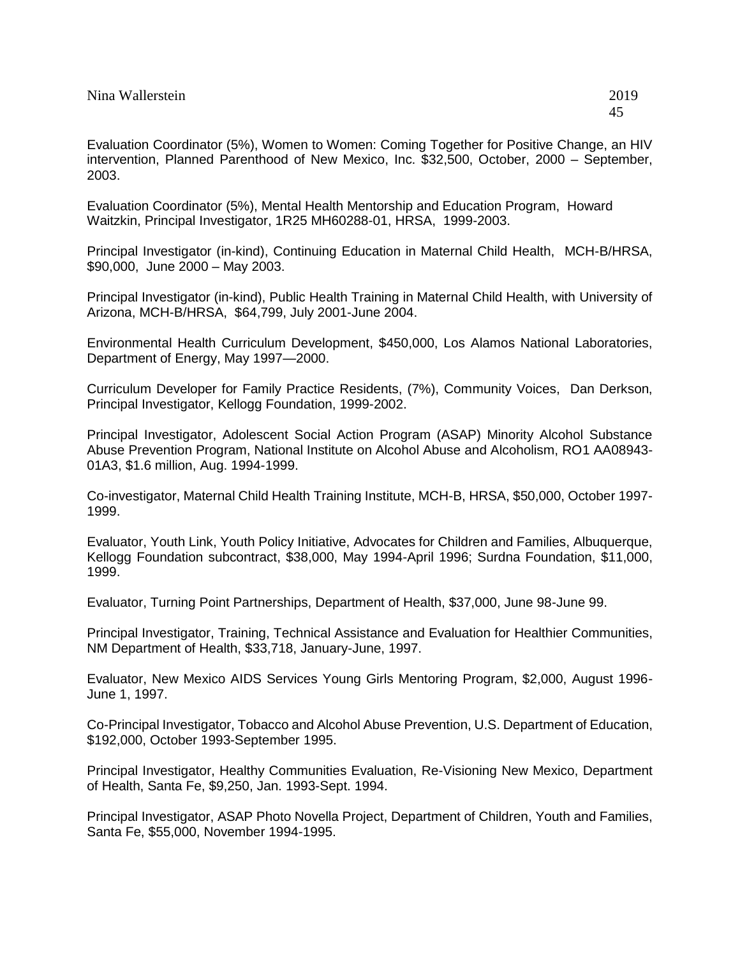Evaluation Coordinator (5%), Women to Women: Coming Together for Positive Change, an HIV intervention, Planned Parenthood of New Mexico, Inc. \$32,500, October, 2000 – September, 2003.

Evaluation Coordinator (5%), Mental Health Mentorship and Education Program, Howard Waitzkin, Principal Investigator, 1R25 MH60288-01, HRSA, 1999-2003.

Principal Investigator (in-kind), Continuing Education in Maternal Child Health, MCH-B/HRSA, \$90,000, June 2000 – May 2003.

Principal Investigator (in-kind), Public Health Training in Maternal Child Health, with University of Arizona, MCH-B/HRSA, \$64,799, July 2001-June 2004.

Environmental Health Curriculum Development, \$450,000, Los Alamos National Laboratories, Department of Energy, May 1997—2000.

Curriculum Developer for Family Practice Residents, (7%), Community Voices, Dan Derkson, Principal Investigator, Kellogg Foundation, 1999-2002.

Principal Investigator, Adolescent Social Action Program (ASAP) Minority Alcohol Substance Abuse Prevention Program, National Institute on Alcohol Abuse and Alcoholism, RO1 AA08943- 01A3, \$1.6 million, Aug. 1994-1999.

Co-investigator, Maternal Child Health Training Institute, MCH-B, HRSA, \$50,000, October 1997- 1999.

Evaluator, Youth Link, Youth Policy Initiative, Advocates for Children and Families, Albuquerque, Kellogg Foundation subcontract, \$38,000, May 1994-April 1996; Surdna Foundation, \$11,000, 1999.

Evaluator, Turning Point Partnerships, Department of Health, \$37,000, June 98-June 99.

Principal Investigator, Training, Technical Assistance and Evaluation for Healthier Communities, NM Department of Health, \$33,718, January-June, 1997.

Evaluator, New Mexico AIDS Services Young Girls Mentoring Program, \$2,000, August 1996- June 1, 1997.

Co-Principal Investigator, Tobacco and Alcohol Abuse Prevention, U.S. Department of Education, \$192,000, October 1993-September 1995.

Principal Investigator, Healthy Communities Evaluation, Re-Visioning New Mexico, Department of Health, Santa Fe, \$9,250, Jan. 1993-Sept. 1994.

Principal Investigator, ASAP Photo Novella Project, Department of Children, Youth and Families, Santa Fe, \$55,000, November 1994-1995.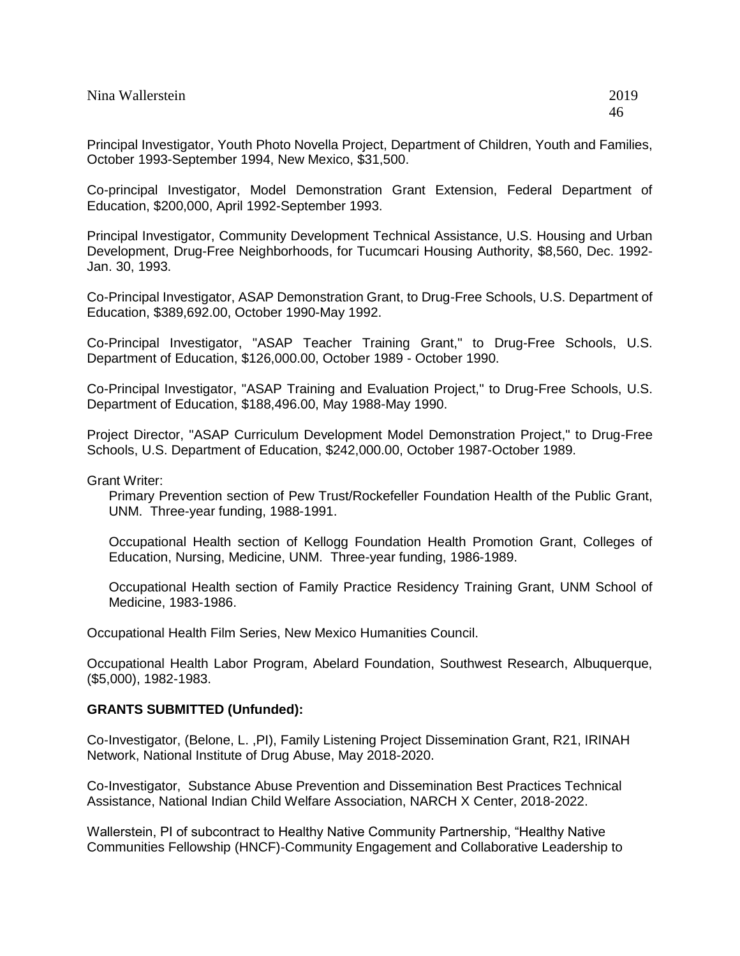Principal Investigator, Youth Photo Novella Project, Department of Children, Youth and Families, October 1993-September 1994, New Mexico, \$31,500.

Co-principal Investigator, Model Demonstration Grant Extension, Federal Department of Education, \$200,000, April 1992-September 1993.

Principal Investigator, Community Development Technical Assistance, U.S. Housing and Urban Development, Drug-Free Neighborhoods, for Tucumcari Housing Authority, \$8,560, Dec. 1992- Jan. 30, 1993.

Co-Principal Investigator, ASAP Demonstration Grant, to Drug-Free Schools, U.S. Department of Education, \$389,692.00, October 1990-May 1992.

Co-Principal Investigator, "ASAP Teacher Training Grant," to Drug-Free Schools, U.S. Department of Education, \$126,000.00, October 1989 - October 1990.

Co-Principal Investigator, "ASAP Training and Evaluation Project," to Drug-Free Schools, U.S. Department of Education, \$188,496.00, May 1988-May 1990.

Project Director, "ASAP Curriculum Development Model Demonstration Project," to Drug-Free Schools, U.S. Department of Education, \$242,000.00, October 1987-October 1989.

Grant Writer:

Primary Prevention section of Pew Trust/Rockefeller Foundation Health of the Public Grant, UNM. Three-year funding, 1988-1991.

Occupational Health section of Kellogg Foundation Health Promotion Grant, Colleges of Education, Nursing, Medicine, UNM. Three-year funding, 1986-1989.

Occupational Health section of Family Practice Residency Training Grant, UNM School of Medicine, 1983-1986.

Occupational Health Film Series, New Mexico Humanities Council.

Occupational Health Labor Program, Abelard Foundation, Southwest Research, Albuquerque, (\$5,000), 1982-1983.

### **GRANTS SUBMITTED (Unfunded):**

Co-Investigator, (Belone, L. ,PI), Family Listening Project Dissemination Grant, R21, IRINAH Network, National Institute of Drug Abuse, May 2018-2020.

Co-Investigator, Substance Abuse Prevention and Dissemination Best Practices Technical Assistance, National Indian Child Welfare Association, NARCH X Center, 2018-2022.

Wallerstein, PI of subcontract to Healthy Native Community Partnership, "Healthy Native Communities Fellowship (HNCF)-Community Engagement and Collaborative Leadership to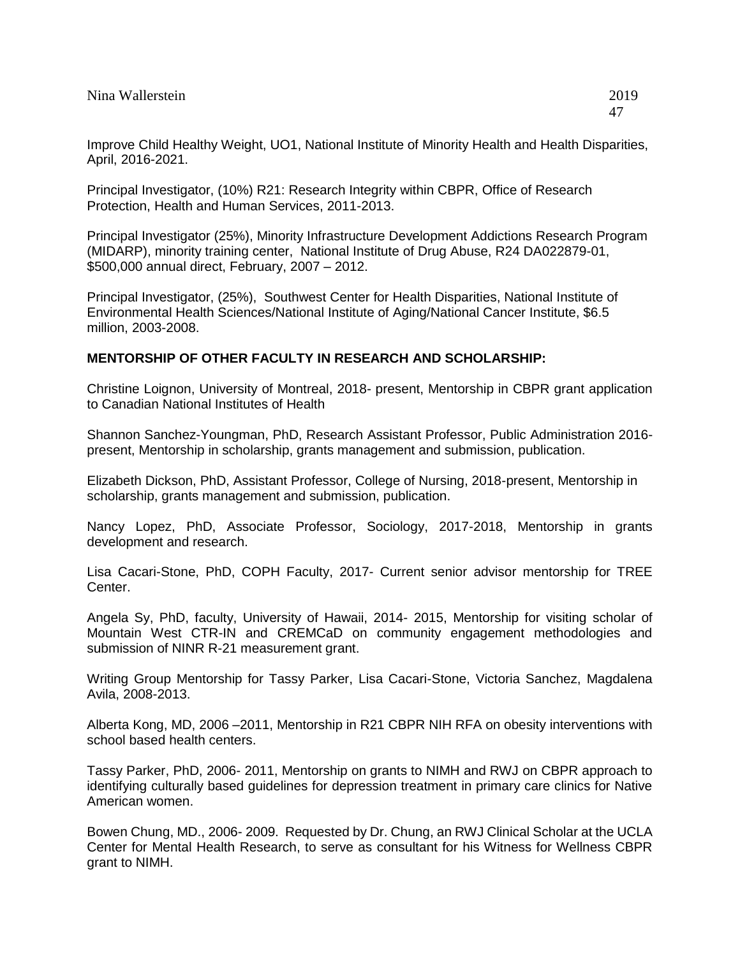Improve Child Healthy Weight, UO1, National Institute of Minority Health and Health Disparities, April, 2016-2021.

Principal Investigator, (10%) R21: Research Integrity within CBPR, Office of Research Protection, Health and Human Services, 2011-2013.

Principal Investigator (25%), Minority Infrastructure Development Addictions Research Program (MIDARP), minority training center, National Institute of Drug Abuse, R24 DA022879-01, \$500,000 annual direct, February, 2007 – 2012.

Principal Investigator, (25%), Southwest Center for Health Disparities, National Institute of Environmental Health Sciences/National Institute of Aging/National Cancer Institute, \$6.5 million, 2003-2008.

# **MENTORSHIP OF OTHER FACULTY IN RESEARCH AND SCHOLARSHIP:**

Christine Loignon, University of Montreal, 2018- present, Mentorship in CBPR grant application to Canadian National Institutes of Health

Shannon Sanchez-Youngman, PhD, Research Assistant Professor, Public Administration 2016 present, Mentorship in scholarship, grants management and submission, publication.

Elizabeth Dickson, PhD, Assistant Professor, College of Nursing, 2018-present, Mentorship in scholarship, grants management and submission, publication.

Nancy Lopez, PhD, Associate Professor, Sociology, 2017-2018, Mentorship in grants development and research.

Lisa Cacari-Stone, PhD, COPH Faculty, 2017- Current senior advisor mentorship for TREE Center.

Angela Sy, PhD, faculty, University of Hawaii, 2014- 2015, Mentorship for visiting scholar of Mountain West CTR-IN and CREMCaD on community engagement methodologies and submission of NINR R-21 measurement grant.

Writing Group Mentorship for Tassy Parker, Lisa Cacari-Stone, Victoria Sanchez, Magdalena Avila, 2008-2013.

Alberta Kong, MD, 2006 –2011, Mentorship in R21 CBPR NIH RFA on obesity interventions with school based health centers.

Tassy Parker, PhD, 2006- 2011, Mentorship on grants to NIMH and RWJ on CBPR approach to identifying culturally based guidelines for depression treatment in primary care clinics for Native American women.

Bowen Chung, MD., 2006- 2009. Requested by Dr. Chung, an RWJ Clinical Scholar at the UCLA Center for Mental Health Research, to serve as consultant for his Witness for Wellness CBPR grant to NIMH.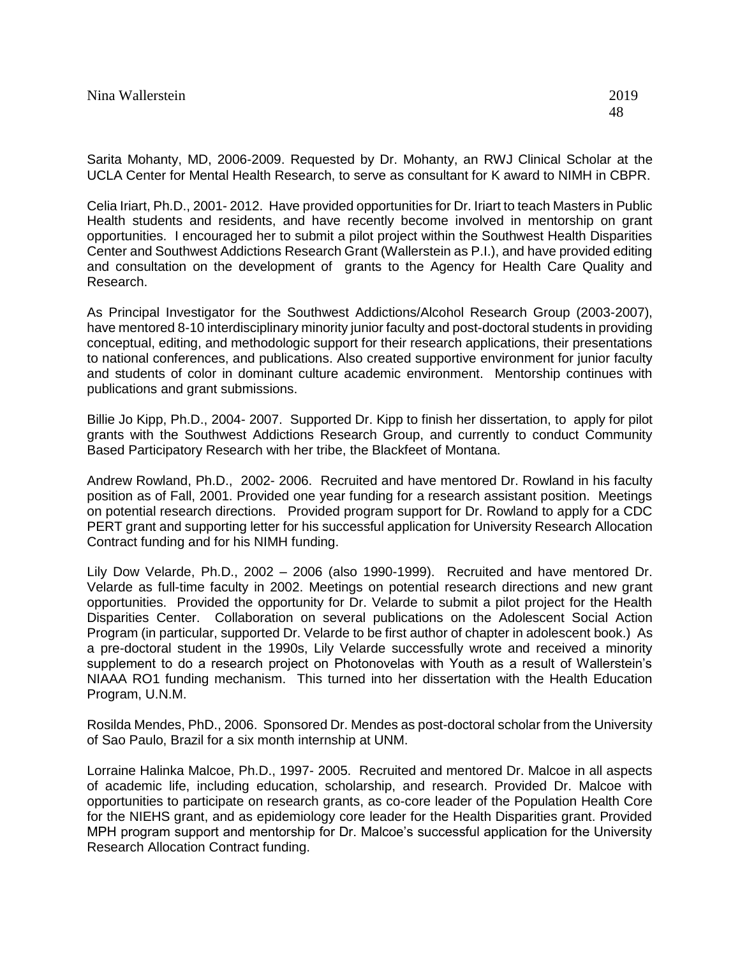Sarita Mohanty, MD, 2006-2009. Requested by Dr. Mohanty, an RWJ Clinical Scholar at the UCLA Center for Mental Health Research, to serve as consultant for K award to NIMH in CBPR.

Celia Iriart, Ph.D., 2001- 2012. Have provided opportunities for Dr. Iriart to teach Masters in Public Health students and residents, and have recently become involved in mentorship on grant opportunities. I encouraged her to submit a pilot project within the Southwest Health Disparities Center and Southwest Addictions Research Grant (Wallerstein as P.I.), and have provided editing and consultation on the development of grants to the Agency for Health Care Quality and Research.

As Principal Investigator for the Southwest Addictions/Alcohol Research Group (2003-2007), have mentored 8-10 interdisciplinary minority junior faculty and post-doctoral students in providing conceptual, editing, and methodologic support for their research applications, their presentations to national conferences, and publications. Also created supportive environment for junior faculty and students of color in dominant culture academic environment. Mentorship continues with publications and grant submissions.

Billie Jo Kipp, Ph.D., 2004- 2007. Supported Dr. Kipp to finish her dissertation, to apply for pilot grants with the Southwest Addictions Research Group, and currently to conduct Community Based Participatory Research with her tribe, the Blackfeet of Montana.

Andrew Rowland, Ph.D., 2002- 2006. Recruited and have mentored Dr. Rowland in his faculty position as of Fall, 2001. Provided one year funding for a research assistant position. Meetings on potential research directions. Provided program support for Dr. Rowland to apply for a CDC PERT grant and supporting letter for his successful application for University Research Allocation Contract funding and for his NIMH funding.

Lily Dow Velarde, Ph.D., 2002 – 2006 (also 1990-1999). Recruited and have mentored Dr. Velarde as full-time faculty in 2002. Meetings on potential research directions and new grant opportunities. Provided the opportunity for Dr. Velarde to submit a pilot project for the Health Disparities Center. Collaboration on several publications on the Adolescent Social Action Program (in particular, supported Dr. Velarde to be first author of chapter in adolescent book.) As a pre-doctoral student in the 1990s, Lily Velarde successfully wrote and received a minority supplement to do a research project on Photonovelas with Youth as a result of Wallerstein's NIAAA RO1 funding mechanism. This turned into her dissertation with the Health Education Program, U.N.M.

Rosilda Mendes, PhD., 2006. Sponsored Dr. Mendes as post-doctoral scholar from the University of Sao Paulo, Brazil for a six month internship at UNM.

Lorraine Halinka Malcoe, Ph.D., 1997- 2005. Recruited and mentored Dr. Malcoe in all aspects of academic life, including education, scholarship, and research. Provided Dr. Malcoe with opportunities to participate on research grants, as co-core leader of the Population Health Core for the NIEHS grant, and as epidemiology core leader for the Health Disparities grant. Provided MPH program support and mentorship for Dr. Malcoe's successful application for the University Research Allocation Contract funding.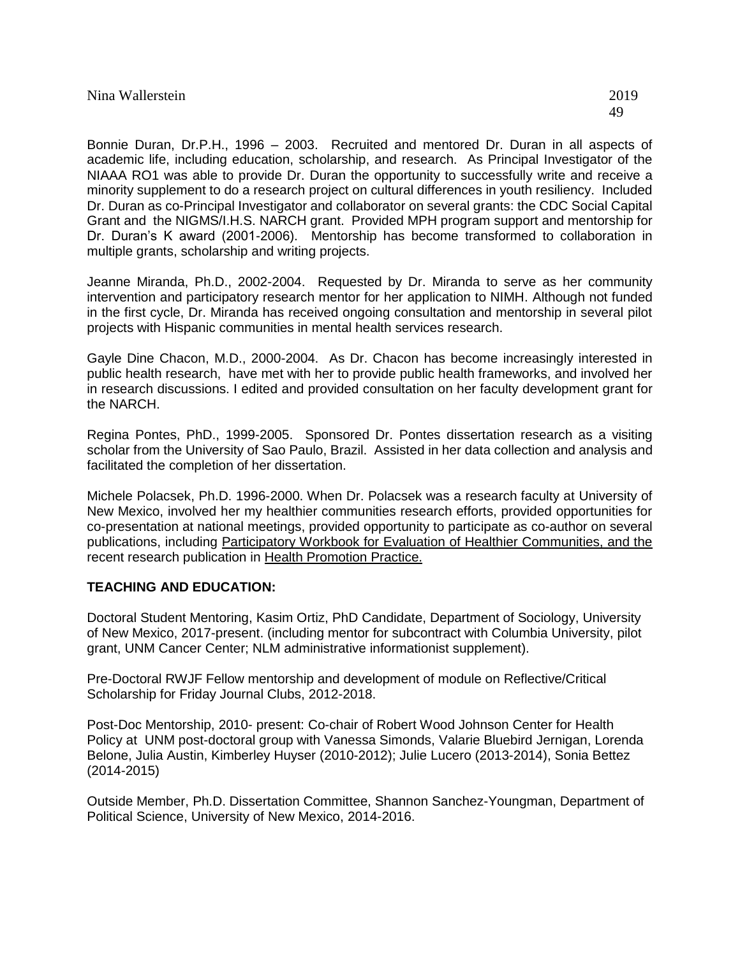Bonnie Duran, Dr.P.H., 1996 – 2003. Recruited and mentored Dr. Duran in all aspects of academic life, including education, scholarship, and research. As Principal Investigator of the NIAAA RO1 was able to provide Dr. Duran the opportunity to successfully write and receive a minority supplement to do a research project on cultural differences in youth resiliency. Included Dr. Duran as co-Principal Investigator and collaborator on several grants: the CDC Social Capital Grant and the NIGMS/I.H.S. NARCH grant. Provided MPH program support and mentorship for Dr. Duran's K award (2001-2006). Mentorship has become transformed to collaboration in multiple grants, scholarship and writing projects.

Jeanne Miranda, Ph.D., 2002-2004. Requested by Dr. Miranda to serve as her community intervention and participatory research mentor for her application to NIMH. Although not funded in the first cycle, Dr. Miranda has received ongoing consultation and mentorship in several pilot projects with Hispanic communities in mental health services research.

Gayle Dine Chacon, M.D., 2000-2004. As Dr. Chacon has become increasingly interested in public health research, have met with her to provide public health frameworks, and involved her in research discussions. I edited and provided consultation on her faculty development grant for the NARCH.

Regina Pontes, PhD., 1999-2005. Sponsored Dr. Pontes dissertation research as a visiting scholar from the University of Sao Paulo, Brazil. Assisted in her data collection and analysis and facilitated the completion of her dissertation.

Michele Polacsek, Ph.D. 1996-2000. When Dr. Polacsek was a research faculty at University of New Mexico, involved her my healthier communities research efforts, provided opportunities for co-presentation at national meetings, provided opportunity to participate as co-author on several publications, including Participatory Workbook for Evaluation of Healthier Communities, and the recent research publication in Health Promotion Practice.

# **TEACHING AND EDUCATION:**

Doctoral Student Mentoring, Kasim Ortiz, PhD Candidate, Department of Sociology, University of New Mexico, 2017-present. (including mentor for subcontract with Columbia University, pilot grant, UNM Cancer Center; NLM administrative informationist supplement).

Pre-Doctoral RWJF Fellow mentorship and development of module on Reflective/Critical Scholarship for Friday Journal Clubs, 2012-2018.

Post-Doc Mentorship, 2010- present: Co-chair of Robert Wood Johnson Center for Health Policy at UNM post-doctoral group with Vanessa Simonds, Valarie Bluebird Jernigan, Lorenda Belone, Julia Austin, Kimberley Huyser (2010-2012); Julie Lucero (2013-2014), Sonia Bettez (2014-2015)

Outside Member, Ph.D. Dissertation Committee, Shannon Sanchez-Youngman, Department of Political Science, University of New Mexico, 2014-2016.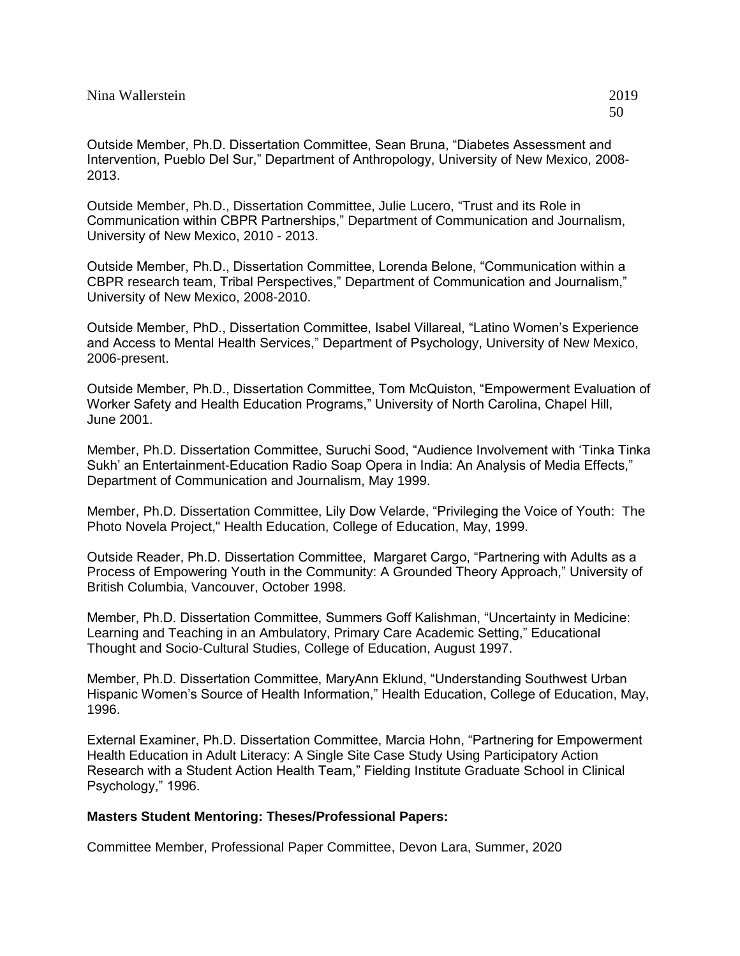Outside Member, Ph.D., Dissertation Committee, Julie Lucero, "Trust and its Role in Communication within CBPR Partnerships," Department of Communication and Journalism, University of New Mexico, 2010 - 2013.

Outside Member, Ph.D., Dissertation Committee, Lorenda Belone, "Communication within a CBPR research team, Tribal Perspectives," Department of Communication and Journalism," University of New Mexico, 2008-2010.

Outside Member, PhD., Dissertation Committee, Isabel Villareal, "Latino Women's Experience and Access to Mental Health Services," Department of Psychology, University of New Mexico, 2006-present.

Outside Member, Ph.D., Dissertation Committee, Tom McQuiston, "Empowerment Evaluation of Worker Safety and Health Education Programs," University of North Carolina, Chapel Hill, June 2001.

Member, Ph.D. Dissertation Committee, Suruchi Sood, "Audience Involvement with 'Tinka Tinka Sukh' an Entertainment-Education Radio Soap Opera in India: An Analysis of Media Effects," Department of Communication and Journalism, May 1999.

Member, Ph.D. Dissertation Committee, Lily Dow Velarde, "Privileging the Voice of Youth: The Photo Novela Project," Health Education, College of Education, May, 1999.

Outside Reader, Ph.D. Dissertation Committee, Margaret Cargo, "Partnering with Adults as a Process of Empowering Youth in the Community: A Grounded Theory Approach," University of British Columbia, Vancouver, October 1998.

Member, Ph.D. Dissertation Committee, Summers Goff Kalishman, "Uncertainty in Medicine: Learning and Teaching in an Ambulatory, Primary Care Academic Setting," Educational Thought and Socio-Cultural Studies, College of Education, August 1997.

Member, Ph.D. Dissertation Committee, MaryAnn Eklund, "Understanding Southwest Urban Hispanic Women's Source of Health Information," Health Education, College of Education, May, 1996.

External Examiner, Ph.D. Dissertation Committee, Marcia Hohn, "Partnering for Empowerment Health Education in Adult Literacy: A Single Site Case Study Using Participatory Action Research with a Student Action Health Team," Fielding Institute Graduate School in Clinical Psychology," 1996.

### **Masters Student Mentoring: Theses/Professional Papers:**

Committee Member, Professional Paper Committee, Devon Lara, Summer, 2020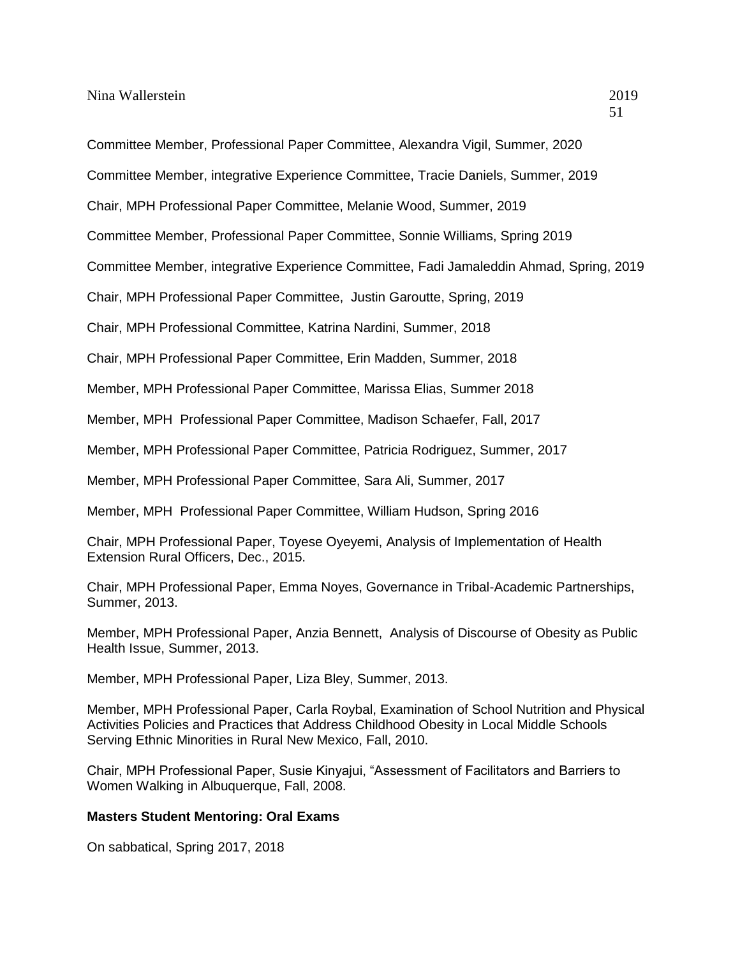Committee Member, Professional Paper Committee, Alexandra Vigil, Summer, 2020

Committee Member, integrative Experience Committee, Tracie Daniels, Summer, 2019

Chair, MPH Professional Paper Committee, Melanie Wood, Summer, 2019

Committee Member, Professional Paper Committee, Sonnie Williams, Spring 2019

Committee Member, integrative Experience Committee, Fadi Jamaleddin Ahmad, Spring, 2019

Chair, MPH Professional Paper Committee, Justin Garoutte, Spring, 2019

Chair, MPH Professional Committee, Katrina Nardini, Summer, 2018

Chair, MPH Professional Paper Committee, Erin Madden, Summer, 2018

Member, MPH Professional Paper Committee, Marissa Elias, Summer 2018

Member, MPH Professional Paper Committee, Madison Schaefer, Fall, 2017

Member, MPH Professional Paper Committee, Patricia Rodriguez, Summer, 2017

Member, MPH Professional Paper Committee, Sara Ali, Summer, 2017

Member, MPH Professional Paper Committee, William Hudson, Spring 2016

Chair, MPH Professional Paper, Toyese Oyeyemi, Analysis of Implementation of Health Extension Rural Officers, Dec., 2015.

Chair, MPH Professional Paper, Emma Noyes, Governance in Tribal-Academic Partnerships, Summer, 2013.

Member, MPH Professional Paper, Anzia Bennett, Analysis of Discourse of Obesity as Public Health Issue, Summer, 2013.

Member, MPH Professional Paper, Liza Bley, Summer, 2013.

Member, MPH Professional Paper, Carla Roybal, Examination of School Nutrition and Physical Activities Policies and Practices that Address Childhood Obesity in Local Middle Schools Serving Ethnic Minorities in Rural New Mexico, Fall, 2010.

Chair, MPH Professional Paper, Susie Kinyajui, "Assessment of Facilitators and Barriers to Women Walking in Albuquerque, Fall, 2008.

# **Masters Student Mentoring: Oral Exams**

On sabbatical, Spring 2017, 2018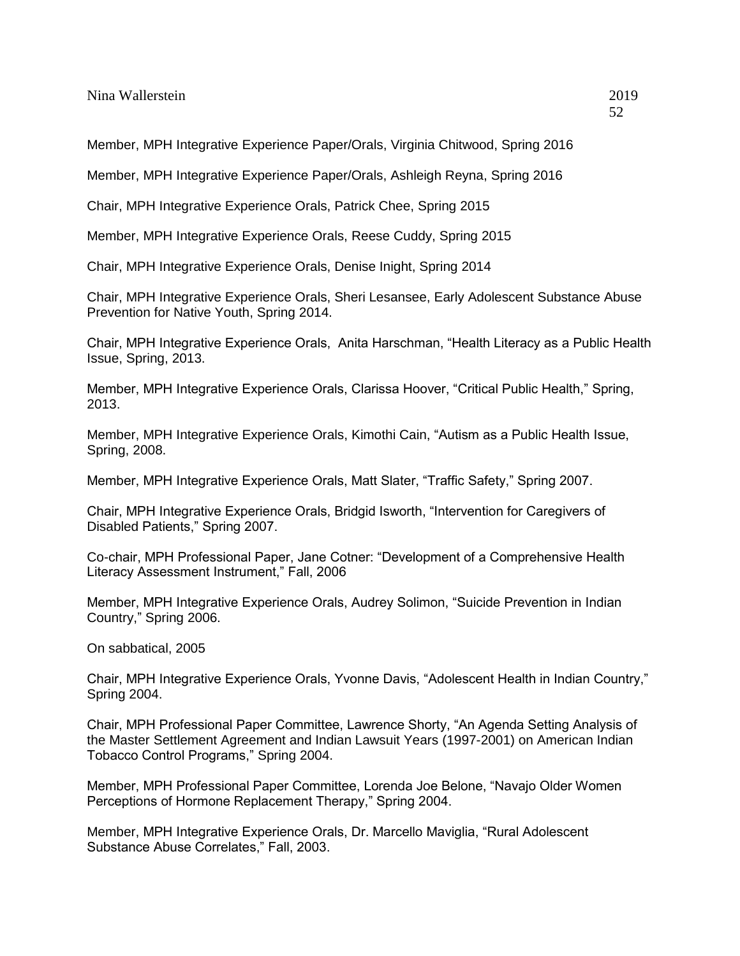Nina Wallerstein 2019

Member, MPH Integrative Experience Paper/Orals, Virginia Chitwood, Spring 2016

Member, MPH Integrative Experience Paper/Orals, Ashleigh Reyna, Spring 2016

Chair, MPH Integrative Experience Orals, Patrick Chee, Spring 2015

Member, MPH Integrative Experience Orals, Reese Cuddy, Spring 2015

Chair, MPH Integrative Experience Orals, Denise Inight, Spring 2014

Chair, MPH Integrative Experience Orals, Sheri Lesansee, Early Adolescent Substance Abuse Prevention for Native Youth, Spring 2014.

Chair, MPH Integrative Experience Orals, Anita Harschman, "Health Literacy as a Public Health Issue, Spring, 2013.

Member, MPH Integrative Experience Orals, Clarissa Hoover, "Critical Public Health," Spring, 2013.

Member, MPH Integrative Experience Orals, Kimothi Cain, "Autism as a Public Health Issue, Spring, 2008.

Member, MPH Integrative Experience Orals, Matt Slater, "Traffic Safety," Spring 2007.

Chair, MPH Integrative Experience Orals, Bridgid Isworth, "Intervention for Caregivers of Disabled Patients," Spring 2007.

Co-chair, MPH Professional Paper, Jane Cotner: "Development of a Comprehensive Health Literacy Assessment Instrument," Fall, 2006

Member, MPH Integrative Experience Orals, Audrey Solimon, "Suicide Prevention in Indian Country," Spring 2006.

On sabbatical, 2005

Chair, MPH Integrative Experience Orals, Yvonne Davis, "Adolescent Health in Indian Country," Spring 2004.

Chair, MPH Professional Paper Committee, Lawrence Shorty, "An Agenda Setting Analysis of the Master Settlement Agreement and Indian Lawsuit Years (1997-2001) on American Indian Tobacco Control Programs," Spring 2004.

Member, MPH Professional Paper Committee, Lorenda Joe Belone, "Navajo Older Women Perceptions of Hormone Replacement Therapy," Spring 2004.

Member, MPH Integrative Experience Orals, Dr. Marcello Maviglia, "Rural Adolescent Substance Abuse Correlates," Fall, 2003.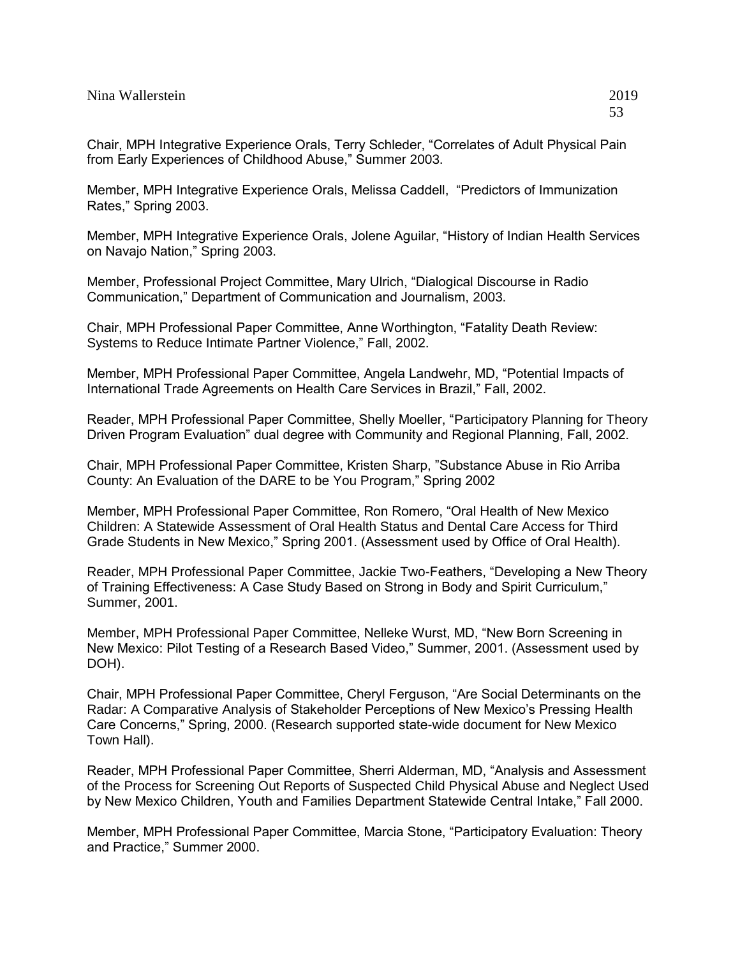Chair, MPH Integrative Experience Orals, Terry Schleder, "Correlates of Adult Physical Pain from Early Experiences of Childhood Abuse," Summer 2003.

Member, MPH Integrative Experience Orals, Melissa Caddell, "Predictors of Immunization Rates," Spring 2003.

Member, MPH Integrative Experience Orals, Jolene Aguilar, "History of Indian Health Services on Navajo Nation," Spring 2003.

Member, Professional Project Committee, Mary Ulrich, "Dialogical Discourse in Radio Communication," Department of Communication and Journalism, 2003.

Chair, MPH Professional Paper Committee, Anne Worthington, "Fatality Death Review: Systems to Reduce Intimate Partner Violence," Fall, 2002.

Member, MPH Professional Paper Committee, Angela Landwehr, MD, "Potential Impacts of International Trade Agreements on Health Care Services in Brazil," Fall, 2002.

Reader, MPH Professional Paper Committee, Shelly Moeller, "Participatory Planning for Theory Driven Program Evaluation" dual degree with Community and Regional Planning, Fall, 2002.

Chair, MPH Professional Paper Committee, Kristen Sharp, "Substance Abuse in Rio Arriba County: An Evaluation of the DARE to be You Program," Spring 2002

Member, MPH Professional Paper Committee, Ron Romero, "Oral Health of New Mexico Children: A Statewide Assessment of Oral Health Status and Dental Care Access for Third Grade Students in New Mexico," Spring 2001. (Assessment used by Office of Oral Health).

Reader, MPH Professional Paper Committee, Jackie Two-Feathers, "Developing a New Theory of Training Effectiveness: A Case Study Based on Strong in Body and Spirit Curriculum," Summer, 2001.

Member, MPH Professional Paper Committee, Nelleke Wurst, MD, "New Born Screening in New Mexico: Pilot Testing of a Research Based Video," Summer, 2001. (Assessment used by DOH).

Chair, MPH Professional Paper Committee, Cheryl Ferguson, "Are Social Determinants on the Radar: A Comparative Analysis of Stakeholder Perceptions of New Mexico's Pressing Health Care Concerns," Spring, 2000. (Research supported state-wide document for New Mexico Town Hall).

Reader, MPH Professional Paper Committee, Sherri Alderman, MD, "Analysis and Assessment of the Process for Screening Out Reports of Suspected Child Physical Abuse and Neglect Used by New Mexico Children, Youth and Families Department Statewide Central Intake," Fall 2000.

Member, MPH Professional Paper Committee, Marcia Stone, "Participatory Evaluation: Theory and Practice," Summer 2000.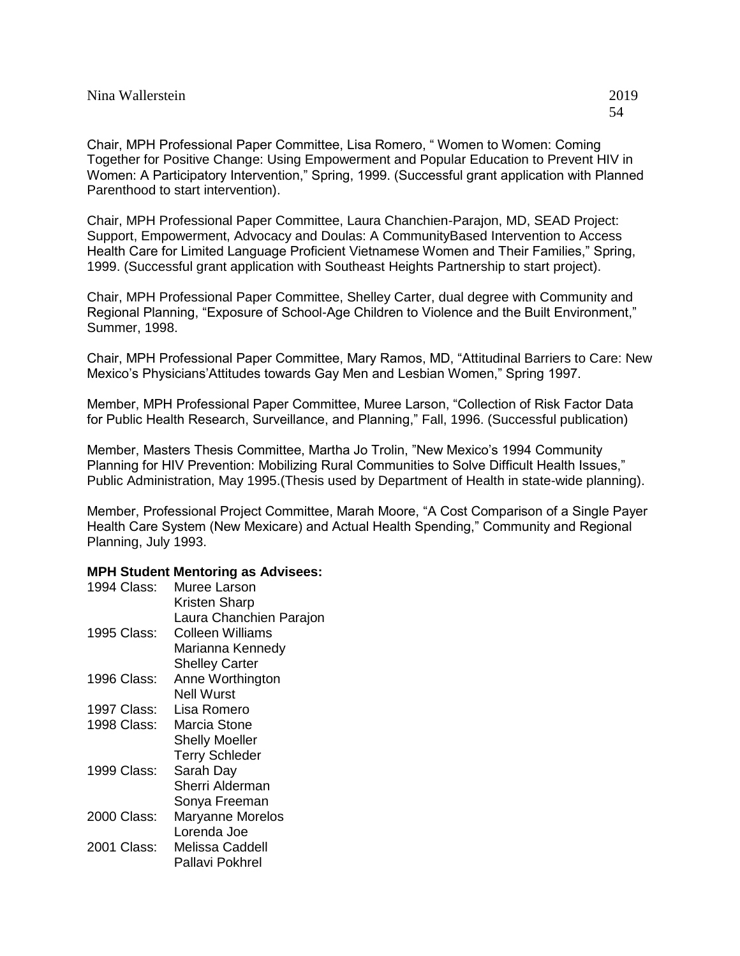Chair, MPH Professional Paper Committee, Lisa Romero, " Women to Women: Coming Together for Positive Change: Using Empowerment and Popular Education to Prevent HIV in Women: A Participatory Intervention," Spring, 1999. (Successful grant application with Planned Parenthood to start intervention).

Chair, MPH Professional Paper Committee, Laura Chanchien-Parajon, MD, SEAD Project: Support, Empowerment, Advocacy and Doulas: A CommunityBased Intervention to Access Health Care for Limited Language Proficient Vietnamese Women and Their Families," Spring, 1999. (Successful grant application with Southeast Heights Partnership to start project).

Chair, MPH Professional Paper Committee, Shelley Carter, dual degree with Community and Regional Planning, "Exposure of School-Age Children to Violence and the Built Environment," Summer, 1998.

Chair, MPH Professional Paper Committee, Mary Ramos, MD, "Attitudinal Barriers to Care: New Mexico's Physicians'Attitudes towards Gay Men and Lesbian Women," Spring 1997.

Member, MPH Professional Paper Committee, Muree Larson, "Collection of Risk Factor Data for Public Health Research, Surveillance, and Planning," Fall, 1996. (Successful publication)

Member, Masters Thesis Committee, Martha Jo Trolin, "New Mexico's 1994 Community Planning for HIV Prevention: Mobilizing Rural Communities to Solve Difficult Health Issues," Public Administration, May 1995.(Thesis used by Department of Health in state-wide planning).

Member, Professional Project Committee, Marah Moore, "A Cost Comparison of a Single Payer Health Care System (New Mexicare) and Actual Health Spending," Community and Regional Planning, July 1993.

### **MPH Student Mentoring as Advisees:**

| 1994 Class: | Muree Larson            |
|-------------|-------------------------|
|             | Kristen Sharp           |
|             | Laura Chanchien Parajon |
| 1995 Class: | Colleen Williams        |
|             | Marianna Kennedy        |
|             | <b>Shelley Carter</b>   |
| 1996 Class: | Anne Worthington        |
|             | Nell Wurst              |
| 1997 Class: | Lisa Romero             |
| 1998 Class: | Marcia Stone            |
|             | <b>Shelly Moeller</b>   |
|             | <b>Terry Schleder</b>   |
| 1999 Class: | Sarah Day               |
|             | Sherri Alderman         |
|             | Sonya Freeman           |
| 2000 Class: | Maryanne Morelos        |
|             | Lorenda Joe             |
| 2001 Class: | Melissa Caddell         |
|             | Pallavi Pokhrel         |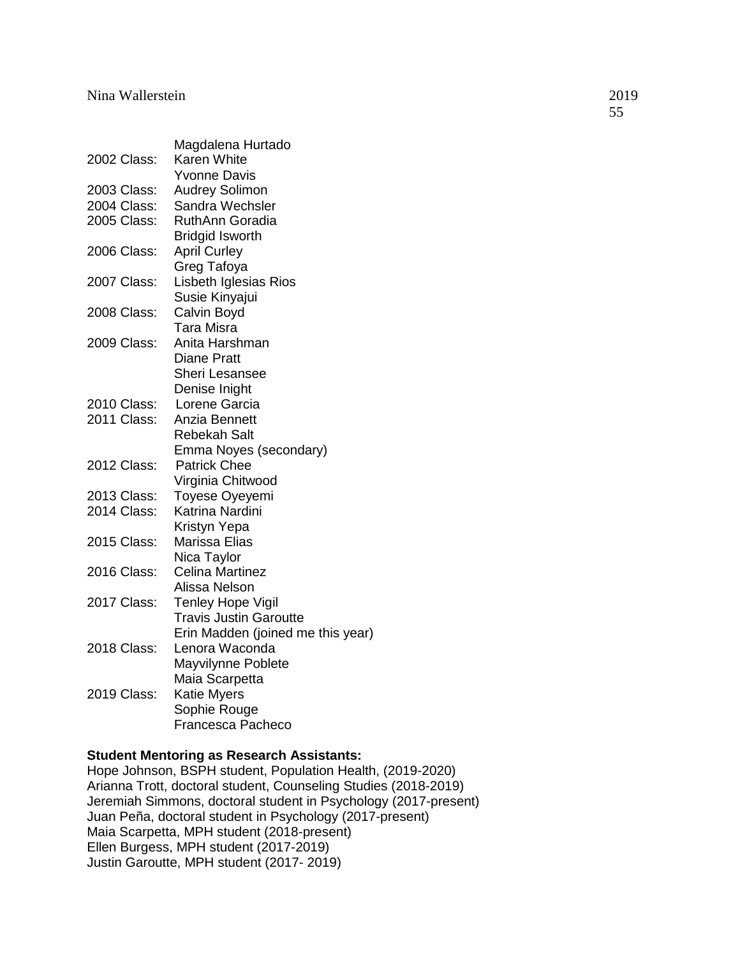|             | Magdalena Hurtado                 |
|-------------|-----------------------------------|
| 2002 Class: | Karen White                       |
|             | <b>Yvonne Davis</b>               |
| 2003 Class: | <b>Audrey Solimon</b>             |
| 2004 Class: | Sandra Wechsler                   |
| 2005 Class: | <b>RuthAnn Goradia</b>            |
|             | <b>Bridgid Isworth</b>            |
| 2006 Class: | <b>April Curley</b>               |
|             | Greg Tafoya                       |
| 2007 Class: | Lisbeth Iglesias Rios             |
|             | Susie Kinyajui                    |
| 2008 Class: | Calvin Boyd                       |
|             | Tara Misra                        |
| 2009 Class: | Anita Harshman                    |
|             | <b>Diane Pratt</b>                |
|             | <b>Sheri Lesansee</b>             |
|             | Denise Inight                     |
| 2010 Class: | Lorene Garcia                     |
| 2011 Class: | Anzia Bennett                     |
|             | <b>Rebekah Salt</b>               |
|             | Emma Noyes (secondary)            |
| 2012 Class: | <b>Patrick Chee</b>               |
|             | Virginia Chitwood                 |
| 2013 Class: | Toyese Oyeyemi                    |
| 2014 Class: | Katrina Nardini                   |
|             | Kristyn Yepa                      |
| 2015 Class: | Marissa Elias                     |
|             | Nica Taylor                       |
| 2016 Class: | <b>Celina Martinez</b>            |
|             | Alissa Nelson                     |
| 2017 Class: | <b>Tenley Hope Vigil</b>          |
|             | <b>Travis Justin Garoutte</b>     |
|             | Erin Madden (joined me this year) |
| 2018 Class: | Lenora Waconda                    |
|             | Mayvilynne Poblete                |
|             | Maia Scarpetta                    |
| 2019 Class: | <b>Katie Myers</b>                |
|             | Sophie Rouge                      |
|             | Francesca Pacheco                 |

# **Student Mentoring as Research Assistants:**

Hope Johnson, BSPH student, Population Health, (2019-2020) Arianna Trott, doctoral student, Counseling Studies (2018-2019) Jeremiah Simmons, doctoral student in Psychology (2017-present) Juan Peña, doctoral student in Psychology (2017-present) Maia Scarpetta, MPH student (2018-present) Ellen Burgess, MPH student (2017-2019) Justin Garoutte, MPH student (2017- 2019)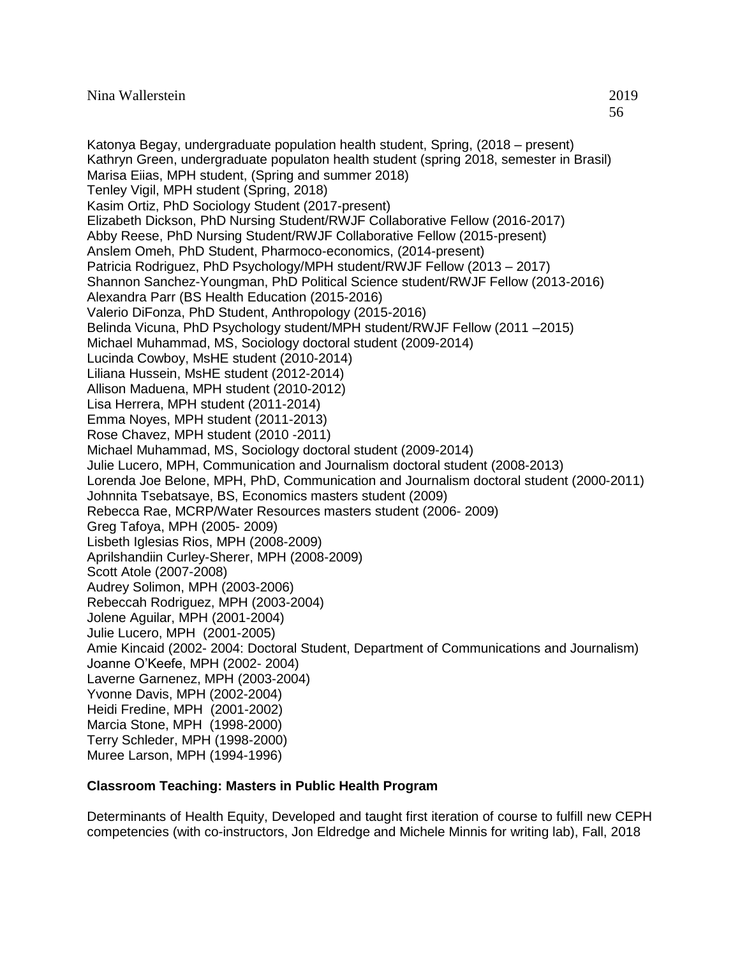Katonya Begay, undergraduate population health student, Spring, (2018 – present) Kathryn Green, undergraduate populaton health student (spring 2018, semester in Brasil) Marisa Eiias, MPH student, (Spring and summer 2018) Tenley Vigil, MPH student (Spring, 2018) Kasim Ortiz, PhD Sociology Student (2017-present) Elizabeth Dickson, PhD Nursing Student/RWJF Collaborative Fellow (2016-2017) Abby Reese, PhD Nursing Student/RWJF Collaborative Fellow (2015-present) Anslem Omeh, PhD Student, Pharmoco-economics, (2014-present) Patricia Rodriguez, PhD Psychology/MPH student/RWJF Fellow (2013 – 2017) Shannon Sanchez-Youngman, PhD Political Science student/RWJF Fellow (2013-2016) Alexandra Parr (BS Health Education (2015-2016) Valerio DiFonza, PhD Student, Anthropology (2015-2016) Belinda Vicuna, PhD Psychology student/MPH student/RWJF Fellow (2011 –2015) Michael Muhammad, MS, Sociology doctoral student (2009-2014) Lucinda Cowboy, MsHE student (2010-2014) Liliana Hussein, MsHE student (2012-2014) Allison Maduena, MPH student (2010-2012) Lisa Herrera, MPH student (2011-2014) Emma Noyes, MPH student (2011-2013) Rose Chavez, MPH student (2010 -2011) Michael Muhammad, MS, Sociology doctoral student (2009-2014) Julie Lucero, MPH, Communication and Journalism doctoral student (2008-2013) Lorenda Joe Belone, MPH, PhD, Communication and Journalism doctoral student (2000-2011) Johnnita Tsebatsaye, BS, Economics masters student (2009) Rebecca Rae, MCRP/Water Resources masters student (2006- 2009) Greg Tafoya, MPH (2005- 2009) Lisbeth Iglesias Rios, MPH (2008-2009) Aprilshandiin Curley-Sherer, MPH (2008-2009) Scott Atole (2007-2008) Audrey Solimon, MPH (2003-2006) Rebeccah Rodriguez, MPH (2003-2004) Jolene Aguilar, MPH (2001-2004) Julie Lucero, MPH (2001-2005) Amie Kincaid (2002- 2004: Doctoral Student, Department of Communications and Journalism) Joanne O'Keefe, MPH (2002- 2004) Laverne Garnenez, MPH (2003-2004) Yvonne Davis, MPH (2002-2004) Heidi Fredine, MPH (2001-2002) Marcia Stone, MPH (1998-2000) Terry Schleder, MPH (1998-2000) Muree Larson, MPH (1994-1996)

### **Classroom Teaching: Masters in Public Health Program**

Determinants of Health Equity, Developed and taught first iteration of course to fulfill new CEPH competencies (with co-instructors, Jon Eldredge and Michele Minnis for writing lab), Fall, 2018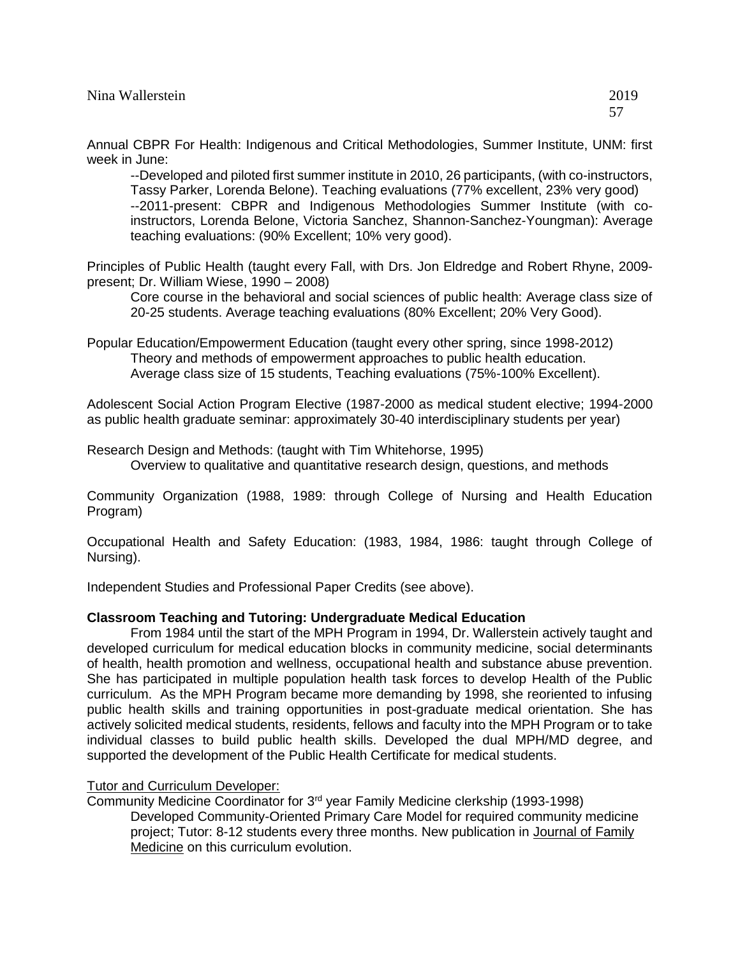Annual CBPR For Health: Indigenous and Critical Methodologies, Summer Institute, UNM: first week in June:

--Developed and piloted first summer institute in 2010, 26 participants, (with co-instructors, Tassy Parker, Lorenda Belone). Teaching evaluations (77% excellent, 23% very good) --2011-present: CBPR and Indigenous Methodologies Summer Institute (with coinstructors, Lorenda Belone, Victoria Sanchez, Shannon-Sanchez-Youngman): Average teaching evaluations: (90% Excellent; 10% very good).

Principles of Public Health (taught every Fall, with Drs. Jon Eldredge and Robert Rhyne, 2009 present; Dr. William Wiese, 1990 – 2008)

Core course in the behavioral and social sciences of public health: Average class size of 20-25 students. Average teaching evaluations (80% Excellent; 20% Very Good).

Popular Education/Empowerment Education (taught every other spring, since 1998-2012) Theory and methods of empowerment approaches to public health education. Average class size of 15 students, Teaching evaluations (75%-100% Excellent).

Adolescent Social Action Program Elective (1987-2000 as medical student elective; 1994-2000 as public health graduate seminar: approximately 30-40 interdisciplinary students per year)

Research Design and Methods: (taught with Tim Whitehorse, 1995) Overview to qualitative and quantitative research design, questions, and methods

Community Organization (1988, 1989: through College of Nursing and Health Education Program)

Occupational Health and Safety Education: (1983, 1984, 1986: taught through College of Nursing).

Independent Studies and Professional Paper Credits (see above).

### **Classroom Teaching and Tutoring: Undergraduate Medical Education**

From 1984 until the start of the MPH Program in 1994, Dr. Wallerstein actively taught and developed curriculum for medical education blocks in community medicine, social determinants of health, health promotion and wellness, occupational health and substance abuse prevention. She has participated in multiple population health task forces to develop Health of the Public curriculum. As the MPH Program became more demanding by 1998, she reoriented to infusing public health skills and training opportunities in post-graduate medical orientation. She has actively solicited medical students, residents, fellows and faculty into the MPH Program or to take individual classes to build public health skills. Developed the dual MPH/MD degree, and supported the development of the Public Health Certificate for medical students.

### Tutor and Curriculum Developer:

Community Medicine Coordinator for 3rd year Family Medicine clerkship (1993-1998) Developed Community-Oriented Primary Care Model for required community medicine project; Tutor: 8-12 students every three months. New publication in Journal of Family Medicine on this curriculum evolution.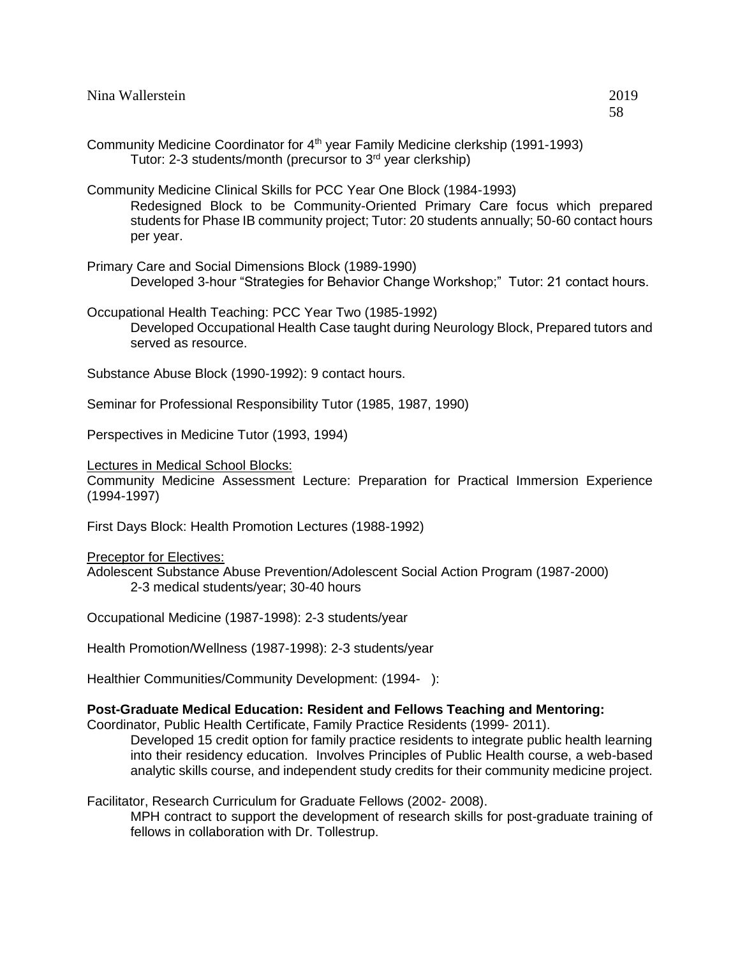| Community Medicine Coordinator for 4 <sup>th</sup> year Family Medicine clerkship (1991-1993)<br>Tutor: 2-3 students/month (precursor to $3rd$ year clerkship) |  |
|----------------------------------------------------------------------------------------------------------------------------------------------------------------|--|
| Community Medicine Clinical Skills for PCC Year One Block (1984-1993)<br>Redesigned Block to be Community-Oriented Primary Care focus which                    |  |

Redesigned Block to be Community-Oriented Primary Care focus which prepared students for Phase IB community project; Tutor: 20 students annually; 50-60 contact hours per year.

Primary Care and Social Dimensions Block (1989-1990) Developed 3-hour "Strategies for Behavior Change Workshop;" Tutor: 21 contact hours.

Occupational Health Teaching: PCC Year Two (1985-1992) Developed Occupational Health Case taught during Neurology Block, Prepared tutors and served as resource.

Substance Abuse Block (1990-1992): 9 contact hours.

Seminar for Professional Responsibility Tutor (1985, 1987, 1990)

Perspectives in Medicine Tutor (1993, 1994)

Lectures in Medical School Blocks:

Community Medicine Assessment Lecture: Preparation for Practical Immersion Experience (1994-1997)

First Days Block: Health Promotion Lectures (1988-1992)

Preceptor for Electives:

Adolescent Substance Abuse Prevention/Adolescent Social Action Program (1987-2000) 2-3 medical students/year; 30-40 hours

Occupational Medicine (1987-1998): 2-3 students/year

Health Promotion/Wellness (1987-1998): 2-3 students/year

Healthier Communities/Community Development: (1994-):

#### **Post-Graduate Medical Education: Resident and Fellows Teaching and Mentoring:**

Coordinator, Public Health Certificate, Family Practice Residents (1999- 2011).

Developed 15 credit option for family practice residents to integrate public health learning into their residency education. Involves Principles of Public Health course, a web-based analytic skills course, and independent study credits for their community medicine project.

Facilitator, Research Curriculum for Graduate Fellows (2002- 2008).

MPH contract to support the development of research skills for post-graduate training of fellows in collaboration with Dr. Tollestrup.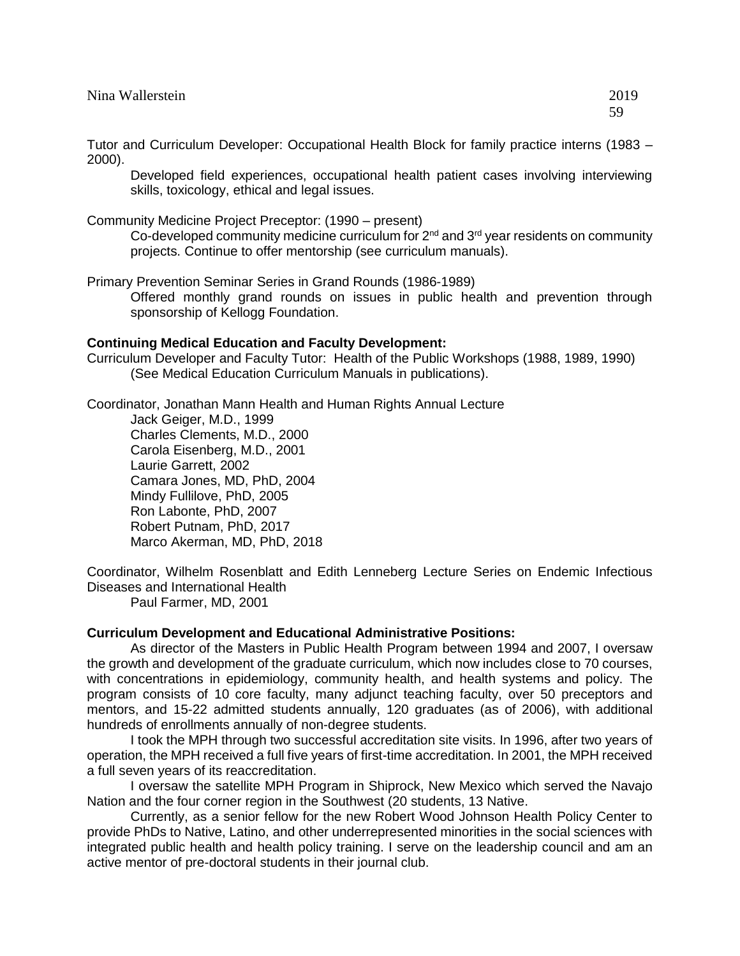| Nina Wallerstein | 2019    |
|------------------|---------|
|                  | 50<br>ັ |

Tutor and Curriculum Developer: Occupational Health Block for family practice interns (1983 – 2000).

Developed field experiences, occupational health patient cases involving interviewing skills, toxicology, ethical and legal issues.

Community Medicine Project Preceptor: (1990 – present)

Co-developed community medicine curriculum for  $2<sup>nd</sup>$  and  $3<sup>rd</sup>$  year residents on community projects. Continue to offer mentorship (see curriculum manuals).

Primary Prevention Seminar Series in Grand Rounds (1986-1989)

Offered monthly grand rounds on issues in public health and prevention through sponsorship of Kellogg Foundation.

#### **Continuing Medical Education and Faculty Development:**

Curriculum Developer and Faculty Tutor: Health of the Public Workshops (1988, 1989, 1990) (See Medical Education Curriculum Manuals in publications).

Coordinator, Jonathan Mann Health and Human Rights Annual Lecture

Jack Geiger, M.D., 1999 Charles Clements, M.D., 2000 Carola Eisenberg, M.D., 2001 Laurie Garrett, 2002 Camara Jones, MD, PhD, 2004 Mindy Fullilove, PhD, 2005 Ron Labonte, PhD, 2007 Robert Putnam, PhD, 2017 Marco Akerman, MD, PhD, 2018

Coordinator, Wilhelm Rosenblatt and Edith Lenneberg Lecture Series on Endemic Infectious Diseases and International Health

Paul Farmer, MD, 2001

### **Curriculum Development and Educational Administrative Positions:**

As director of the Masters in Public Health Program between 1994 and 2007, I oversaw the growth and development of the graduate curriculum, which now includes close to 70 courses, with concentrations in epidemiology, community health, and health systems and policy. The program consists of 10 core faculty, many adjunct teaching faculty, over 50 preceptors and mentors, and 15-22 admitted students annually, 120 graduates (as of 2006), with additional hundreds of enrollments annually of non-degree students.

I took the MPH through two successful accreditation site visits. In 1996, after two years of operation, the MPH received a full five years of first-time accreditation. In 2001, the MPH received a full seven years of its reaccreditation.

I oversaw the satellite MPH Program in Shiprock, New Mexico which served the Navajo Nation and the four corner region in the Southwest (20 students, 13 Native.

Currently, as a senior fellow for the new Robert Wood Johnson Health Policy Center to provide PhDs to Native, Latino, and other underrepresented minorities in the social sciences with integrated public health and health policy training. I serve on the leadership council and am an active mentor of pre-doctoral students in their journal club.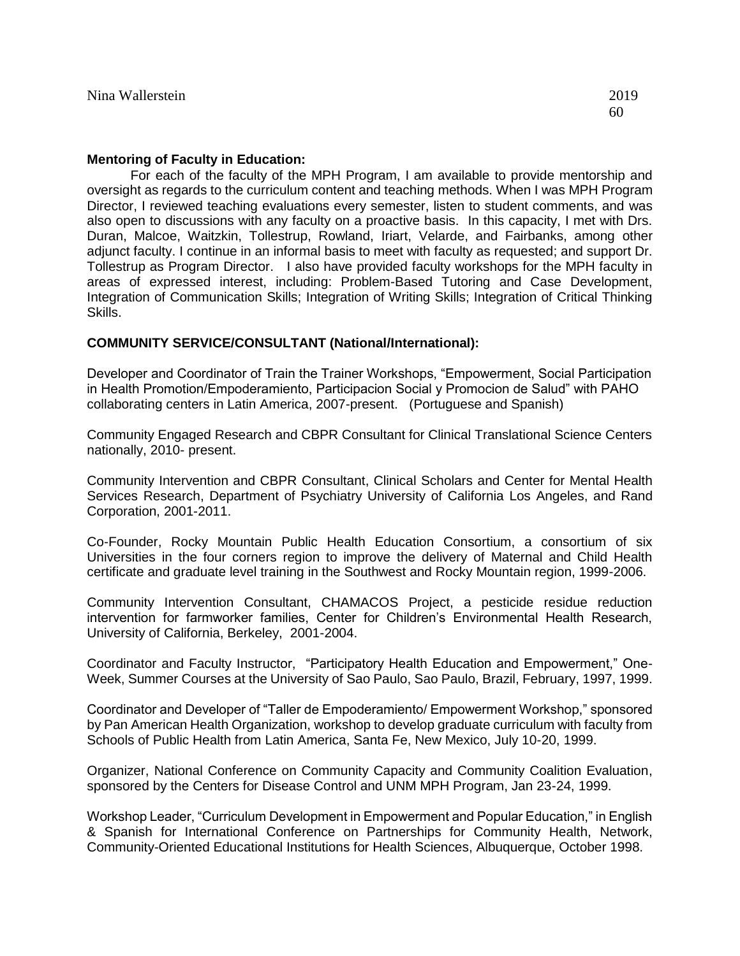#### **Mentoring of Faculty in Education:**

For each of the faculty of the MPH Program, I am available to provide mentorship and oversight as regards to the curriculum content and teaching methods. When I was MPH Program Director, I reviewed teaching evaluations every semester, listen to student comments, and was also open to discussions with any faculty on a proactive basis. In this capacity, I met with Drs. Duran, Malcoe, Waitzkin, Tollestrup, Rowland, Iriart, Velarde, and Fairbanks, among other adjunct faculty. I continue in an informal basis to meet with faculty as requested; and support Dr. Tollestrup as Program Director. I also have provided faculty workshops for the MPH faculty in areas of expressed interest, including: Problem-Based Tutoring and Case Development, Integration of Communication Skills; Integration of Writing Skills; Integration of Critical Thinking Skills.

### **COMMUNITY SERVICE/CONSULTANT (National/International):**

Developer and Coordinator of Train the Trainer Workshops, "Empowerment, Social Participation in Health Promotion/Empoderamiento, Participacion Social y Promocion de Salud" with PAHO collaborating centers in Latin America, 2007-present. (Portuguese and Spanish)

Community Engaged Research and CBPR Consultant for Clinical Translational Science Centers nationally, 2010- present.

Community Intervention and CBPR Consultant, Clinical Scholars and Center for Mental Health Services Research, Department of Psychiatry University of California Los Angeles, and Rand Corporation, 2001-2011.

Co-Founder, Rocky Mountain Public Health Education Consortium, a consortium of six Universities in the four corners region to improve the delivery of Maternal and Child Health certificate and graduate level training in the Southwest and Rocky Mountain region, 1999-2006.

Community Intervention Consultant, CHAMACOS Project, a pesticide residue reduction intervention for farmworker families, Center for Children's Environmental Health Research, University of California, Berkeley, 2001-2004.

Coordinator and Faculty Instructor, "Participatory Health Education and Empowerment," One-Week, Summer Courses at the University of Sao Paulo, Sao Paulo, Brazil, February, 1997, 1999.

Coordinator and Developer of "Taller de Empoderamiento/ Empowerment Workshop," sponsored by Pan American Health Organization, workshop to develop graduate curriculum with faculty from Schools of Public Health from Latin America, Santa Fe, New Mexico, July 10-20, 1999.

Organizer, National Conference on Community Capacity and Community Coalition Evaluation, sponsored by the Centers for Disease Control and UNM MPH Program, Jan 23-24, 1999.

Workshop Leader, "Curriculum Development in Empowerment and Popular Education," in English & Spanish for International Conference on Partnerships for Community Health, Network, Community-Oriented Educational Institutions for Health Sciences, Albuquerque, October 1998.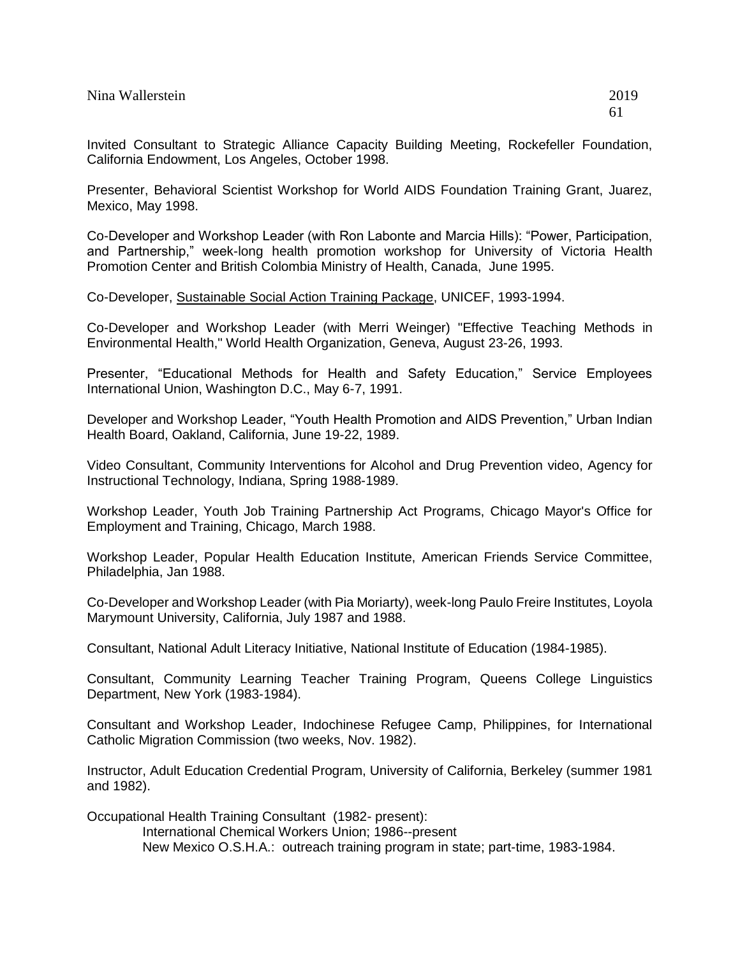Presenter, Behavioral Scientist Workshop for World AIDS Foundation Training Grant, Juarez, Mexico, May 1998.

Co-Developer and Workshop Leader (with Ron Labonte and Marcia Hills): "Power, Participation, and Partnership," week-long health promotion workshop for University of Victoria Health Promotion Center and British Colombia Ministry of Health, Canada, June 1995.

### Co-Developer, Sustainable Social Action Training Package, UNICEF, 1993-1994.

Co-Developer and Workshop Leader (with Merri Weinger) "Effective Teaching Methods in Environmental Health," World Health Organization, Geneva, August 23-26, 1993.

Presenter, "Educational Methods for Health and Safety Education," Service Employees International Union, Washington D.C., May 6-7, 1991.

Developer and Workshop Leader, "Youth Health Promotion and AIDS Prevention," Urban Indian Health Board, Oakland, California, June 19-22, 1989.

Video Consultant, Community Interventions for Alcohol and Drug Prevention video, Agency for Instructional Technology, Indiana, Spring 1988-1989.

Workshop Leader, Youth Job Training Partnership Act Programs, Chicago Mayor's Office for Employment and Training, Chicago, March 1988.

Workshop Leader, Popular Health Education Institute, American Friends Service Committee, Philadelphia, Jan 1988.

Co-Developer and Workshop Leader (with Pia Moriarty), week-long Paulo Freire Institutes, Loyola Marymount University, California, July 1987 and 1988.

Consultant, National Adult Literacy Initiative, National Institute of Education (1984-1985).

Consultant, Community Learning Teacher Training Program, Queens College Linguistics Department, New York (1983-1984).

Consultant and Workshop Leader, Indochinese Refugee Camp, Philippines, for International Catholic Migration Commission (two weeks, Nov. 1982).

Instructor, Adult Education Credential Program, University of California, Berkeley (summer 1981 and 1982).

Occupational Health Training Consultant (1982- present):

International Chemical Workers Union; 1986--present

New Mexico O.S.H.A.: outreach training program in state; part-time, 1983-1984.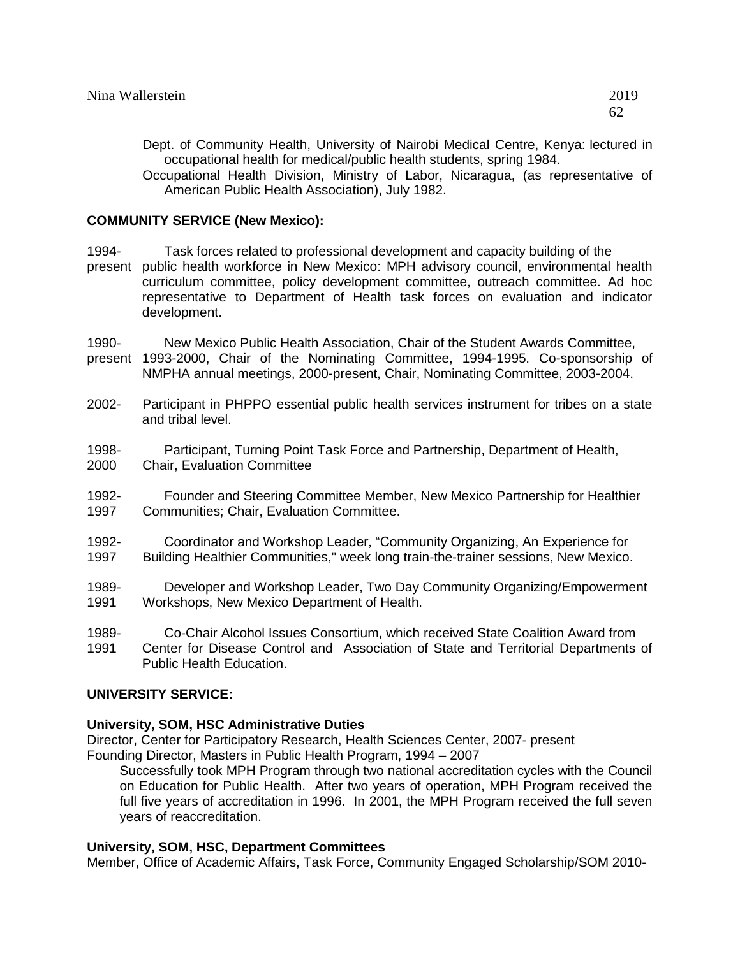Dept. of Community Health, University of Nairobi Medical Centre, Kenya: lectured in occupational health for medical/public health students, spring 1984.

Occupational Health Division, Ministry of Labor, Nicaragua, (as representative of American Public Health Association), July 1982.

#### **COMMUNITY SERVICE (New Mexico):**

1994- Task forces related to professional development and capacity building of the present public health workforce in New Mexico: MPH advisory council, environmental health

curriculum committee, policy development committee, outreach committee. Ad hoc representative to Department of Health task forces on evaluation and indicator development.

1990- New Mexico Public Health Association, Chair of the Student Awards Committee,

present 1993-2000, Chair of the Nominating Committee, 1994-1995. Co-sponsorship of NMPHA annual meetings, 2000-present, Chair, Nominating Committee, 2003-2004.

- 2002- Participant in PHPPO essential public health services instrument for tribes on a state and tribal level.
- 1998- Participant, Turning Point Task Force and Partnership, Department of Health, 2000 Chair, Evaluation Committee
- 1992- Founder and Steering Committee Member, New Mexico Partnership for Healthier 1997 Communities; Chair, Evaluation Committee.
- 1992- Coordinator and Workshop Leader, "Community Organizing, An Experience for 1997 Building Healthier Communities," week long train-the-trainer sessions, New Mexico.
- 1989- Developer and Workshop Leader, Two Day Community Organizing/Empowerment 1991 Workshops, New Mexico Department of Health.
- 1989- Co-Chair Alcohol Issues Consortium, which received State Coalition Award from 1991 Center for Disease Control and Association of State and Territorial Departments of Public Health Education.

### **UNIVERSITY SERVICE:**

### **University, SOM, HSC Administrative Duties**

Director, Center for Participatory Research, Health Sciences Center, 2007- present Founding Director, Masters in Public Health Program, 1994 – 2007

Successfully took MPH Program through two national accreditation cycles with the Council on Education for Public Health. After two years of operation, MPH Program received the full five years of accreditation in 1996. In 2001, the MPH Program received the full seven years of reaccreditation.

### **University, SOM, HSC, Department Committees**

Member, Office of Academic Affairs, Task Force, Community Engaged Scholarship/SOM 2010-